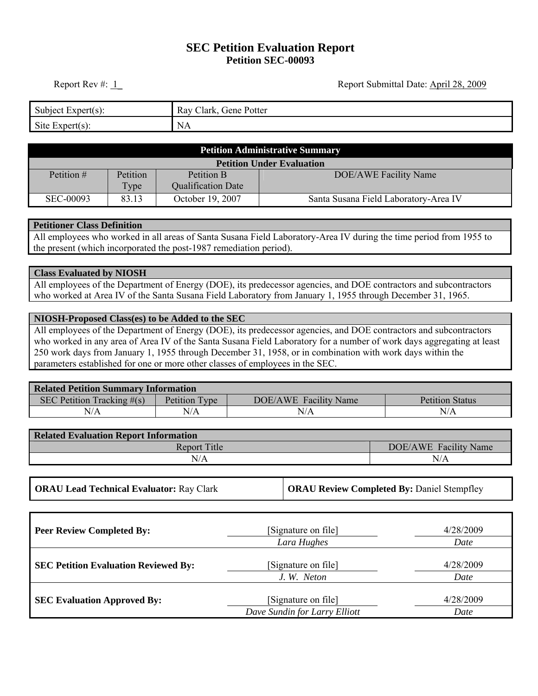## **SEC Petition Evaluation Report Petition SEC-00093**

| Report Rev #: $1$      |                        | Report Submittal Date: April 28, 2009 |  |
|------------------------|------------------------|---------------------------------------|--|
| Subject Expert $(s)$ : | Ray Clark, Gene Potter |                                       |  |
| Site Expert $(s)$ :    | NA                     |                                       |  |

| <b>Petition Administrative Summary</b> |          |                           |                                       |  |
|----------------------------------------|----------|---------------------------|---------------------------------------|--|
| <b>Petition Under Evaluation</b>       |          |                           |                                       |  |
| Petition $#$                           | Petition | Petition B                | <b>DOE/AWE Facility Name</b>          |  |
|                                        | Type     | <b>Qualification Date</b> |                                       |  |
| SEC-00093                              | 83.13    | October 19, 2007          | Santa Susana Field Laboratory-Area IV |  |

#### **Petitioner Class Definition**

All employees who worked in all areas of Santa Susana Field Laboratory-Area IV during the time period from 1955 to the present (which incorporated the post-1987 remediation period).

#### **Class Evaluated by NIOSH**

All employees of the Department of Energy (DOE), its predecessor agencies, and DOE contractors and subcontractors who worked at Area IV of the Santa Susana Field Laboratory from January 1, 1955 through December 31, 1965.

#### **NIOSH-Proposed Class(es) to be Added to the SEC**

All employees of the Department of Energy (DOE), its predecessor agencies, and DOE contractors and subcontractors who worked in any area of Area IV of the Santa Susana Field Laboratory for a number of work days aggregating at least 250 work days from January 1, 1955 through December 31, 1958, or in combination with work days within the parameters established for one or more other classes of employees in the SEC.

| <b>Related Petition Summary Information</b> |               |                       |                        |  |
|---------------------------------------------|---------------|-----------------------|------------------------|--|
| SEC Petition Tracking $\#(s)$               | Petition Type | DOE/AWE Facility Name | <b>Petition Status</b> |  |
| N/A                                         |               | N/A                   | N/A                    |  |

| <b>Related Evaluation Report Information</b> |                       |  |
|----------------------------------------------|-----------------------|--|
| Report Title                                 | DOE/AWE Facility Name |  |
| N/A                                          | N/A                   |  |

**ORAU Lead Technical Evaluator:** Ray Clark **ORAU Review Completed By:** Daniel Stempfley

| <b>Peer Review Completed By:</b>            | [Signature on file]<br>Lara Hughes                   | 4/28/2009<br>Date |
|---------------------------------------------|------------------------------------------------------|-------------------|
| <b>SEC Petition Evaluation Reviewed By:</b> | [Signature on file]<br>J. W. Neton                   | 4/28/2009<br>Date |
| <b>SEC Evaluation Approved By:</b>          | [Signature on file]<br>Dave Sundin for Larry Elliott | 4/28/2009<br>Date |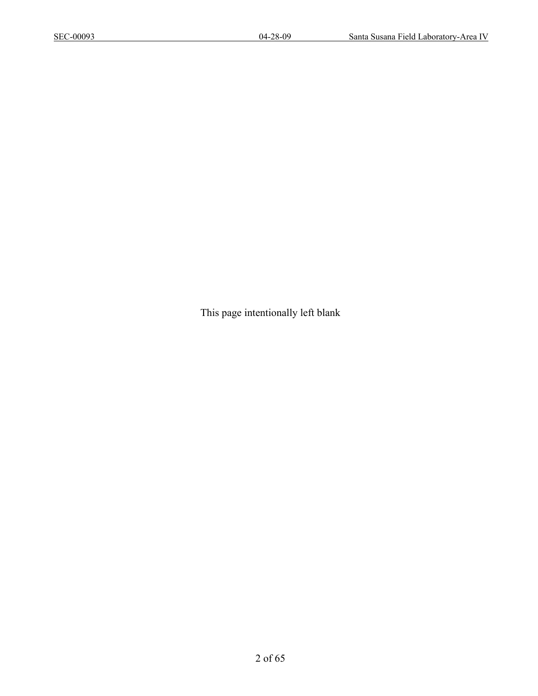This page intentionally left blank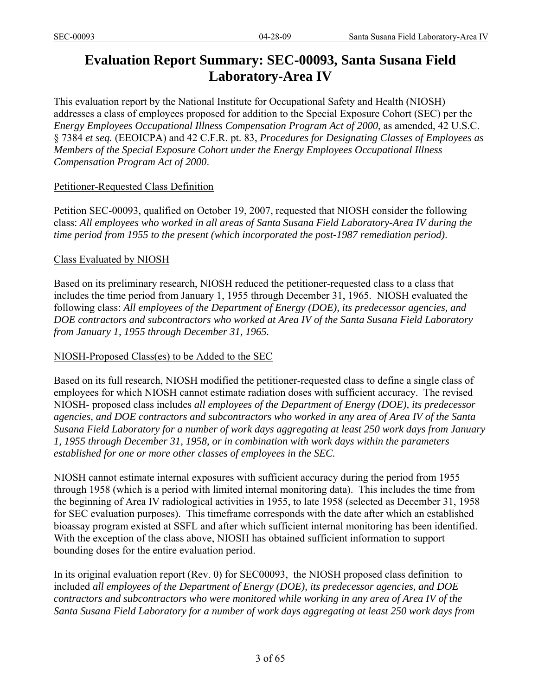# **Evaluation Report Summary: SEC-00093, Santa Susana Field Laboratory-Area IV**

This evaluation report by the National Institute for Occupational Safety and Health (NIOSH) addresses a class of employees proposed for addition to the Special Exposure Cohort (SEC) per the *Energy Employees Occupational Illness Compensation Program Act of 2000*, as amended, 42 U.S.C. § 7384 *et seq.* (EEOICPA) and 42 C.F.R. pt. 83, *Procedures for Designating Classes of Employees as Members of the Special Exposure Cohort under the Energy Employees Occupational Illness Compensation Program Act of 2000*.

#### Petitioner-Requested Class Definition

Petition SEC-00093, qualified on October 19, 2007, requested that NIOSH consider the following class: *All employees who worked in all areas of Santa Susana Field Laboratory-Area IV during the time period from 1955 to the present (which incorporated the post-1987 remediation period)*.

### Class Evaluated by NIOSH

Based on its preliminary research, NIOSH reduced the petitioner-requested class to a class that includes the time period from January 1, 1955 through December 31, 1965. NIOSH evaluated the following class: *All employees of the Department of Energy (DOE), its predecessor agencies, and DOE contractors and subcontractors who worked at Area IV of the Santa Susana Field Laboratory from January 1, 1955 through December 31, 1965.* 

#### NIOSH-Proposed Class(es) to be Added to the SEC

Based on its full research, NIOSH modified the petitioner-requested class to define a single class of employees for which NIOSH cannot estimate radiation doses with sufficient accuracy. The revised NIOSH- proposed class includes *all employees of the Department of Energy (DOE), its predecessor agencies, and DOE contractors and subcontractors who worked in any area of Area IV of the Santa Susana Field Laboratory for a number of work days aggregating at least 250 work days from January 1, 1955 through December 31, 1958, or in combination with work days within the parameters established for one or more other classes of employees in the SEC.*

NIOSH cannot estimate internal exposures with sufficient accuracy during the period from 1955 through 1958 (which is a period with limited internal monitoring data). This includes the time from the beginning of Area IV radiological activities in 1955, to late 1958 (selected as December 31, 1958 for SEC evaluation purposes). This timeframe corresponds with the date after which an established bioassay program existed at SSFL and after which sufficient internal monitoring has been identified. With the exception of the class above, NIOSH has obtained sufficient information to support bounding doses for the entire evaluation period.

In its original evaluation report (Rev. 0) for SEC00093, the NIOSH proposed class definition to included *all employees of the Department of Energy (DOE), its predecessor agencies, and DOE contractors and subcontractors who were monitored while working in any area of Area IV of the Santa Susana Field Laboratory for a number of work days aggregating at least 250 work days from*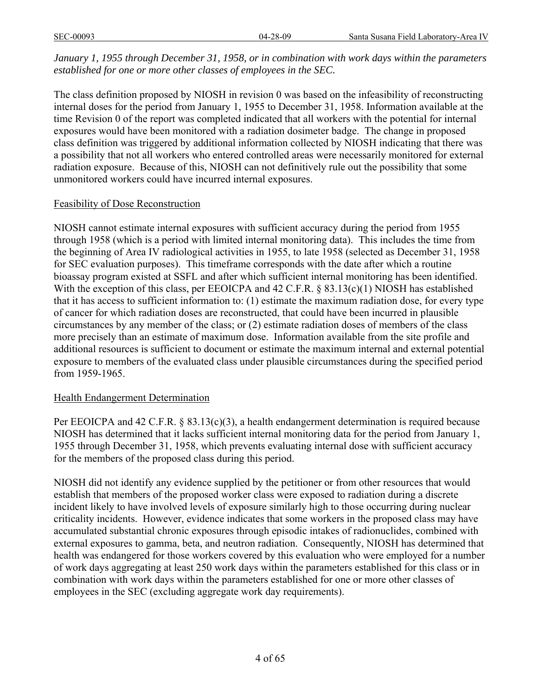*January 1, 1955 through December 31, 1958, or in combination with work days within the parameters established for one or more other classes of employees in the SEC.*

The class definition proposed by NIOSH in revision 0 was based on the infeasibility of reconstructing internal doses for the period from January 1, 1955 to December 31, 1958. Information available at the time Revision 0 of the report was completed indicated that all workers with the potential for internal exposures would have been monitored with a radiation dosimeter badge. The change in proposed class definition was triggered by additional information collected by NIOSH indicating that there was a possibility that not all workers who entered controlled areas were necessarily monitored for external radiation exposure. Because of this, NIOSH can not definitively rule out the possibility that some unmonitored workers could have incurred internal exposures.

## Feasibility of Dose Reconstruction

NIOSH cannot estimate internal exposures with sufficient accuracy during the period from 1955 through 1958 (which is a period with limited internal monitoring data). This includes the time from the beginning of Area IV radiological activities in 1955, to late 1958 (selected as December 31, 1958 for SEC evaluation purposes). This timeframe corresponds with the date after which a routine bioassay program existed at SSFL and after which sufficient internal monitoring has been identified. With the exception of this class, per EEOICPA and 42 C.F.R. § 83.13(c)(1) NIOSH has established that it has access to sufficient information to: (1) estimate the maximum radiation dose, for every type of cancer for which radiation doses are reconstructed, that could have been incurred in plausible circumstances by any member of the class; or (2) estimate radiation doses of members of the class more precisely than an estimate of maximum dose. Information available from the site profile and additional resources is sufficient to document or estimate the maximum internal and external potential exposure to members of the evaluated class under plausible circumstances during the specified period from 1959-1965.

#### Health Endangerment Determination

Per EEOICPA and 42 C.F.R. § 83.13(c)(3), a health endangerment determination is required because NIOSH has determined that it lacks sufficient internal monitoring data for the period from January 1, 1955 through December 31, 1958, which prevents evaluating internal dose with sufficient accuracy for the members of the proposed class during this period.

NIOSH did not identify any evidence supplied by the petitioner or from other resources that would establish that members of the proposed worker class were exposed to radiation during a discrete incident likely to have involved levels of exposure similarly high to those occurring during nuclear criticality incidents. However, evidence indicates that some workers in the proposed class may have accumulated substantial chronic exposures through episodic intakes of radionuclides, combined with external exposures to gamma, beta, and neutron radiation. Consequently, NIOSH has determined that health was endangered for those workers covered by this evaluation who were employed for a number of work days aggregating at least 250 work days within the parameters established for this class or in combination with work days within the parameters established for one or more other classes of employees in the SEC (excluding aggregate work day requirements).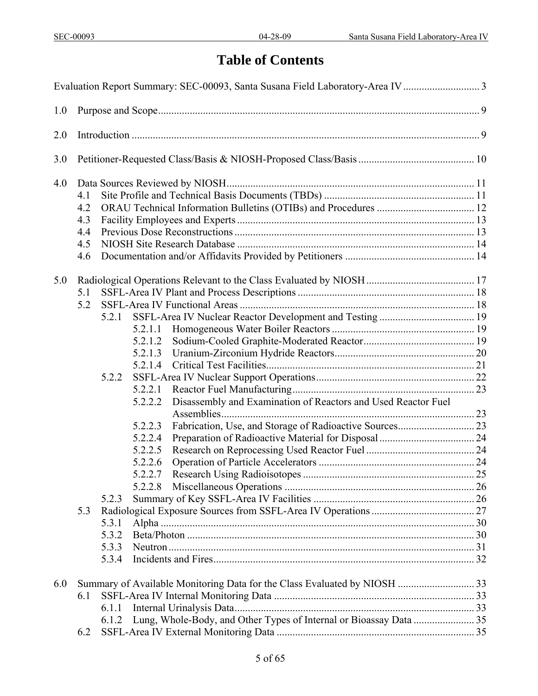# **Table of Contents**

|     |     | Evaluation Report Summary: SEC-00093, Santa Susana Field Laboratory-Area IV 3 |  |
|-----|-----|-------------------------------------------------------------------------------|--|
| 1.0 |     |                                                                               |  |
| 2.0 |     |                                                                               |  |
| 3.0 |     |                                                                               |  |
| 4.0 |     |                                                                               |  |
|     | 4.1 |                                                                               |  |
|     | 4.2 |                                                                               |  |
|     | 4.3 |                                                                               |  |
|     | 4.4 |                                                                               |  |
|     | 4.5 |                                                                               |  |
|     | 4.6 |                                                                               |  |
| 5.0 |     |                                                                               |  |
|     | 5.1 |                                                                               |  |
|     | 5.2 |                                                                               |  |
|     |     | 5.2.1                                                                         |  |
|     |     | 5.2.1.1                                                                       |  |
|     |     | 5.2.1.2                                                                       |  |
|     |     | 5.2.1.3                                                                       |  |
|     |     | 5.2.1.4                                                                       |  |
|     |     | 5.2.2                                                                         |  |
|     |     | 5.2.2.1                                                                       |  |
|     |     | Disassembly and Examination of Reactors and Used Reactor Fuel<br>5.2.2.2      |  |
|     |     |                                                                               |  |
|     |     | 5.2.2.3                                                                       |  |
|     |     | 5.2.2.4                                                                       |  |
|     |     | 5.2.2.5                                                                       |  |
|     |     |                                                                               |  |
|     |     | 5.2.2.6                                                                       |  |
|     |     |                                                                               |  |
|     |     |                                                                               |  |
|     |     | 5.2.3                                                                         |  |
|     | 5.3 |                                                                               |  |
|     |     | 5.3.1                                                                         |  |
|     |     | 5.3.2                                                                         |  |
|     |     | 5.3.3                                                                         |  |
|     |     | 5.3.4                                                                         |  |
| 6.0 |     |                                                                               |  |
|     | 6.1 |                                                                               |  |
|     |     | 6.1.1                                                                         |  |
|     |     | 6.1.2 Lung, Whole-Body, and Other Types of Internal or Bioassay Data  35      |  |
|     | 6.2 |                                                                               |  |
|     |     |                                                                               |  |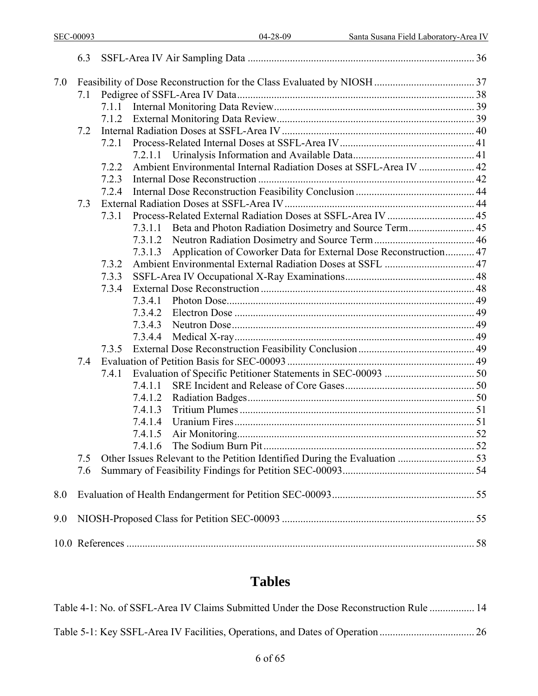|     | 6.3 |                                                                             |  |
|-----|-----|-----------------------------------------------------------------------------|--|
| 7.0 |     |                                                                             |  |
|     | 7.1 |                                                                             |  |
|     |     | 7.1.1                                                                       |  |
|     |     |                                                                             |  |
|     | 7.2 |                                                                             |  |
|     |     | 7.2.1                                                                       |  |
|     |     |                                                                             |  |
|     |     | Ambient Environmental Internal Radiation Doses at SSFL-Area IV  42<br>7.2.2 |  |
|     |     | 7.2.3                                                                       |  |
|     |     | 7.2.4                                                                       |  |
|     | 7.3 |                                                                             |  |
|     |     | 7.3.1                                                                       |  |
|     |     | 7.3.1.1 Beta and Photon Radiation Dosimetry and Source Term 45              |  |
|     |     | 7.3.1.2                                                                     |  |
|     |     | Application of Coworker Data for External Dose Reconstruction 47<br>7.3.1.3 |  |
|     |     | 7.3.2                                                                       |  |
|     |     | 7.3.3                                                                       |  |
|     |     | 7.3.4                                                                       |  |
|     |     | 7.3.4.1                                                                     |  |
|     |     | 7.3.4.2                                                                     |  |
|     |     | 7.3.4.3                                                                     |  |
|     |     | 7.3.4.4                                                                     |  |
|     |     | 7.3.5                                                                       |  |
|     | 7.4 |                                                                             |  |
|     |     | 7.4.1                                                                       |  |
|     |     | 7.4.1.1                                                                     |  |
|     |     | 7.4.1.2                                                                     |  |
|     |     | 7.4.1.3                                                                     |  |
|     |     | 7.4.1.4                                                                     |  |
|     |     | 7.4.1.5                                                                     |  |
|     |     | 7.4.1.6                                                                     |  |
|     | 7.5 |                                                                             |  |
|     | 7.6 |                                                                             |  |
| 8.0 |     |                                                                             |  |
| 9.0 |     |                                                                             |  |
|     |     |                                                                             |  |

# **Tables**

|  | Table 4-1: No. of SSFL-Area IV Claims Submitted Under the Dose Reconstruction Rule  14 |
|--|----------------------------------------------------------------------------------------|
|  |                                                                                        |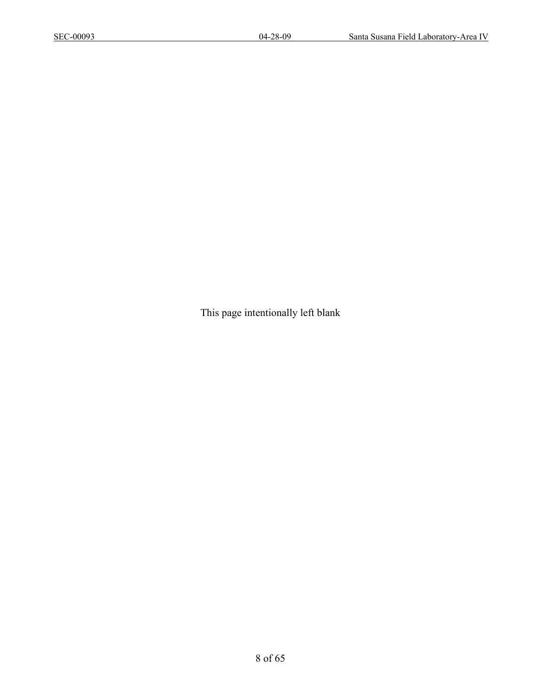This page intentionally left blank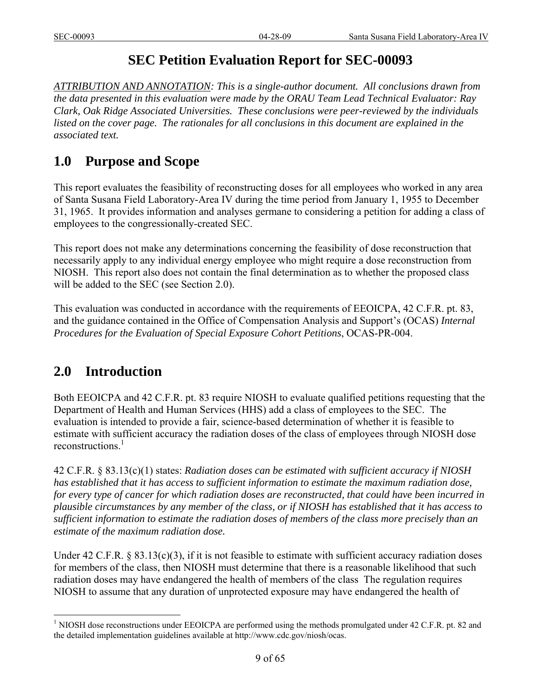# **SEC Petition Evaluation Report for SEC-00093**

*ATTRIBUTION AND ANNOTATION: This is a single-author document. All conclusions drawn from the data presented in this evaluation were made by the ORAU Team Lead Technical Evaluator: Ray Clark, Oak Ridge Associated Universities. These conclusions were peer-reviewed by the individuals*  listed on the cover page. The rationales for all conclusions in this document are explained in the *associated text.*

# **1.0 Purpose and Scope**

This report evaluates the feasibility of reconstructing doses for all employees who worked in any area of Santa Susana Field Laboratory-Area IV during the time period from January 1, 1955 to December 31, 1965. It provides information and analyses germane to considering a petition for adding a class of employees to the congressionally-created SEC.

This report does not make any determinations concerning the feasibility of dose reconstruction that necessarily apply to any individual energy employee who might require a dose reconstruction from NIOSH. This report also does not contain the final determination as to whether the proposed class will be added to the SEC (see Section 2.0).

This evaluation was conducted in accordance with the requirements of EEOICPA, 42 C.F.R. pt. 83, and the guidance contained in the Office of Compensation Analysis and Support's (OCAS) *Internal Procedures for the Evaluation of Special Exposure Cohort Petitions*, OCAS-PR-004.

# **2.0 Introduction**

Both EEOICPA and 42 C.F.R. pt. 83 require NIOSH to evaluate qualified petitions requesting that the Department of Health and Human Services (HHS) add a class of employees to the SEC. The evaluation is intended to provide a fair, science-based determination of whether it is feasible to estimate with sufficient accuracy the radiation doses of the class of employees through NIOSH dose reconstructions<sup>1</sup>

42 C.F.R. § 83.13(c)(1) states: *Radiation doses can be estimated with sufficient accuracy if NIOSH has established that it has access to sufficient information to estimate the maximum radiation dose, for every type of cancer for which radiation doses are reconstructed, that could have been incurred in plausible circumstances by any member of the class, or if NIOSH has established that it has access to sufficient information to estimate the radiation doses of members of the class more precisely than an estimate of the maximum radiation dose.*

Under 42 C.F.R. § 83.13(c)(3), if it is not feasible to estimate with sufficient accuracy radiation doses for members of the class, then NIOSH must determine that there is a reasonable likelihood that such radiation doses may have endangered the health of members of the class The regulation requires NIOSH to assume that any duration of unprotected exposure may have endangered the health of

 $\overline{a}$ <sup>1</sup> NIOSH dose reconstructions under EEOICPA are performed using the methods promulgated under 42 C.F.R. pt. 82 and the detailed implementation guidelines available at http://www.cdc.gov/niosh/ocas.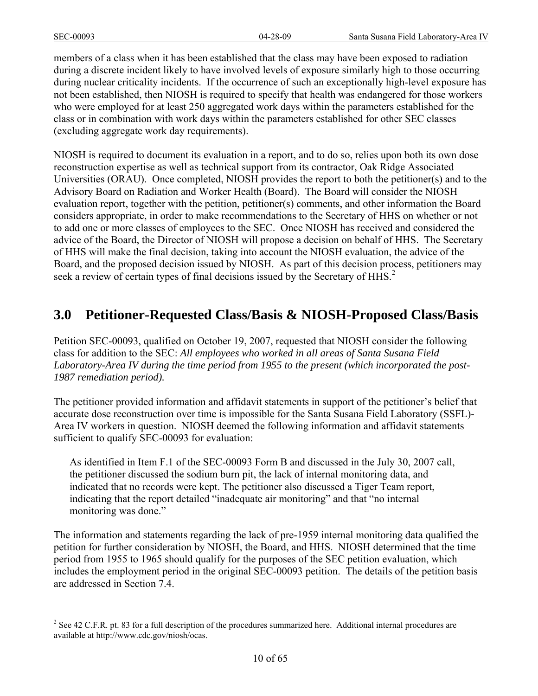| <b>SEC-00093</b> |
|------------------|
|                  |

members of a class when it has been established that the class may have been exposed to radiation during a discrete incident likely to have involved levels of exposure similarly high to those occurring during nuclear criticality incidents. If the occurrence of such an exceptionally high-level exposure has not been established, then NIOSH is required to specify that health was endangered for those workers who were employed for at least 250 aggregated work days within the parameters established for the class or in combination with work days within the parameters established for other SEC classes (excluding aggregate work day requirements).

NIOSH is required to document its evaluation in a report, and to do so, relies upon both its own dose reconstruction expertise as well as technical support from its contractor, Oak Ridge Associated Universities (ORAU). Once completed, NIOSH provides the report to both the petitioner(s) and to the Advisory Board on Radiation and Worker Health (Board). The Board will consider the NIOSH evaluation report, together with the petition, petitioner(s) comments, and other information the Board considers appropriate, in order to make recommendations to the Secretary of HHS on whether or not to add one or more classes of employees to the SEC. Once NIOSH has received and considered the advice of the Board, the Director of NIOSH will propose a decision on behalf of HHS. The Secretary of HHS will make the final decision, taking into account the NIOSH evaluation, the advice of the Board, and the proposed decision issued by NIOSH. As part of this decision process, petitioners may seek a review of certain types of final decisions issued by the Secretary of HHS.<sup>2</sup>

# **3.0 Petitioner-Requested Class/Basis & NIOSH-Proposed Class/Basis**

Petition SEC-00093, qualified on October 19, 2007, requested that NIOSH consider the following class for addition to the SEC: *All employees who worked in all areas of Santa Susana Field Laboratory-Area IV during the time period from 1955 to the present (which incorporated the post-1987 remediation period).* 

The petitioner provided information and affidavit statements in support of the petitioner's belief that accurate dose reconstruction over time is impossible for the Santa Susana Field Laboratory (SSFL)- Area IV workers in question. NIOSH deemed the following information and affidavit statements sufficient to qualify SEC-00093 for evaluation:

As identified in Item F.1 of the SEC-00093 Form B and discussed in the July 30, 2007 call, the petitioner discussed the sodium burn pit, the lack of internal monitoring data, and indicated that no records were kept. The petitioner also discussed a Tiger Team report, indicating that the report detailed "inadequate air monitoring" and that "no internal monitoring was done."

The information and statements regarding the lack of pre-1959 internal monitoring data qualified the petition for further consideration by NIOSH, the Board, and HHS. NIOSH determined that the time period from 1955 to 1965 should qualify for the purposes of the SEC petition evaluation, which includes the employment period in the original SEC-00093 petition. The details of the petition basis are addressed in Section 7.4.

 $\overline{a}$  $2^2$  See 42 C.F.R. pt. 83 for a full description of the procedures summarized here. Additional internal procedures are available at http://www.cdc.gov/niosh/ocas.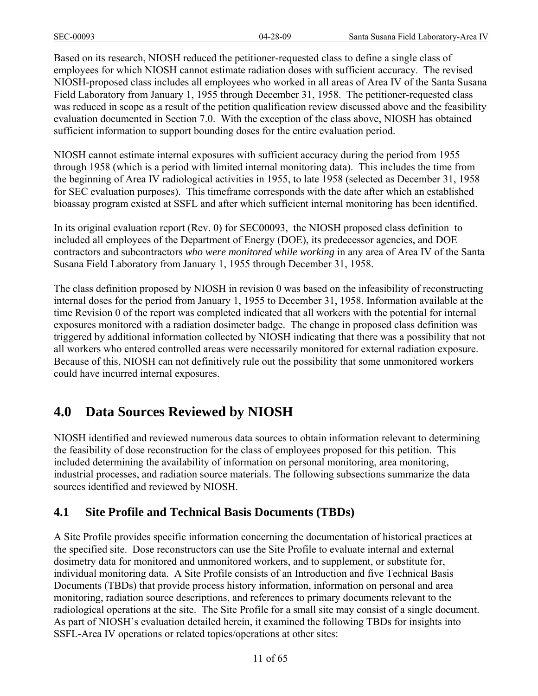| <b>SEC-00093</b> |
|------------------|
|                  |

Based on its research, NIOSH reduced the petitioner-requested class to define a single class of employees for which NIOSH cannot estimate radiation doses with sufficient accuracy. The revised NIOSH-proposed class includes all employees who worked in all areas of Area IV of the Santa Susana Field Laboratory from January 1, 1955 through December 31, 1958. The petitioner-requested class was reduced in scope as a result of the petition qualification review discussed above and the feasibility evaluation documented in Section 7.0. With the exception of the class above, NIOSH has obtained sufficient information to support bounding doses for the entire evaluation period.

NIOSH cannot estimate internal exposures with sufficient accuracy during the period from 1955 through 1958 (which is a period with limited internal monitoring data). This includes the time from the beginning of Area IV radiological activities in 1955, to late 1958 (selected as December 31, 1958 for SEC evaluation purposes). This timeframe corresponds with the date after which an established bioassay program existed at SSFL and after which sufficient internal monitoring has been identified.

In its original evaluation report (Rev. 0) for SEC00093, the NIOSH proposed class definition to included all employees of the Department of Energy (DOE), its predecessor agencies, and DOE contractors and subcontractors *who were monitored while working* in any area of Area IV of the Santa Susana Field Laboratory from January 1, 1955 through December 31, 1958.

The class definition proposed by NIOSH in revision 0 was based on the infeasibility of reconstructing internal doses for the period from January 1, 1955 to December 31, 1958. Information available at the time Revision 0 of the report was completed indicated that all workers with the potential for internal exposures monitored with a radiation dosimeter badge. The change in proposed class definition was triggered by additional information collected by NIOSH indicating that there was a possibility that not all workers who entered controlled areas were necessarily monitored for external radiation exposure. Because of this, NIOSH can not definitively rule out the possibility that some unmonitored workers could have incurred internal exposures.

# **4.0 Data Sources Reviewed by NIOSH**

NIOSH identified and reviewed numerous data sources to obtain information relevant to determining the feasibility of dose reconstruction for the class of employees proposed for this petition. This included determining the availability of information on personal monitoring, area monitoring, industrial processes, and radiation source materials. The following subsections summarize the data sources identified and reviewed by NIOSH.

# **4.1 Site Profile and Technical Basis Documents (TBDs)**

A Site Profile provides specific information concerning the documentation of historical practices at the specified site. Dose reconstructors can use the Site Profile to evaluate internal and external dosimetry data for monitored and unmonitored workers, and to supplement, or substitute for, individual monitoring data. A Site Profile consists of an Introduction and five Technical Basis Documents (TBDs) that provide process history information, information on personal and area monitoring, radiation source descriptions, and references to primary documents relevant to the radiological operations at the site. The Site Profile for a small site may consist of a single document. As part of NIOSH's evaluation detailed herein, it examined the following TBDs for insights into SSFL-Area IV operations or related topics/operations at other sites: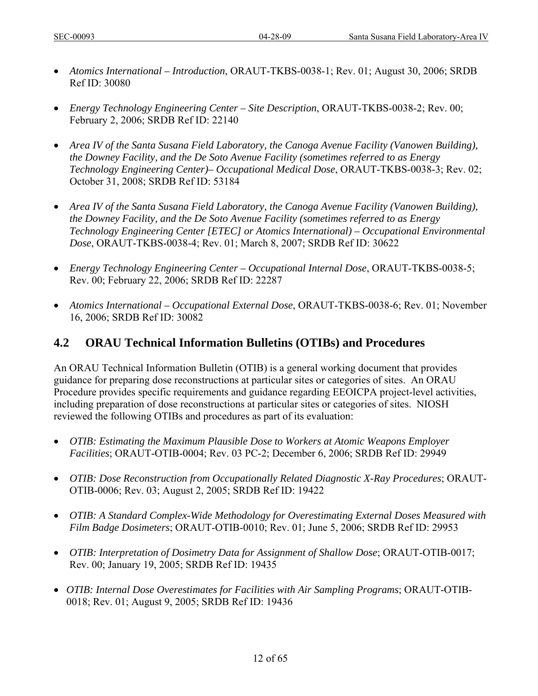- *Atomics International Introduction*, ORAUT-TKBS-0038-1; Rev. 01; August 30, 2006; SRDB Ref ID: 30080
- *Energy Technology Engineering Center Site Description*, ORAUT-TKBS-0038-2; Rev. 00; February 2, 2006; SRDB Ref ID: 22140
- *Area IV of the Santa Susana Field Laboratory, the Canoga Avenue Facility (Vanowen Building), the Downey Facility, and the De Soto Avenue Facility (sometimes referred to as Energy Technology Engineering Center)– Occupational Medical Dose*, ORAUT-TKBS-0038-3; Rev. 02; October 31, 2008; SRDB Ref ID: 53184
- *Area IV of the Santa Susana Field Laboratory, the Canoga Avenue Facility (Vanowen Building), the Downey Facility, and the De Soto Avenue Facility (sometimes referred to as Energy Technology Engineering Center [ETEC] or Atomics International) – Occupational Environmental Dose*, ORAUT-TKBS-0038-4; Rev. 01; March 8, 2007; SRDB Ref ID: 30622
- *Energy Technology Engineering Center Occupational Internal Dose*, ORAUT-TKBS-0038-5; Rev. 00; February 22, 2006; SRDB Ref ID: 22287
- *Atomics International Occupational External Dose*, ORAUT-TKBS-0038-6; Rev. 01; November 16, 2006; SRDB Ref ID: 30082

# **4.2 ORAU Technical Information Bulletins (OTIBs) and Procedures**

An ORAU Technical Information Bulletin (OTIB) is a general working document that provides guidance for preparing dose reconstructions at particular sites or categories of sites. An ORAU Procedure provides specific requirements and guidance regarding EEOICPA project-level activities, including preparation of dose reconstructions at particular sites or categories of sites. NIOSH reviewed the following OTIBs and procedures as part of its evaluation:

- *OTIB: Estimating the Maximum Plausible Dose to Workers at Atomic Weapons Employer Facilities*; ORAUT-OTIB-0004; Rev. 03 PC-2; December 6, 2006; SRDB Ref ID: 29949
- *OTIB: Dose Reconstruction from Occupationally Related Diagnostic X-Ray Procedures*; ORAUT-OTIB-0006; Rev. 03; August 2, 2005; SRDB Ref ID: 19422
- *OTIB: A Standard Complex-Wide Methodology for Overestimating External Doses Measured with Film Badge Dosimeters*; ORAUT-OTIB-0010; Rev. 01; June 5, 2006; SRDB Ref ID: 29953
- *OTIB: Interpretation of Dosimetry Data for Assignment of Shallow Dose*; ORAUT-OTIB-0017; Rev. 00; January 19, 2005; SRDB Ref ID: 19435
- *OTIB: Internal Dose Overestimates for Facilities with Air Sampling Programs*; ORAUT-OTIB-0018; Rev. 01; August 9, 2005; SRDB Ref ID: 19436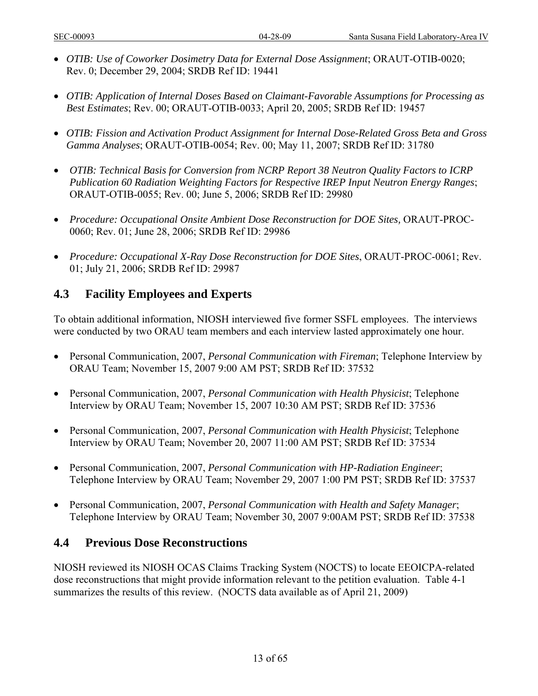- *OTIB: Use of Coworker Dosimetry Data for External Dose Assignment*; ORAUT-OTIB-0020; Rev. 0; December 29, 2004; SRDB Ref ID: 19441
- *OTIB: Application of Internal Doses Based on Claimant-Favorable Assumptions for Processing as Best Estimates*; Rev. 00; ORAUT-OTIB-0033; April 20, 2005; SRDB Ref ID: 19457
- *OTIB: Fission and Activation Product Assignment for Internal Dose-Related Gross Beta and Gross Gamma Analyses*; ORAUT-OTIB-0054; Rev. 00; May 11, 2007; SRDB Ref ID: 31780
- *OTIB: Technical Basis for Conversion from NCRP Report 38 Neutron Quality Factors to ICRP Publication 60 Radiation Weighting Factors for Respective IREP Input Neutron Energy Ranges*; ORAUT-OTIB-0055; Rev. 00; June 5, 2006; SRDB Ref ID: 29980
- *Procedure: Occupational Onsite Ambient Dose Reconstruction for DOE Sites, ORAUT-PROC-*0060; Rev. 01; June 28, 2006; SRDB Ref ID: 29986
- *Procedure: Occupational X-Ray Dose Reconstruction for DOE Sites*, ORAUT-PROC-0061; Rev. 01; July 21, 2006; SRDB Ref ID: 29987

# **4.3 Facility Employees and Experts**

To obtain additional information, NIOSH interviewed five former SSFL employees. The interviews were conducted by two ORAU team members and each interview lasted approximately one hour.

- Personal Communication, 2007, *Personal Communication with Fireman*; Telephone Interview by ORAU Team; November 15, 2007 9:00 AM PST; SRDB Ref ID: 37532
- Personal Communication, 2007, *Personal Communication with Health Physicist*; Telephone Interview by ORAU Team; November 15, 2007 10:30 AM PST; SRDB Ref ID: 37536
- Personal Communication, 2007, *Personal Communication with Health Physicist*; Telephone Interview by ORAU Team; November 20, 2007 11:00 AM PST; SRDB Ref ID: 37534
- Personal Communication, 2007, *Personal Communication with HP-Radiation Engineer*; Telephone Interview by ORAU Team; November 29, 2007 1:00 PM PST; SRDB Ref ID: 37537
- Personal Communication, 2007, *Personal Communication with Health and Safety Manager*; Telephone Interview by ORAU Team; November 30, 2007 9:00AM PST; SRDB Ref ID: 37538

# **4.4 Previous Dose Reconstructions**

NIOSH reviewed its NIOSH OCAS Claims Tracking System (NOCTS) to locate EEOICPA-related dose reconstructions that might provide information relevant to the petition evaluation. Table 4-1 summarizes the results of this review. (NOCTS data available as of April 21, 2009)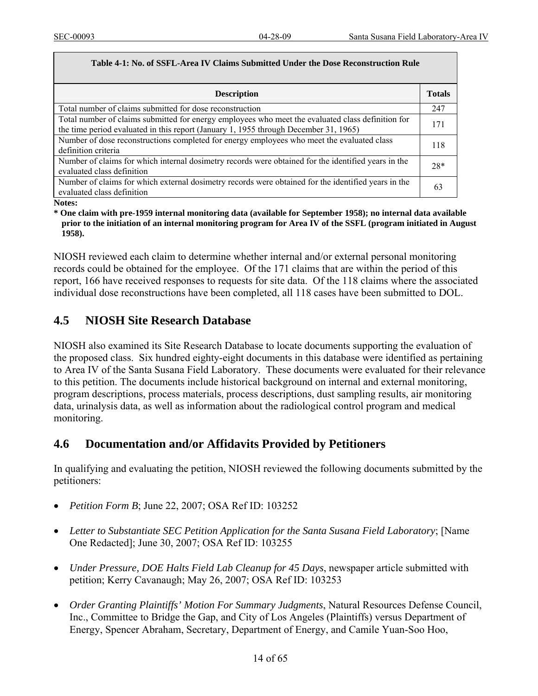| Table 4-1: No. of SSFL-Area IV Claims Submitted Under the Dose Reconstruction Rule                                                                                                        |               |
|-------------------------------------------------------------------------------------------------------------------------------------------------------------------------------------------|---------------|
| <b>Description</b>                                                                                                                                                                        | <b>Totals</b> |
| Total number of claims submitted for dose reconstruction                                                                                                                                  | 247           |
| Total number of claims submitted for energy employees who meet the evaluated class definition for<br>the time period evaluated in this report (January 1, 1955 through December 31, 1965) | 171           |
| Number of dose reconstructions completed for energy employees who meet the evaluated class<br>definition criteria                                                                         | 118           |
| Number of claims for which internal dosimetry records were obtained for the identified years in the<br>evaluated class definition                                                         | $28*$         |
| Number of claims for which external dosimetry records were obtained for the identified years in the<br>evaluated class definition                                                         | 63            |

**Notes:** 

**\* One claim with pre-1959 internal monitoring data (available for September 1958); no internal data available prior to the initiation of an internal monitoring program for Area IV of the SSFL (program initiated in August 1958).** 

NIOSH reviewed each claim to determine whether internal and/or external personal monitoring records could be obtained for the employee. Of the 171 claims that are within the period of this report, 166 have received responses to requests for site data. Of the 118 claims where the associated individual dose reconstructions have been completed, all 118 cases have been submitted to DOL.

# **4.5 NIOSH Site Research Database**

NIOSH also examined its Site Research Database to locate documents supporting the evaluation of the proposed class. Six hundred eighty-eight documents in this database were identified as pertaining to Area IV of the Santa Susana Field Laboratory. These documents were evaluated for their relevance to this petition. The documents include historical background on internal and external monitoring, program descriptions, process materials, process descriptions, dust sampling results, air monitoring data, urinalysis data, as well as information about the radiological control program and medical monitoring.

# **4.6 Documentation and/or Affidavits Provided by Petitioners**

In qualifying and evaluating the petition, NIOSH reviewed the following documents submitted by the petitioners:

- *Petition Form B*; June 22, 2007; OSA Ref ID: 103252
- *Letter to Substantiate SEC Petition Application for the Santa Susana Field Laboratory*; [Name One Redacted]; June 30, 2007; OSA Ref ID: 103255
- *Under Pressure, DOE Halts Field Lab Cleanup for 45 Days*, newspaper article submitted with petition; Kerry Cavanaugh; May 26, 2007; OSA Ref ID: 103253
- *Order Granting Plaintiffs' Motion For Summary Judgments*, Natural Resources Defense Council, Inc., Committee to Bridge the Gap, and City of Los Angeles (Plaintiffs) versus Department of Energy, Spencer Abraham, Secretary, Department of Energy, and Camile Yuan-Soo Hoo,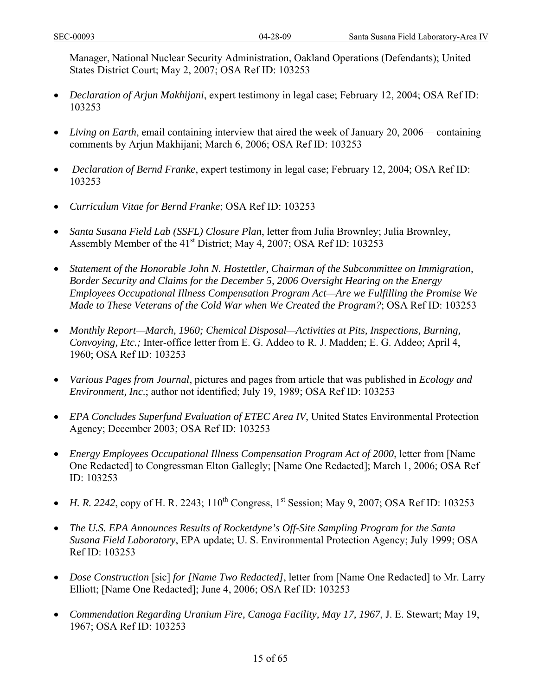Manager, National Nuclear Security Administration, Oakland Operations (Defendants); United States District Court; May 2, 2007; OSA Ref ID: 103253

- *Declaration of Arjun Makhijani*, expert testimony in legal case; February 12, 2004; OSA Ref ID: 103253
- *Living on Earth*, email containing interview that aired the week of January 20, 2006— containing comments by Arjun Makhijani; March 6, 2006; OSA Ref ID: 103253
- *Declaration of Bernd Franke*, expert testimony in legal case; February 12, 2004; OSA Ref ID: 103253
- *Curriculum Vitae for Bernd Franke*; OSA Ref ID: 103253
- *Santa Susana Field Lab (SSFL) Closure Plan*, letter from Julia Brownley; Julia Brownley, Assembly Member of the 41<sup>st</sup> District; May 4, 2007; OSA Ref ID: 103253
- *Statement of the Honorable John N. Hostettler, Chairman of the Subcommittee on Immigration, Border Security and Claims for the December 5, 2006 Oversight Hearing on the Energy Employees Occupational Illness Compensation Program Act—Are we Fulfilling the Promise We Made to These Veterans of the Cold War when We Created the Program?*; OSA Ref ID: 103253
- *Monthly Report—March, 1960; Chemical Disposal—Activities at Pits, Inspections, Burning, Convoying, Etc.;* Inter-office letter from E. G. Addeo to R. J. Madden; E. G. Addeo; April 4, 1960; OSA Ref ID: 103253
- *Various Pages from Journal*, pictures and pages from article that was published in *Ecology and Environment, Inc*.; author not identified; July 19, 1989; OSA Ref ID: 103253
- *EPA Concludes Superfund Evaluation of ETEC Area IV*, United States Environmental Protection Agency; December 2003; OSA Ref ID: 103253
- *Energy Employees Occupational Illness Compensation Program Act of 2000*, letter from [Name One Redacted] to Congressman Elton Gallegly; [Name One Redacted]; March 1, 2006; OSA Ref ID: 103253
- *H. R. 2242*, copy of H. R. 2243;  $110^{th}$  Congress,  $1^{st}$  Session; May 9, 2007; OSA Ref ID: 103253
- *The U.S. EPA Announces Results of Rocketdyne's Off-Site Sampling Program for the Santa Susana Field Laboratory*, EPA update; U. S. Environmental Protection Agency; July 1999; OSA Ref ID: 103253
- *Dose Construction* [sic] *for [Name Two Redacted]*, letter from [Name One Redacted] to Mr. Larry Elliott; [Name One Redacted]; June 4, 2006; OSA Ref ID: 103253
- *Commendation Regarding Uranium Fire, Canoga Facility, May 17, 1967*, J. E. Stewart; May 19, 1967; OSA Ref ID: 103253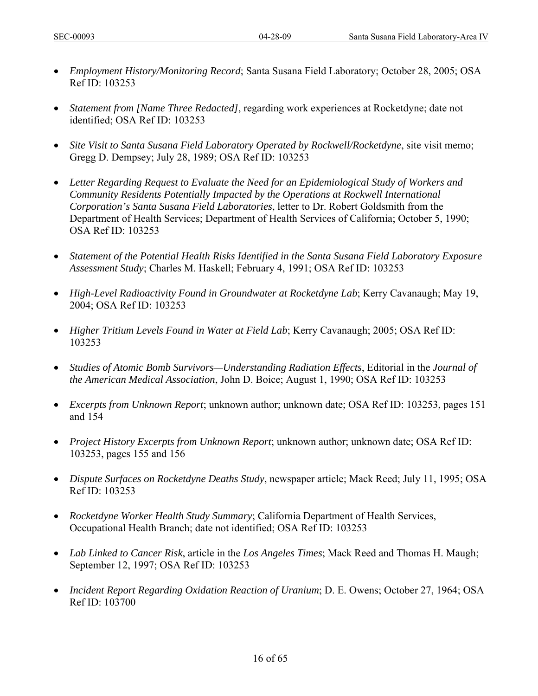- *Employment History/Monitoring Record*; Santa Susana Field Laboratory; October 28, 2005; OSA Ref ID: 103253
- *Statement from [Name Three Redacted]*, regarding work experiences at Rocketdyne; date not identified; OSA Ref ID: 103253
- *Site Visit to Santa Susana Field Laboratory Operated by Rockwell/Rocketdyne*, site visit memo; Gregg D. Dempsey; July 28, 1989; OSA Ref ID: 103253
- *Letter Regarding Request to Evaluate the Need for an Epidemiological Study of Workers and Community Residents Potentially Impacted by the Operations at Rockwell International Corporation's Santa Susana Field Laboratories*, letter to Dr. Robert Goldsmith from the Department of Health Services; Department of Health Services of California; October 5, 1990; OSA Ref ID: 103253
- *Statement of the Potential Health Risks Identified in the Santa Susana Field Laboratory Exposure Assessment Study*; Charles M. Haskell; February 4, 1991; OSA Ref ID: 103253
- *High-Level Radioactivity Found in Groundwater at Rocketdyne Lab*; Kerry Cavanaugh; May 19, 2004; OSA Ref ID: 103253
- *Higher Tritium Levels Found in Water at Field Lab*; Kerry Cavanaugh; 2005; OSA Ref ID: 103253
- *Studies of Atomic Bomb Survivors—Understanding Radiation Effects*, Editorial in the *Journal of the American Medical Association*, John D. Boice; August 1, 1990; OSA Ref ID: 103253
- *Excerpts from Unknown Report*; unknown author; unknown date; OSA Ref ID: 103253, pages 151 and 154
- *Project History Excerpts from Unknown Report*; unknown author; unknown date; OSA Ref ID: 103253, pages 155 and 156
- *Dispute Surfaces on Rocketdyne Deaths Study*, newspaper article; Mack Reed; July 11, 1995; OSA Ref ID: 103253
- *Rocketdyne Worker Health Study Summary*; California Department of Health Services, Occupational Health Branch; date not identified; OSA Ref ID: 103253
- *Lab Linked to Cancer Risk*, article in the *Los Angeles Times*; Mack Reed and Thomas H. Maugh; September 12, 1997; OSA Ref ID: 103253
- *Incident Report Regarding Oxidation Reaction of Uranium*; D. E. Owens; October 27, 1964; OSA Ref ID: 103700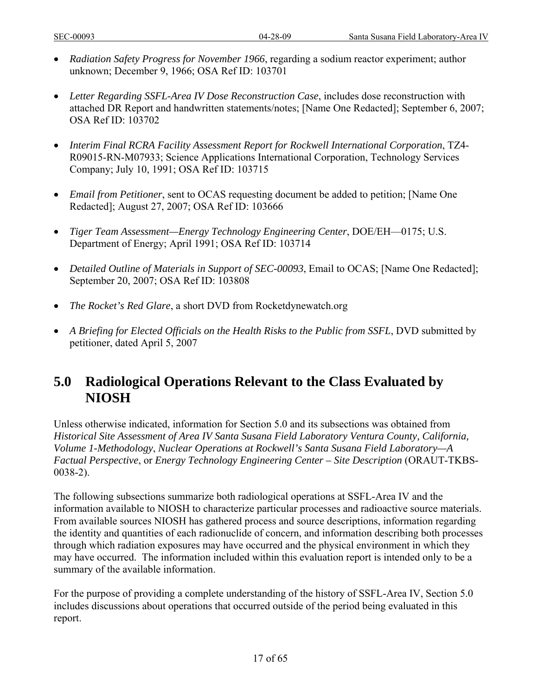- *Radiation Safety Progress for November 1966*, regarding a sodium reactor experiment; author unknown; December 9, 1966; OSA Ref ID: 103701
- *Letter Regarding SSFL-Area IV Dose Reconstruction Case*, includes dose reconstruction with attached DR Report and handwritten statements/notes; [Name One Redacted]; September 6, 2007; OSA Ref ID: 103702
- *Interim Final RCRA Facility Assessment Report for Rockwell International Corporation*, TZ4- R09015-RN-M07933; Science Applications International Corporation, Technology Services Company; July 10, 1991; OSA Ref ID: 103715
- *Email from Petitioner*, sent to OCAS requesting document be added to petition; [Name One Redacted]; August 27, 2007; OSA Ref ID: 103666
- *Tiger Team Assessment—Energy Technology Engineering Center*, DOE/EH—0175; U.S. Department of Energy; April 1991; OSA Ref ID: 103714
- *Detailed Outline of Materials in Support of SEC-00093*, Email to OCAS; [Name One Redacted]; September 20, 2007; OSA Ref ID: 103808
- *The Rocket's Red Glare*, a short DVD from Rocketdynewatch.org
- *A Briefing for Elected Officials on the Health Risks to the Public from SSFL*, DVD submitted by petitioner, dated April 5, 2007

# **5.0 Radiological Operations Relevant to the Class Evaluated by NIOSH**

Unless otherwise indicated, information for Section 5.0 and its subsections was obtained from *Historical Site Assessment of Area IV Santa Susana Field Laboratory Ventura County, California, Volume 1-Methodology*, *Nuclear Operations at Rockwell's Santa Susana Field Laboratory—A Factual Perspective*, or *Energy Technology Engineering Center – Site Description* (ORAUT-TKBS-0038-2).

The following subsections summarize both radiological operations at SSFL-Area IV and the information available to NIOSH to characterize particular processes and radioactive source materials. From available sources NIOSH has gathered process and source descriptions, information regarding the identity and quantities of each radionuclide of concern, and information describing both processes through which radiation exposures may have occurred and the physical environment in which they may have occurred. The information included within this evaluation report is intended only to be a summary of the available information.

For the purpose of providing a complete understanding of the history of SSFL-Area IV, Section 5.0 includes discussions about operations that occurred outside of the period being evaluated in this report.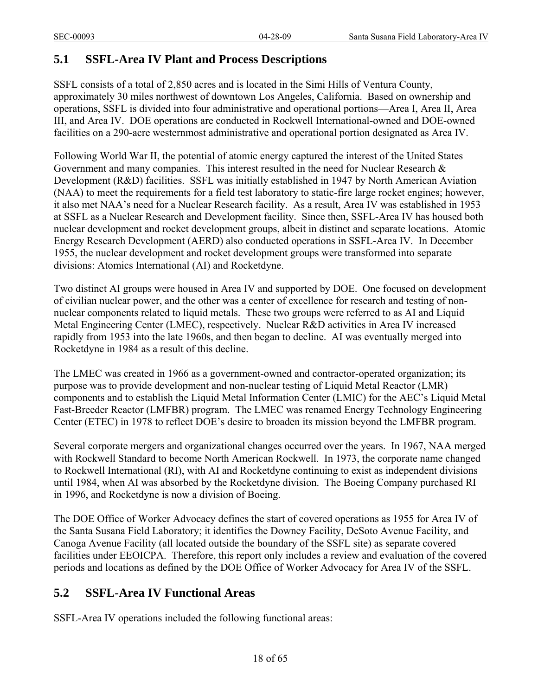# **5.1 SSFL-Area IV Plant and Process Descriptions**

SSFL consists of a total of 2,850 acres and is located in the Simi Hills of Ventura County, approximately 30 miles northwest of downtown Los Angeles, California. Based on ownership and operations, SSFL is divided into four administrative and operational portions—Area I, Area II, Area III, and Area IV. DOE operations are conducted in Rockwell International-owned and DOE-owned facilities on a 290-acre westernmost administrative and operational portion designated as Area IV.

Following World War II, the potential of atomic energy captured the interest of the United States Government and many companies. This interest resulted in the need for Nuclear Research & Development (R&D) facilities. SSFL was initially established in 1947 by North American Aviation (NAA) to meet the requirements for a field test laboratory to static-fire large rocket engines; however, it also met NAA's need for a Nuclear Research facility. As a result, Area IV was established in 1953 at SSFL as a Nuclear Research and Development facility. Since then, SSFL-Area IV has housed both nuclear development and rocket development groups, albeit in distinct and separate locations. Atomic Energy Research Development (AERD) also conducted operations in SSFL-Area IV. In December 1955, the nuclear development and rocket development groups were transformed into separate divisions: Atomics International (AI) and Rocketdyne.

Two distinct AI groups were housed in Area IV and supported by DOE. One focused on development of civilian nuclear power, and the other was a center of excellence for research and testing of nonnuclear components related to liquid metals. These two groups were referred to as AI and Liquid Metal Engineering Center (LMEC), respectively. Nuclear R&D activities in Area IV increased rapidly from 1953 into the late 1960s, and then began to decline. AI was eventually merged into Rocketdyne in 1984 as a result of this decline.

The LMEC was created in 1966 as a government-owned and contractor-operated organization; its purpose was to provide development and non-nuclear testing of Liquid Metal Reactor (LMR) components and to establish the Liquid Metal Information Center (LMIC) for the AEC's Liquid Metal Fast-Breeder Reactor (LMFBR) program. The LMEC was renamed Energy Technology Engineering Center (ETEC) in 1978 to reflect DOE's desire to broaden its mission beyond the LMFBR program.

Several corporate mergers and organizational changes occurred over the years. In 1967, NAA merged with Rockwell Standard to become North American Rockwell. In 1973, the corporate name changed to Rockwell International (RI), with AI and Rocketdyne continuing to exist as independent divisions until 1984, when AI was absorbed by the Rocketdyne division. The Boeing Company purchased RI in 1996, and Rocketdyne is now a division of Boeing.

The DOE Office of Worker Advocacy defines the start of covered operations as 1955 for Area IV of the Santa Susana Field Laboratory; it identifies the Downey Facility, DeSoto Avenue Facility, and Canoga Avenue Facility (all located outside the boundary of the SSFL site) as separate covered facilities under EEOICPA. Therefore, this report only includes a review and evaluation of the covered periods and locations as defined by the DOE Office of Worker Advocacy for Area IV of the SSFL.

# **5.2 SSFL-Area IV Functional Areas**

SSFL-Area IV operations included the following functional areas: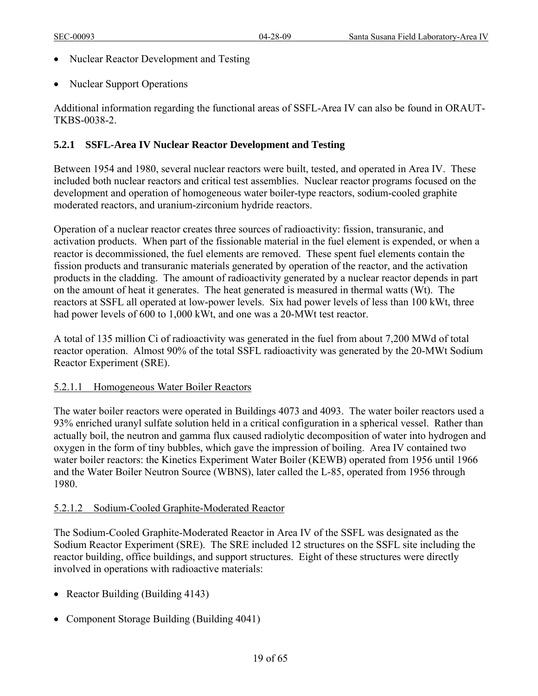- Nuclear Reactor Development and Testing
- Nuclear Support Operations

Additional information regarding the functional areas of SSFL-Area IV can also be found in ORAUT-TKBS-0038-2.

## **5.2.1 SSFL-Area IV Nuclear Reactor Development and Testing**

Between 1954 and 1980, several nuclear reactors were built, tested, and operated in Area IV. These included both nuclear reactors and critical test assemblies. Nuclear reactor programs focused on the development and operation of homogeneous water boiler-type reactors, sodium-cooled graphite moderated reactors, and uranium-zirconium hydride reactors.

Operation of a nuclear reactor creates three sources of radioactivity: fission, transuranic, and activation products. When part of the fissionable material in the fuel element is expended, or when a reactor is decommissioned, the fuel elements are removed. These spent fuel elements contain the fission products and transuranic materials generated by operation of the reactor, and the activation products in the cladding. The amount of radioactivity generated by a nuclear reactor depends in part on the amount of heat it generates. The heat generated is measured in thermal watts (Wt). The reactors at SSFL all operated at low-power levels. Six had power levels of less than 100 kWt, three had power levels of 600 to 1,000 kWt, and one was a 20-MWt test reactor.

A total of 135 million Ci of radioactivity was generated in the fuel from about 7,200 MWd of total reactor operation. Almost 90% of the total SSFL radioactivity was generated by the 20-MWt Sodium Reactor Experiment (SRE).

#### 5.2.1.1 Homogeneous Water Boiler Reactors

The water boiler reactors were operated in Buildings 4073 and 4093. The water boiler reactors used a 93% enriched uranyl sulfate solution held in a critical configuration in a spherical vessel. Rather than actually boil, the neutron and gamma flux caused radiolytic decomposition of water into hydrogen and oxygen in the form of tiny bubbles, which gave the impression of boiling. Area IV contained two water boiler reactors: the Kinetics Experiment Water Boiler (KEWB) operated from 1956 until 1966 and the Water Boiler Neutron Source (WBNS), later called the L-85, operated from 1956 through 1980.

## 5.2.1.2 Sodium-Cooled Graphite-Moderated Reactor

The Sodium-Cooled Graphite-Moderated Reactor in Area IV of the SSFL was designated as the Sodium Reactor Experiment (SRE). The SRE included 12 structures on the SSFL site including the reactor building, office buildings, and support structures. Eight of these structures were directly involved in operations with radioactive materials:

- Reactor Building (Building 4143)
- Component Storage Building (Building 4041)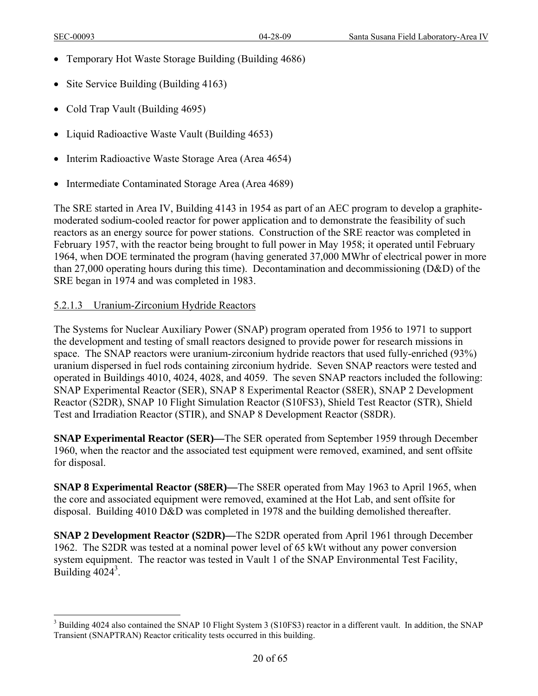- Temporary Hot Waste Storage Building (Building 4686)
- Site Service Building (Building 4163)
- Cold Trap Vault (Building 4695)
- Liquid Radioactive Waste Vault (Building 4653)
- Interim Radioactive Waste Storage Area (Area 4654)
- Intermediate Contaminated Storage Area (Area 4689)

The SRE started in Area IV, Building 4143 in 1954 as part of an AEC program to develop a graphitemoderated sodium-cooled reactor for power application and to demonstrate the feasibility of such reactors as an energy source for power stations. Construction of the SRE reactor was completed in February 1957, with the reactor being brought to full power in May 1958; it operated until February 1964, when DOE terminated the program (having generated 37,000 MWhr of electrical power in more than 27,000 operating hours during this time). Decontamination and decommissioning (D&D) of the SRE began in 1974 and was completed in 1983.

#### 5.2.1.3 Uranium-Zirconium Hydride Reactors

The Systems for Nuclear Auxiliary Power (SNAP) program operated from 1956 to 1971 to support the development and testing of small reactors designed to provide power for research missions in space. The SNAP reactors were uranium-zirconium hydride reactors that used fully-enriched (93%) uranium dispersed in fuel rods containing zirconium hydride. Seven SNAP reactors were tested and operated in Buildings 4010, 4024, 4028, and 4059. The seven SNAP reactors included the following: SNAP Experimental Reactor (SER), SNAP 8 Experimental Reactor (S8ER), SNAP 2 Development Reactor (S2DR), SNAP 10 Flight Simulation Reactor (S10FS3), Shield Test Reactor (STR), Shield Test and Irradiation Reactor (STIR), and SNAP 8 Development Reactor (S8DR).

**SNAP Experimental Reactor (SER)—**The SER operated from September 1959 through December 1960, when the reactor and the associated test equipment were removed, examined, and sent offsite for disposal.

**SNAP 8 Experimental Reactor (S8ER)—**The S8ER operated from May 1963 to April 1965, when the core and associated equipment were removed, examined at the Hot Lab, and sent offsite for disposal. Building 4010 D&D was completed in 1978 and the building demolished thereafter.

**SNAP 2 Development Reactor (S2DR)—**The S2DR operated from April 1961 through December 1962. The S2DR was tested at a nominal power level of 65 kWt without any power conversion system equipment. The reactor was tested in Vault 1 of the SNAP Environmental Test Facility, Building  $4024^3$ .

 $\overline{a}$ <sup>3</sup> Building 4024 also contained the SNAP 10 Flight System 3 (S10FS3) reactor in a different vault. In addition, the SNAP Transient (SNAPTRAN) Reactor criticality tests occurred in this building.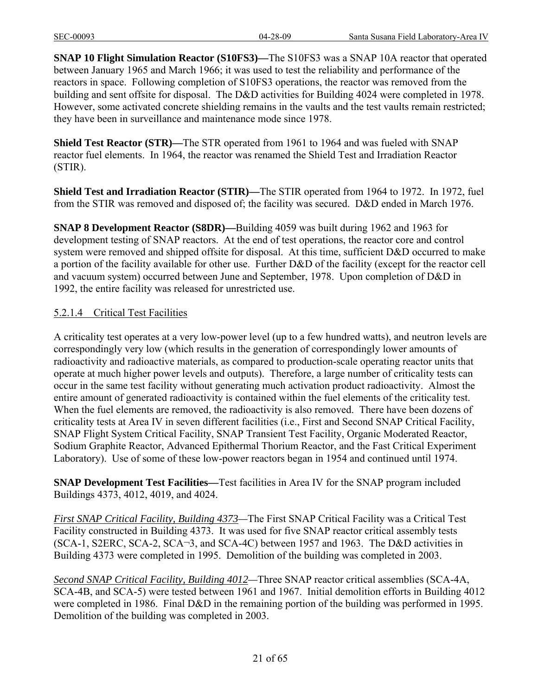| <b>SEC-00093</b> | $04 - 28 - 09$ | Santa Susana Field Laboratory-Area IV |
|------------------|----------------|---------------------------------------|
|                  |                |                                       |

**SNAP 10 Flight Simulation Reactor (S10FS3)—**The S10FS3 was a SNAP 10A reactor that operated between January 1965 and March 1966; it was used to test the reliability and performance of the reactors in space. Following completion of S10FS3 operations, the reactor was removed from the building and sent offsite for disposal. The D&D activities for Building 4024 were completed in 1978. However, some activated concrete shielding remains in the vaults and the test vaults remain restricted; they have been in surveillance and maintenance mode since 1978.

**Shield Test Reactor (STR)—**The STR operated from 1961 to 1964 and was fueled with SNAP reactor fuel elements. In 1964, the reactor was renamed the Shield Test and Irradiation Reactor (STIR).

**Shield Test and Irradiation Reactor (STIR)—**The STIR operated from 1964 to 1972. In 1972, fuel from the STIR was removed and disposed of; the facility was secured. D&D ended in March 1976.

**SNAP 8 Development Reactor (S8DR)—**Building 4059 was built during 1962 and 1963 for development testing of SNAP reactors. At the end of test operations, the reactor core and control system were removed and shipped offsite for disposal. At this time, sufficient D&D occurred to make a portion of the facility available for other use. Further D&D of the facility (except for the reactor cell and vacuum system) occurred between June and September, 1978. Upon completion of D&D in 1992, the entire facility was released for unrestricted use.

## 5.2.1.4 Critical Test Facilities

A criticality test operates at a very low-power level (up to a few hundred watts), and neutron levels are correspondingly very low (which results in the generation of correspondingly lower amounts of radioactivity and radioactive materials, as compared to production-scale operating reactor units that operate at much higher power levels and outputs). Therefore, a large number of criticality tests can occur in the same test facility without generating much activation product radioactivity. Almost the entire amount of generated radioactivity is contained within the fuel elements of the criticality test. When the fuel elements are removed, the radioactivity is also removed. There have been dozens of criticality tests at Area IV in seven different facilities (i.e., First and Second SNAP Critical Facility, SNAP Flight System Critical Facility, SNAP Transient Test Facility, Organic Moderated Reactor, Sodium Graphite Reactor, Advanced Epithermal Thorium Reactor, and the Fast Critical Experiment Laboratory). Use of some of these low-power reactors began in 1954 and continued until 1974.

**SNAP Development Test Facilities—**Test facilities in Area IV for the SNAP program included Buildings 4373, 4012, 4019, and 4024.

*First SNAP Critical Facility, Building 4373—*The First SNAP Critical Facility was a Critical Test Facility constructed in Building 4373. It was used for five SNAP reactor critical assembly tests (SCA-1, S2ERC, SCA-2, SCA¬3, and SCA-4C) between 1957 and 1963. The D&D activities in Building 4373 were completed in 1995. Demolition of the building was completed in 2003.

*Second SNAP Critical Facility, Building 4012—*Three SNAP reactor critical assemblies (SCA-4A, SCA-4B, and SCA-5) were tested between 1961 and 1967. Initial demolition efforts in Building 4012 were completed in 1986. Final D&D in the remaining portion of the building was performed in 1995. Demolition of the building was completed in 2003.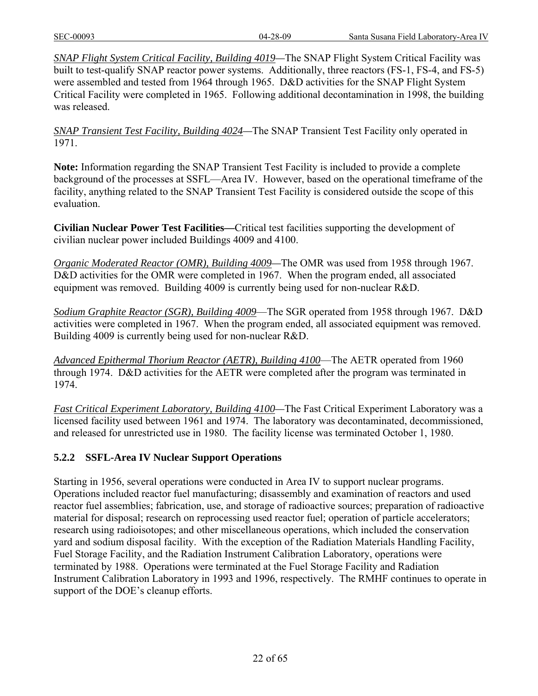| <b>SEC-00093</b> |  |
|------------------|--|
|                  |  |

*SNAP Flight System Critical Facility, Building 4019—*The SNAP Flight System Critical Facility was built to test-qualify SNAP reactor power systems. Additionally, three reactors (FS-1, FS-4, and FS-5) were assembled and tested from 1964 through 1965. D&D activities for the SNAP Flight System Critical Facility were completed in 1965. Following additional decontamination in 1998, the building was released.

*SNAP Transient Test Facility, Building 4024—*The SNAP Transient Test Facility only operated in 1971.

**Note:** Information regarding the SNAP Transient Test Facility is included to provide a complete background of the processes at SSFL—Area IV. However, based on the operational timeframe of the facility, anything related to the SNAP Transient Test Facility is considered outside the scope of this evaluation.

**Civilian Nuclear Power Test Facilities—**Critical test facilities supporting the development of civilian nuclear power included Buildings 4009 and 4100.

*Organic Moderated Reactor (OMR), Building 4009—*The OMR was used from 1958 through 1967. D&D activities for the OMR were completed in 1967. When the program ended, all associated equipment was removed. Building 4009 is currently being used for non-nuclear R&D.

*Sodium Graphite Reactor (SGR), Building 4009*—The SGR operated from 1958 through 1967. D&D activities were completed in 1967. When the program ended, all associated equipment was removed. Building 4009 is currently being used for non-nuclear R&D.

*Advanced Epithermal Thorium Reactor (AETR), Building 4100*—The AETR operated from 1960 through 1974. D&D activities for the AETR were completed after the program was terminated in 1974.

*Fast Critical Experiment Laboratory, Building 4100—*The Fast Critical Experiment Laboratory was a licensed facility used between 1961 and 1974. The laboratory was decontaminated, decommissioned, and released for unrestricted use in 1980. The facility license was terminated October 1, 1980.

## **5.2.2 SSFL-Area IV Nuclear Support Operations**

Starting in 1956, several operations were conducted in Area IV to support nuclear programs. Operations included reactor fuel manufacturing; disassembly and examination of reactors and used reactor fuel assemblies; fabrication, use, and storage of radioactive sources; preparation of radioactive material for disposal; research on reprocessing used reactor fuel; operation of particle accelerators; research using radioisotopes; and other miscellaneous operations, which included the conservation yard and sodium disposal facility. With the exception of the Radiation Materials Handling Facility, Fuel Storage Facility, and the Radiation Instrument Calibration Laboratory, operations were terminated by 1988. Operations were terminated at the Fuel Storage Facility and Radiation Instrument Calibration Laboratory in 1993 and 1996, respectively. The RMHF continues to operate in support of the DOE's cleanup efforts.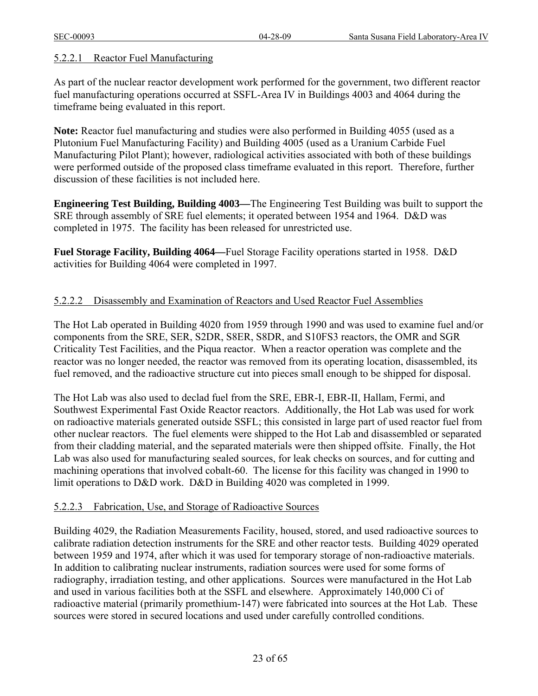#### 5.2.2.1 Reactor Fuel Manufacturing

As part of the nuclear reactor development work performed for the government, two different reactor fuel manufacturing operations occurred at SSFL-Area IV in Buildings 4003 and 4064 during the timeframe being evaluated in this report.

**Note:** Reactor fuel manufacturing and studies were also performed in Building 4055 (used as a Plutonium Fuel Manufacturing Facility) and Building 4005 (used as a Uranium Carbide Fuel Manufacturing Pilot Plant); however, radiological activities associated with both of these buildings were performed outside of the proposed class timeframe evaluated in this report. Therefore, further discussion of these facilities is not included here.

**Engineering Test Building, Building 4003—**The Engineering Test Building was built to support the SRE through assembly of SRE fuel elements; it operated between 1954 and 1964. D&D was completed in 1975. The facility has been released for unrestricted use.

**Fuel Storage Facility, Building 4064—**Fuel Storage Facility operations started in 1958. D&D activities for Building 4064 were completed in 1997.

### 5.2.2.2 Disassembly and Examination of Reactors and Used Reactor Fuel Assemblies

The Hot Lab operated in Building 4020 from 1959 through 1990 and was used to examine fuel and/or components from the SRE, SER, S2DR, S8ER, S8DR, and S10FS3 reactors, the OMR and SGR Criticality Test Facilities, and the Piqua reactor. When a reactor operation was complete and the reactor was no longer needed, the reactor was removed from its operating location, disassembled, its fuel removed, and the radioactive structure cut into pieces small enough to be shipped for disposal.

The Hot Lab was also used to declad fuel from the SRE, EBR-I, EBR-II, Hallam, Fermi, and Southwest Experimental Fast Oxide Reactor reactors. Additionally, the Hot Lab was used for work on radioactive materials generated outside SSFL; this consisted in large part of used reactor fuel from other nuclear reactors. The fuel elements were shipped to the Hot Lab and disassembled or separated from their cladding material, and the separated materials were then shipped offsite. Finally, the Hot Lab was also used for manufacturing sealed sources, for leak checks on sources, and for cutting and machining operations that involved cobalt-60. The license for this facility was changed in 1990 to limit operations to D&D work. D&D in Building 4020 was completed in 1999.

#### 5.2.2.3 Fabrication, Use, and Storage of Radioactive Sources

Building 4029, the Radiation Measurements Facility, housed, stored, and used radioactive sources to calibrate radiation detection instruments for the SRE and other reactor tests. Building 4029 operated between 1959 and 1974, after which it was used for temporary storage of non-radioactive materials. In addition to calibrating nuclear instruments, radiation sources were used for some forms of radiography, irradiation testing, and other applications. Sources were manufactured in the Hot Lab and used in various facilities both at the SSFL and elsewhere. Approximately 140,000 Ci of radioactive material (primarily promethium-147) were fabricated into sources at the Hot Lab. These sources were stored in secured locations and used under carefully controlled conditions.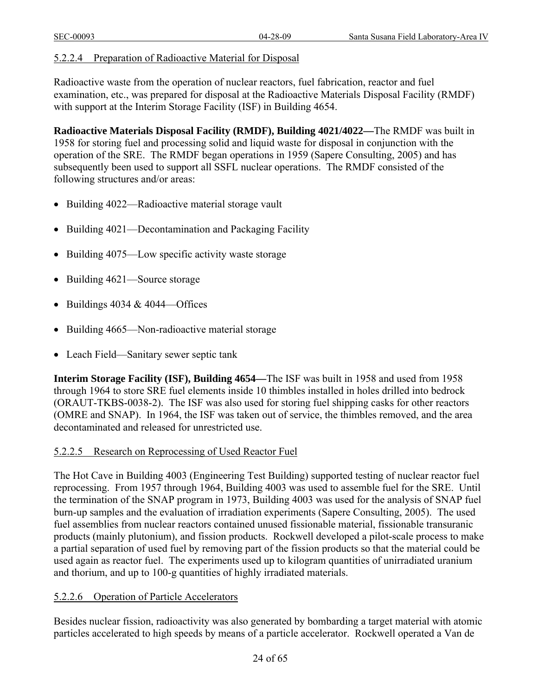### 5.2.2.4 Preparation of Radioactive Material for Disposal

Radioactive waste from the operation of nuclear reactors, fuel fabrication, reactor and fuel examination, etc., was prepared for disposal at the Radioactive Materials Disposal Facility (RMDF) with support at the Interim Storage Facility (ISF) in Building 4654.

**Radioactive Materials Disposal Facility (RMDF), Building 4021/4022—**The RMDF was built in 1958 for storing fuel and processing solid and liquid waste for disposal in conjunction with the operation of the SRE. The RMDF began operations in 1959 (Sapere Consulting, 2005) and has subsequently been used to support all SSFL nuclear operations. The RMDF consisted of the following structures and/or areas:

- Building 4022—Radioactive material storage vault
- Building 4021—Decontamination and Packaging Facility
- Building 4075—Low specific activity waste storage
- Building 4621—Source storage
- Buildings  $4034 \& 4044$ —Offices
- Building 4665—Non-radioactive material storage
- Leach Field—Sanitary sewer septic tank

**Interim Storage Facility (ISF), Building 4654—**The ISF was built in 1958 and used from 1958 through 1964 to store SRE fuel elements inside 10 thimbles installed in holes drilled into bedrock (ORAUT-TKBS-0038-2). The ISF was also used for storing fuel shipping casks for other reactors (OMRE and SNAP). In 1964, the ISF was taken out of service, the thimbles removed, and the area decontaminated and released for unrestricted use.

#### 5.2.2.5 Research on Reprocessing of Used Reactor Fuel

The Hot Cave in Building 4003 (Engineering Test Building) supported testing of nuclear reactor fuel reprocessing. From 1957 through 1964, Building 4003 was used to assemble fuel for the SRE. Until the termination of the SNAP program in 1973, Building 4003 was used for the analysis of SNAP fuel burn-up samples and the evaluation of irradiation experiments (Sapere Consulting, 2005). The used fuel assemblies from nuclear reactors contained unused fissionable material, fissionable transuranic products (mainly plutonium), and fission products. Rockwell developed a pilot-scale process to make a partial separation of used fuel by removing part of the fission products so that the material could be used again as reactor fuel. The experiments used up to kilogram quantities of unirradiated uranium and thorium, and up to 100-g quantities of highly irradiated materials.

#### 5.2.2.6 Operation of Particle Accelerators

Besides nuclear fission, radioactivity was also generated by bombarding a target material with atomic particles accelerated to high speeds by means of a particle accelerator. Rockwell operated a Van de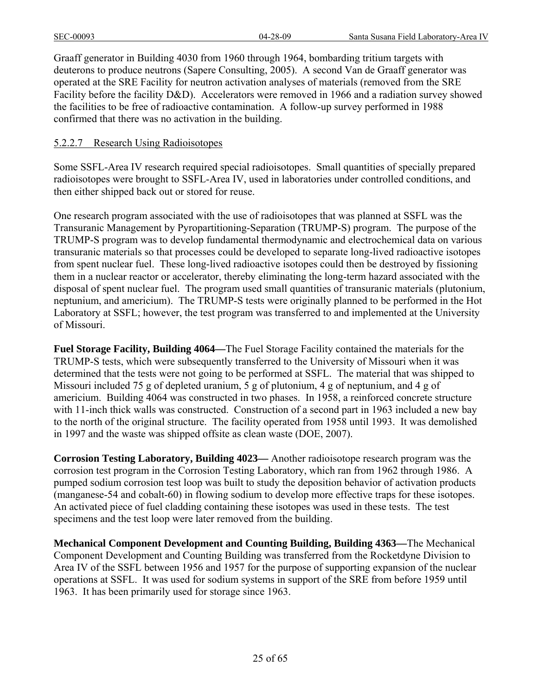| <b>SEC-00093</b> | 04-28-09 | Santa Susana Field Laboratory-Area IV |
|------------------|----------|---------------------------------------|
|                  |          |                                       |

Graaff generator in Building 4030 from 1960 through 1964, bombarding tritium targets with deuterons to produce neutrons (Sapere Consulting, 2005). A second Van de Graaff generator was operated at the SRE Facility for neutron activation analyses of materials (removed from the SRE Facility before the facility D&D). Accelerators were removed in 1966 and a radiation survey showed the facilities to be free of radioactive contamination. A follow-up survey performed in 1988 confirmed that there was no activation in the building.

### 5.2.2.7 Research Using Radioisotopes

Some SSFL-Area IV research required special radioisotopes. Small quantities of specially prepared radioisotopes were brought to SSFL-Area IV, used in laboratories under controlled conditions, and then either shipped back out or stored for reuse.

One research program associated with the use of radioisotopes that was planned at SSFL was the Transuranic Management by Pyropartitioning-Separation (TRUMP-S) program. The purpose of the TRUMP-S program was to develop fundamental thermodynamic and electrochemical data on various transuranic materials so that processes could be developed to separate long-lived radioactive isotopes from spent nuclear fuel. These long-lived radioactive isotopes could then be destroyed by fissioning them in a nuclear reactor or accelerator, thereby eliminating the long-term hazard associated with the disposal of spent nuclear fuel. The program used small quantities of transuranic materials (plutonium, neptunium, and americium). The TRUMP-S tests were originally planned to be performed in the Hot Laboratory at SSFL; however, the test program was transferred to and implemented at the University of Missouri.

**Fuel Storage Facility, Building 4064—**The Fuel Storage Facility contained the materials for the TRUMP-S tests, which were subsequently transferred to the University of Missouri when it was determined that the tests were not going to be performed at SSFL. The material that was shipped to Missouri included 75 g of depleted uranium, 5 g of plutonium, 4 g of neptunium, and 4 g of americium. Building 4064 was constructed in two phases. In 1958, a reinforced concrete structure with 11-inch thick walls was constructed. Construction of a second part in 1963 included a new bay to the north of the original structure. The facility operated from 1958 until 1993. It was demolished in 1997 and the waste was shipped offsite as clean waste (DOE, 2007).

**Corrosion Testing Laboratory, Building 4023—** Another radioisotope research program was the corrosion test program in the Corrosion Testing Laboratory, which ran from 1962 through 1986. A pumped sodium corrosion test loop was built to study the deposition behavior of activation products (manganese-54 and cobalt-60) in flowing sodium to develop more effective traps for these isotopes. An activated piece of fuel cladding containing these isotopes was used in these tests. The test specimens and the test loop were later removed from the building.

**Mechanical Component Development and Counting Building, Building 4363—**The Mechanical Component Development and Counting Building was transferred from the Rocketdyne Division to Area IV of the SSFL between 1956 and 1957 for the purpose of supporting expansion of the nuclear operations at SSFL. It was used for sodium systems in support of the SRE from before 1959 until 1963. It has been primarily used for storage since 1963.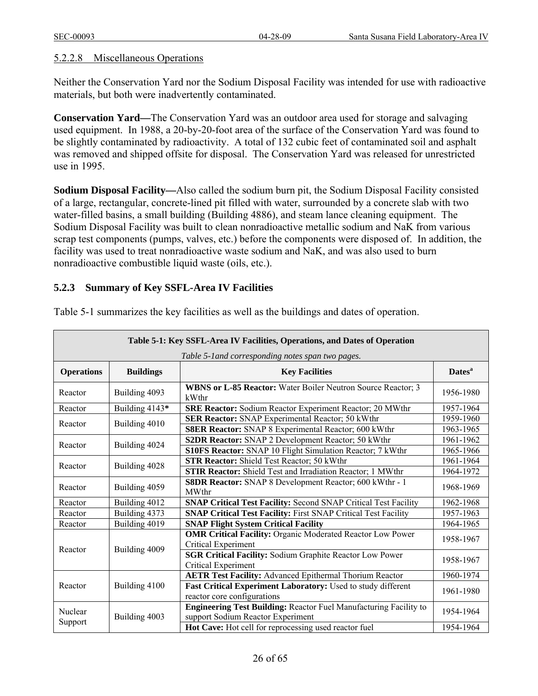#### 5.2.2.8 Miscellaneous Operations

Neither the Conservation Yard nor the Sodium Disposal Facility was intended for use with radioactive materials, but both were inadvertently contaminated.

**Conservation Yard—**The Conservation Yard was an outdoor area used for storage and salvaging used equipment. In 1988, a 20-by-20-foot area of the surface of the Conservation Yard was found to be slightly contaminated by radioactivity. A total of 132 cubic feet of contaminated soil and asphalt was removed and shipped offsite for disposal. The Conservation Yard was released for unrestricted use in 1995.

**Sodium Disposal Facility—**Also called the sodium burn pit, the Sodium Disposal Facility consisted of a large, rectangular, concrete-lined pit filled with water, surrounded by a concrete slab with two water-filled basins, a small building (Building 4886), and steam lance cleaning equipment. The Sodium Disposal Facility was built to clean nonradioactive metallic sodium and NaK from various scrap test components (pumps, valves, etc.) before the components were disposed of. In addition, the facility was used to treat nonradioactive waste sodium and NaK, and was also used to burn nonradioactive combustible liquid waste (oils, etc.).

### **5.2.3 Summary of Key SSFL-Area IV Facilities**

| Table 5-1: Key SSFL-Area IV Facilities, Operations, and Dates of Operation |                                                                                                 |                                                                                                        |                    |
|----------------------------------------------------------------------------|-------------------------------------------------------------------------------------------------|--------------------------------------------------------------------------------------------------------|--------------------|
|                                                                            |                                                                                                 | Table 5-1 and corresponding notes span two pages.                                                      |                    |
| <b>Operations</b>                                                          | <b>Buildings</b>                                                                                | <b>Key Facilities</b>                                                                                  | Dates <sup>a</sup> |
| Reactor                                                                    | Building 4093                                                                                   | WBNS or L-85 Reactor: Water Boiler Neutron Source Reactor; 3<br>kWthr                                  | 1956-1980          |
| Reactor                                                                    | Building 4143*                                                                                  | <b>SRE Reactor:</b> Sodium Reactor Experiment Reactor; 20 MWthr                                        | 1957-1964          |
| Reactor                                                                    | Building 4010                                                                                   | <b>SER Reactor:</b> SNAP Experimental Reactor; 50 kWthr                                                | 1959-1960          |
|                                                                            |                                                                                                 | <b>S8ER Reactor:</b> SNAP 8 Experimental Reactor; 600 kWthr                                            | 1963-1965          |
| Reactor                                                                    | Building 4024                                                                                   | <b>S2DR Reactor:</b> SNAP 2 Development Reactor; 50 kWthr                                              | 1961-1962          |
|                                                                            |                                                                                                 | S10FS Reactor: SNAP 10 Flight Simulation Reactor; 7 kWthr                                              | 1965-1966          |
| Reactor                                                                    |                                                                                                 | STR Reactor: Shield Test Reactor; 50 kWthr                                                             | 1961-1964          |
|                                                                            | Building 4028                                                                                   | <b>STIR Reactor:</b> Shield Test and Irradiation Reactor; 1 MWthr                                      | 1964-1972          |
| Reactor                                                                    | Building 4059                                                                                   | <b>S8DR Reactor:</b> SNAP 8 Development Reactor; 600 kWthr - 1<br>1968-1969<br>MWthr                   |                    |
| Reactor                                                                    | Building 4012                                                                                   | <b>SNAP Critical Test Facility: Second SNAP Critical Test Facility</b>                                 | 1962-1968          |
| Reactor                                                                    | Building 4373                                                                                   | <b>SNAP Critical Test Facility: First SNAP Critical Test Facility</b>                                  | 1957-1963          |
| Reactor                                                                    | Building 4019                                                                                   | <b>SNAP Flight System Critical Facility</b>                                                            | 1964-1965          |
| Reactor                                                                    | <b>OMR Critical Facility: Organic Moderated Reactor Low Power</b><br><b>Critical Experiment</b> |                                                                                                        | 1958-1967          |
| Building 4009                                                              |                                                                                                 | <b>SGR Critical Facility: Sodium Graphite Reactor Low Power</b><br><b>Critical Experiment</b>          | 1958-1967          |
|                                                                            |                                                                                                 | <b>AETR Test Facility: Advanced Epithermal Thorium Reactor</b>                                         | 1960-1974          |
| Reactor                                                                    | Building 4100                                                                                   | Fast Critical Experiment Laboratory: Used to study different<br>reactor core configurations            | 1961-1980          |
| Nuclear                                                                    | Building 4003                                                                                   | Engineering Test Building: Reactor Fuel Manufacturing Facility to<br>support Sodium Reactor Experiment | 1954-1964          |
| Support                                                                    |                                                                                                 | Hot Cave: Hot cell for reprocessing used reactor fuel                                                  | 1954-1964          |

Table 5-1 summarizes the key facilities as well as the buildings and dates of operation.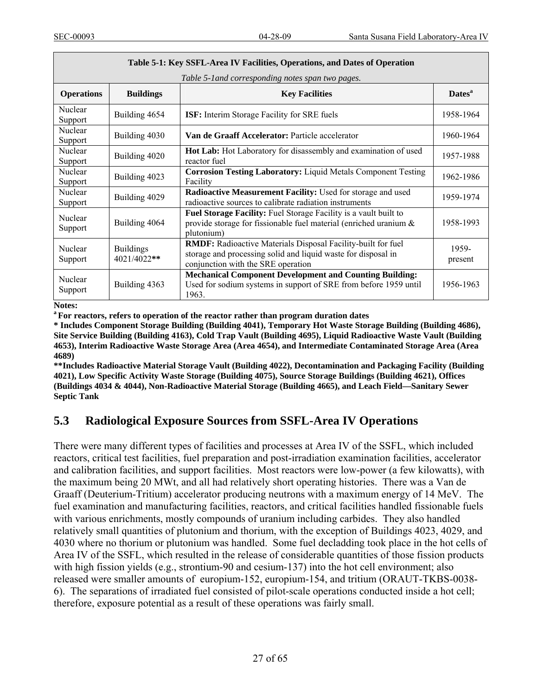| Table 5-1: Key SSFL-Area IV Facilities, Operations, and Dates of Operation |                                 |                                                                                                                                                                            |                    |
|----------------------------------------------------------------------------|---------------------------------|----------------------------------------------------------------------------------------------------------------------------------------------------------------------------|--------------------|
|                                                                            |                                 | Table 5-1 and corresponding notes span two pages.                                                                                                                          |                    |
| <b>Operations</b>                                                          | <b>Buildings</b>                | <b>Key Facilities</b>                                                                                                                                                      | Dates <sup>a</sup> |
| Nuclear<br>Support                                                         | Building 4654                   | <b>ISF:</b> Interim Storage Facility for SRE fuels                                                                                                                         | 1958-1964          |
| Nuclear<br>Support                                                         | Building 4030                   | Van de Graaff Accelerator: Particle accelerator                                                                                                                            | 1960-1964          |
| Nuclear<br>Support                                                         | Building 4020                   | Hot Lab: Hot Laboratory for disassembly and examination of used<br>reactor fuel                                                                                            | 1957-1988          |
| Nuclear<br>Support                                                         | Building 4023                   | <b>Corrosion Testing Laboratory:</b> Liquid Metals Component Testing<br>Facility                                                                                           | 1962-1986          |
| Nuclear<br>Support                                                         | Building 4029                   | Radioactive Measurement Facility: Used for storage and used<br>radioactive sources to calibrate radiation instruments                                                      | 1959-1974          |
| Nuclear<br>Support                                                         | Building 4064                   | <b>Fuel Storage Facility:</b> Fuel Storage Facility is a vault built to<br>provide storage for fissionable fuel material (enriched uranium $\&$<br>plutonium)              | 1958-1993          |
| Nuclear<br>Support                                                         | <b>Buildings</b><br>4021/4022** | <b>RMDF:</b> Radioactive Materials Disposal Facility-built for fuel<br>storage and processing solid and liquid waste for disposal in<br>conjunction with the SRE operation | 1959-<br>present   |
| Nuclear<br>Support                                                         | Building 4363                   | <b>Mechanical Component Development and Counting Building:</b><br>Used for sodium systems in support of SRE from before 1959 until<br>1963.                                | 1956-1963          |

**Notes:** 

**a For reactors, refers to operation of the reactor rather than program duration dates** 

**\* Includes Component Storage Building (Building 4041), Temporary Hot Waste Storage Building (Building 4686), Site Service Building (Building 4163), Cold Trap Vault (Building 4695), Liquid Radioactive Waste Vault (Building 4653), Interim Radioactive Waste Storage Area (Area 4654), and Intermediate Contaminated Storage Area (Area 4689)** 

**\*\*Includes Radioactive Material Storage Vault (Building 4022), Decontamination and Packaging Facility (Building 4021), Low Specific Activity Waste Storage (Building 4075), Source Storage Buildings (Building 4621), Offices (Buildings 4034 & 4044), Non-Radioactive Material Storage (Building 4665), and Leach Field—Sanitary Sewer Septic Tank** 

## **5.3 Radiological Exposure Sources from SSFL-Area IV Operations**

There were many different types of facilities and processes at Area IV of the SSFL, which included reactors, critical test facilities, fuel preparation and post-irradiation examination facilities, accelerator and calibration facilities, and support facilities. Most reactors were low-power (a few kilowatts), with the maximum being 20 MWt, and all had relatively short operating histories. There was a Van de Graaff (Deuterium-Tritium) accelerator producing neutrons with a maximum energy of 14 MeV. The fuel examination and manufacturing facilities, reactors, and critical facilities handled fissionable fuels with various enrichments, mostly compounds of uranium including carbides. They also handled relatively small quantities of plutonium and thorium, with the exception of Buildings 4023, 4029, and 4030 where no thorium or plutonium was handled. Some fuel decladding took place in the hot cells of Area IV of the SSFL, which resulted in the release of considerable quantities of those fission products with high fission yields (e.g., strontium-90 and cesium-137) into the hot cell environment; also released were smaller amounts of europium-152, europium-154, and tritium (ORAUT-TKBS-0038- 6). The separations of irradiated fuel consisted of pilot-scale operations conducted inside a hot cell; therefore, exposure potential as a result of these operations was fairly small.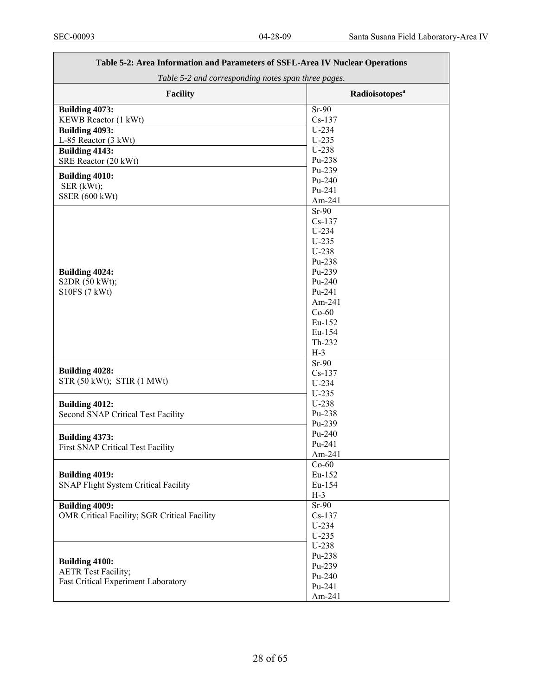**Contract Contract** 

| Table 5-2: Area Information and Parameters of SSFL-Area IV Nuclear Operations |                            |  |
|-------------------------------------------------------------------------------|----------------------------|--|
| Table 5-2 and corresponding notes span three pages.                           |                            |  |
| <b>Facility</b>                                                               | Radioisotopes <sup>a</sup> |  |
| <b>Building 4073:</b>                                                         | $Sr-90$                    |  |
| KEWB Reactor (1 kWt)                                                          | $Cs-137$                   |  |
| <b>Building 4093:</b>                                                         | $U-234$                    |  |
| L-85 Reactor (3 kWt)                                                          | $U-235$                    |  |
| <b>Building 4143:</b>                                                         | $U-238$                    |  |
| SRE Reactor (20 kWt)                                                          | Pu-238                     |  |
|                                                                               | Pu-239                     |  |
| <b>Building 4010:</b><br>SER (kWt);                                           | Pu-240                     |  |
| S8ER (600 kWt)                                                                | Pu-241                     |  |
|                                                                               | Am-241                     |  |
|                                                                               | $Sr-90$                    |  |
|                                                                               | $Cs-137$                   |  |
|                                                                               | $U-234$                    |  |
|                                                                               | $U-235$                    |  |
|                                                                               | $U-238$                    |  |
|                                                                               | Pu-238                     |  |
| <b>Building 4024:</b>                                                         | Pu-239                     |  |
| S2DR (50 kWt);                                                                | Pu-240                     |  |
| S10FS (7 kWt)                                                                 | Pu-241                     |  |
|                                                                               | Am-241                     |  |
|                                                                               | $Co-60$                    |  |
|                                                                               | Eu-152                     |  |
|                                                                               | Eu-154                     |  |
|                                                                               | Th-232                     |  |
|                                                                               | $H-3$                      |  |
| <b>Building 4028:</b>                                                         | $Sr-90$                    |  |
| STR (50 kWt); STIR (1 MWt)                                                    | $Cs-137$                   |  |
|                                                                               | $U-234$                    |  |
|                                                                               | $U-235$                    |  |
| <b>Building 4012:</b>                                                         | $U-238$<br>Pu-238          |  |
| Second SNAP Critical Test Facility                                            | Pu-239                     |  |
|                                                                               | Pu-240                     |  |
| <b>Building 4373:</b>                                                         | Pu-241                     |  |
| First SNAP Critical Test Facility                                             | Am-241                     |  |
|                                                                               | $Co-60$                    |  |
| <b>Building 4019:</b>                                                         | Eu-152                     |  |
| SNAP Flight System Critical Facility                                          | Eu-154                     |  |
|                                                                               | $H-3$                      |  |
| <b>Building 4009:</b>                                                         | $Sr-90$                    |  |
| OMR Critical Facility; SGR Critical Facility                                  | $Cs-137$                   |  |
|                                                                               | $U-234$                    |  |
|                                                                               | $U-235$                    |  |
|                                                                               | $U-238$                    |  |
|                                                                               | Pu-238                     |  |
| <b>Building 4100:</b>                                                         | Pu-239                     |  |
| <b>AETR Test Facility;</b>                                                    | Pu-240                     |  |
| <b>Fast Critical Experiment Laboratory</b>                                    | Pu-241                     |  |
|                                                                               | Am-241                     |  |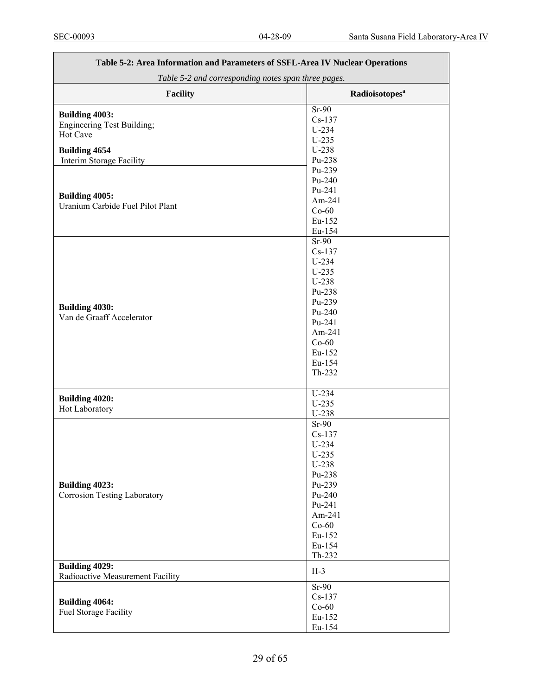**The Company** 

 $\overline{\phantom{0}}$ 

| Table 5-2: Area Information and Parameters of SSFL-Area IV Nuclear Operations |                            |  |
|-------------------------------------------------------------------------------|----------------------------|--|
| Table 5-2 and corresponding notes span three pages.                           |                            |  |
| <b>Facility</b>                                                               | Radioisotopes <sup>a</sup> |  |
|                                                                               | $\overline{\text{Sr-90}}$  |  |
| <b>Building 4003:</b><br><b>Engineering Test Building;</b>                    | $Cs-137$                   |  |
| Hot Cave                                                                      | $U-234$                    |  |
|                                                                               | $U-235$                    |  |
| <b>Building 4654</b>                                                          | $U-238$                    |  |
| Interim Storage Facility                                                      | Pu-238                     |  |
|                                                                               | Pu-239                     |  |
|                                                                               | Pu-240                     |  |
| <b>Building 4005:</b>                                                         | Pu-241                     |  |
| Uranium Carbide Fuel Pilot Plant                                              | Am-241                     |  |
|                                                                               | $Co-60$                    |  |
|                                                                               | Eu-152                     |  |
|                                                                               | Eu-154                     |  |
|                                                                               | $Sr-90$<br>$Cs-137$        |  |
|                                                                               |                            |  |
|                                                                               | $U-234$<br>$U-235$         |  |
|                                                                               | U-238                      |  |
|                                                                               | Pu-238                     |  |
|                                                                               | Pu-239                     |  |
| <b>Building 4030:</b>                                                         | Pu-240                     |  |
| Van de Graaff Accelerator                                                     | Pu-241                     |  |
|                                                                               | Am-241                     |  |
|                                                                               | $Co-60$                    |  |
|                                                                               | Eu-152                     |  |
|                                                                               | Eu-154                     |  |
|                                                                               | Th-232                     |  |
|                                                                               |                            |  |
| <b>Building 4020:</b>                                                         | $U-234$                    |  |
| Hot Laboratory                                                                | $U-235$                    |  |
|                                                                               | U-238                      |  |
|                                                                               | $Sr-90$                    |  |
|                                                                               | $Cs-137$                   |  |
|                                                                               | $U-234$                    |  |
|                                                                               | $U-235$                    |  |
|                                                                               | U-238                      |  |
|                                                                               | Pu-238                     |  |
| <b>Building 4023:</b>                                                         | Pu-239                     |  |
| <b>Corrosion Testing Laboratory</b>                                           | Pu-240<br>Pu-241           |  |
|                                                                               | Am-241                     |  |
|                                                                               | $Co-60$                    |  |
|                                                                               | Eu-152                     |  |
|                                                                               | Eu-154                     |  |
|                                                                               | Th-232                     |  |
| <b>Building 4029:</b>                                                         |                            |  |
| Radioactive Measurement Facility                                              | $H-3$                      |  |
|                                                                               | $Sr-90$                    |  |
| <b>Building 4064:</b>                                                         | $Cs-137$                   |  |
| Fuel Storage Facility                                                         | $Co-60$                    |  |
|                                                                               | Eu-152                     |  |
|                                                                               | Eu-154                     |  |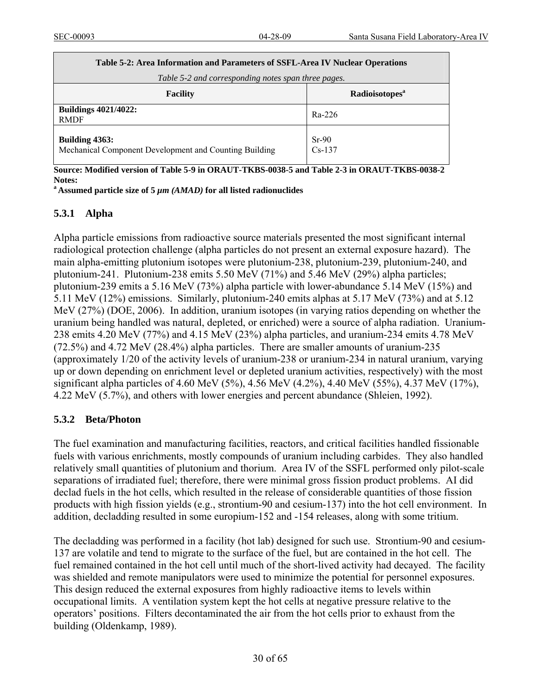| Table 5-2: Area Information and Parameters of SSFL-Area IV Nuclear Operations   |                            |  |
|---------------------------------------------------------------------------------|----------------------------|--|
| Table 5-2 and corresponding notes span three pages.                             |                            |  |
| <b>Facility</b>                                                                 | Radioisotopes <sup>a</sup> |  |
| <b>Buildings 4021/4022:</b><br><b>RMDF</b>                                      | $Ra-226$                   |  |
| <b>Building 4363:</b><br>Mechanical Component Development and Counting Building | $Sr-90$<br>$Cs-137$        |  |

**Source: Modified version of Table 5-9 in ORAUT-TKBS-0038-5 and Table 2-3 in ORAUT-TKBS-0038-2 Notes:** 

**a Assumed particle size of 5** *µm (AMAD)* **for all listed radionuclides** 

#### **5.3.1 Alpha**

Alpha particle emissions from radioactive source materials presented the most significant internal radiological protection challenge (alpha particles do not present an external exposure hazard). The main alpha-emitting plutonium isotopes were plutonium-238, plutonium-239, plutonium-240, and plutonium-241. Plutonium-238 emits 5.50 MeV (71%) and 5.46 MeV (29%) alpha particles; plutonium-239 emits a 5.16 MeV (73%) alpha particle with lower-abundance 5.14 MeV (15%) and 5.11 MeV (12%) emissions. Similarly, plutonium-240 emits alphas at 5.17 MeV (73%) and at 5.12 MeV (27%) (DOE, 2006). In addition, uranium isotopes (in varying ratios depending on whether the uranium being handled was natural, depleted, or enriched) were a source of alpha radiation. Uranium-238 emits 4.20 MeV (77%) and 4.15 MeV (23%) alpha particles, and uranium-234 emits 4.78 MeV (72.5%) and 4.72 MeV (28.4%) alpha particles. There are smaller amounts of uranium-235 (approximately 1/20 of the activity levels of uranium-238 or uranium-234 in natural uranium, varying up or down depending on enrichment level or depleted uranium activities, respectively) with the most significant alpha particles of 4.60 MeV (5%), 4.56 MeV (4.2%), 4.40 MeV (55%), 4.37 MeV (17%), 4.22 MeV (5.7%), and others with lower energies and percent abundance (Shleien, 1992).

#### **5.3.2 Beta/Photon**

The fuel examination and manufacturing facilities, reactors, and critical facilities handled fissionable fuels with various enrichments, mostly compounds of uranium including carbides. They also handled relatively small quantities of plutonium and thorium. Area IV of the SSFL performed only pilot-scale separations of irradiated fuel; therefore, there were minimal gross fission product problems. AI did declad fuels in the hot cells, which resulted in the release of considerable quantities of those fission products with high fission yields (e.g., strontium-90 and cesium-137) into the hot cell environment. In addition, decladding resulted in some europium-152 and -154 releases, along with some tritium.

The decladding was performed in a facility (hot lab) designed for such use. Strontium-90 and cesium-137 are volatile and tend to migrate to the surface of the fuel, but are contained in the hot cell. The fuel remained contained in the hot cell until much of the short-lived activity had decayed. The facility was shielded and remote manipulators were used to minimize the potential for personnel exposures. This design reduced the external exposures from highly radioactive items to levels within occupational limits. A ventilation system kept the hot cells at negative pressure relative to the operators' positions. Filters decontaminated the air from the hot cells prior to exhaust from the building (Oldenkamp, 1989).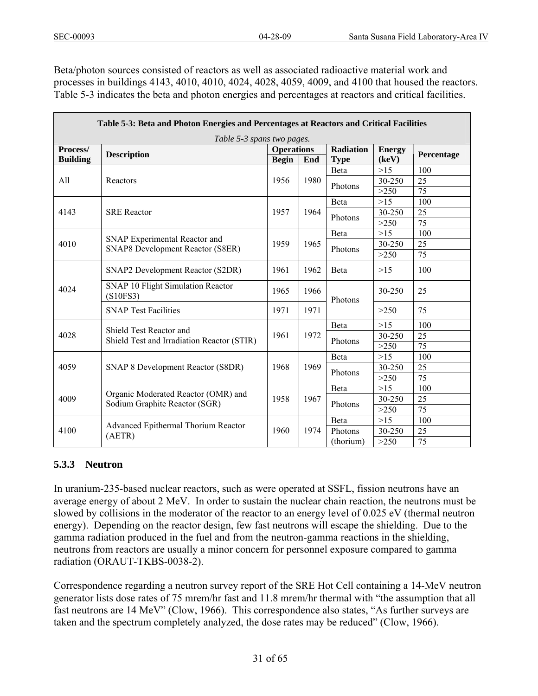Beta/photon sources consisted of reactors as well as associated radioactive material work and processes in buildings 4143, 4010, 4010, 4024, 4028, 4059, 4009, and 4100 that housed the reactors. Table 5-3 indicates the beta and photon energies and percentages at reactors and critical facilities.

| Table 5-3: Beta and Photon Energies and Percentages at Reactors and Critical Facilities |                                               |                   |      |                  |               |                 |
|-----------------------------------------------------------------------------------------|-----------------------------------------------|-------------------|------|------------------|---------------|-----------------|
|                                                                                         | Table 5-3 spans two pages.                    |                   |      |                  |               |                 |
| Process/                                                                                |                                               | <b>Operations</b> |      | <b>Radiation</b> | <b>Energy</b> |                 |
| <b>Building</b>                                                                         | <b>Description</b>                            | <b>Begin</b>      | End  | <b>Type</b>      | (keV)         | Percentage      |
|                                                                                         |                                               |                   |      | <b>B</b> eta     | $>15$         | 100             |
| All                                                                                     | Reactors                                      | 1956              | 1980 | Photons          | 30-250        | 25              |
|                                                                                         |                                               |                   |      |                  | >250          | $\overline{75}$ |
|                                                                                         |                                               |                   |      | Beta             | $>15$         | 100             |
| 4143                                                                                    | <b>SRE</b> Reactor                            | 1957              | 1964 | Photons          | 30-250        | 25              |
|                                                                                         |                                               |                   |      |                  | >250          | 75              |
|                                                                                         | SNAP Experimental Reactor and                 |                   |      | Beta             | $>15$         | 100             |
| 4010                                                                                    | <b>SNAP8</b> Development Reactor (S8ER)       | 1959              | 1965 | Photons          | $30 - 250$    | 25              |
|                                                                                         |                                               |                   |      |                  | >250          | 75              |
|                                                                                         | SNAP2 Development Reactor (S2DR)              | 1961              | 1962 | <b>B</b> eta     | $>15$         | 100             |
| 4024                                                                                    | SNAP 10 Flight Simulation Reactor<br>(S10FS3) | 1965              | 1966 | Photons          | 30-250        | 25              |
|                                                                                         | <b>SNAP Test Facilities</b>                   | 1971              | 1971 | >250             | 75            |                 |
|                                                                                         | Shield Test Reactor and                       |                   |      | <b>B</b> eta     | $>15$         | 100             |
| 4028                                                                                    | Shield Test and Irradiation Reactor (STIR)    | 1961              | 1972 | Photons          | 30-250        | 25              |
|                                                                                         |                                               |                   |      |                  | >250          | 75              |
|                                                                                         |                                               |                   |      | Beta             | $>15$         | 100             |
| 4059                                                                                    | SNAP 8 Development Reactor (S8DR)             | 1968              | 1969 | Photons          | 30-250        | 25              |
|                                                                                         |                                               |                   |      |                  | >250          | 75              |
|                                                                                         | Organic Moderated Reactor (OMR) and           |                   |      | Beta             | $>15$         | 100             |
| 4009                                                                                    | Sodium Graphite Reactor (SGR)                 | 1958              | 1967 | Photons          | 30-250        | 25              |
|                                                                                         |                                               |                   |      |                  | >250          | 75              |
|                                                                                         |                                               |                   | 1974 | Beta             | $>15$         | 100             |
| 4100                                                                                    | Advanced Epithermal Thorium Reactor           | 1960              |      | Photons          | 30-250        | 25              |
|                                                                                         | (AETR)                                        |                   |      | (thorium)        | >250          | 75              |

## **5.3.3 Neutron**

In uranium-235-based nuclear reactors, such as were operated at SSFL, fission neutrons have an average energy of about 2 MeV. In order to sustain the nuclear chain reaction, the neutrons must be slowed by collisions in the moderator of the reactor to an energy level of 0.025 eV (thermal neutron energy). Depending on the reactor design, few fast neutrons will escape the shielding. Due to the gamma radiation produced in the fuel and from the neutron-gamma reactions in the shielding, neutrons from reactors are usually a minor concern for personnel exposure compared to gamma radiation (ORAUT-TKBS-0038-2).

Correspondence regarding a neutron survey report of the SRE Hot Cell containing a 14-MeV neutron generator lists dose rates of 75 mrem/hr fast and 11.8 mrem/hr thermal with "the assumption that all fast neutrons are 14 MeV" (Clow, 1966). This correspondence also states, "As further surveys are taken and the spectrum completely analyzed, the dose rates may be reduced" (Clow, 1966).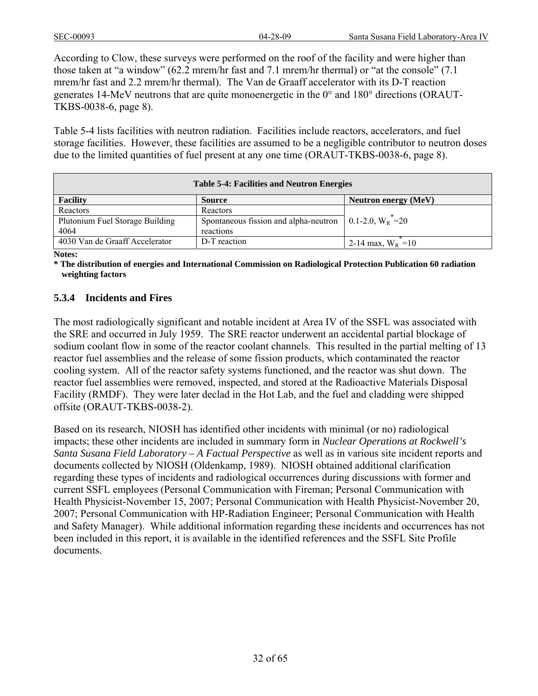| <b>SEC-00093</b> | $04 - 28 - 09$ | Santa Susana Field Laboratory-Area IV |
|------------------|----------------|---------------------------------------|
|                  |                |                                       |

According to Clow, these surveys were performed on the roof of the facility and were higher than those taken at "a window" (62.2 mrem/hr fast and 7.1 mrem/hr thermal) or "at the console" (7.1 mrem/hr fast and 2.2 mrem/hr thermal). The Van de Graaff accelerator with its D-T reaction generates 14-MeV neutrons that are quite monoenergetic in the 0° and 180° directions (ORAUT-TKBS-0038-6, page 8).

Table 5-4 lists facilities with neutron radiation. Facilities include reactors, accelerators, and fuel storage facilities. However, these facilities are assumed to be a negligible contributor to neutron doses due to the limited quantities of fuel present at any one time (ORAUT-TKBS-0038-6, page 8).

| <b>Table 5-4: Facilities and Neutron Energies</b> |                                                                                                        |                             |  |
|---------------------------------------------------|--------------------------------------------------------------------------------------------------------|-----------------------------|--|
| <b>Facility</b>                                   | <b>Source</b>                                                                                          | <b>Neutron energy (MeV)</b> |  |
| Reactors                                          | Reactors                                                                                               |                             |  |
| Plutonium Fuel Storage Building                   | Spontaneous fission and alpha-neutron $\vert$ 0.1-2.0, W <sub>R</sub> <sup><math>\sim</math></sup> =20 |                             |  |
| 4064                                              | reactions                                                                                              |                             |  |
| 4030 Van de Graaff Accelerator                    | D-T reaction                                                                                           | 2-14 max, $W_R = 10$        |  |

**Notes:** 

**\* The distribution of energies and International Commission on Radiological Protection Publication 60 radiation weighting factors**

### **5.3.4 Incidents and Fires**

The most radiologically significant and notable incident at Area IV of the SSFL was associated with the SRE and occurred in July 1959. The SRE reactor underwent an accidental partial blockage of sodium coolant flow in some of the reactor coolant channels. This resulted in the partial melting of 13 reactor fuel assemblies and the release of some fission products, which contaminated the reactor cooling system. All of the reactor safety systems functioned, and the reactor was shut down. The reactor fuel assemblies were removed, inspected, and stored at the Radioactive Materials Disposal Facility (RMDF). They were later declad in the Hot Lab, and the fuel and cladding were shipped offsite (ORAUT-TKBS-0038-2).

Based on its research, NIOSH has identified other incidents with minimal (or no) radiological impacts; these other incidents are included in summary form in *Nuclear Operations at Rockwell's Santa Susana Field Laboratory – A Factual Perspective* as well as in various site incident reports and documents collected by NIOSH (Oldenkamp, 1989). NIOSH obtained additional clarification regarding these types of incidents and radiological occurrences during discussions with former and current SSFL employees (Personal Communication with Fireman; Personal Communication with Health Physicist-November 15, 2007; Personal Communication with Health Physicist-November 20, 2007; Personal Communication with HP-Radiation Engineer; Personal Communication with Health and Safety Manager). While additional information regarding these incidents and occurrences has not been included in this report, it is available in the identified references and the SSFL Site Profile documents.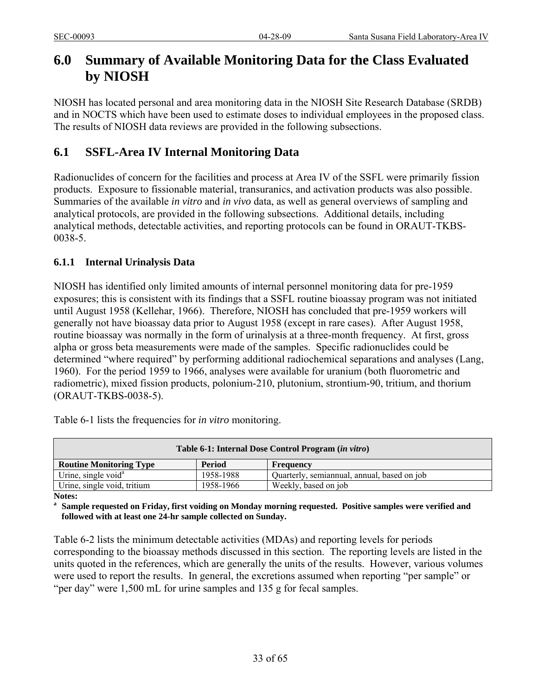# **6.0 Summary of Available Monitoring Data for the Class Evaluated by NIOSH**

NIOSH has located personal and area monitoring data in the NIOSH Site Research Database (SRDB) and in NOCTS which have been used to estimate doses to individual employees in the proposed class. The results of NIOSH data reviews are provided in the following subsections.

# **6.1 SSFL-Area IV Internal Monitoring Data**

Radionuclides of concern for the facilities and process at Area IV of the SSFL were primarily fission products. Exposure to fissionable material, transuranics, and activation products was also possible. Summaries of the available *in vitro* and *in vivo* data, as well as general overviews of sampling and analytical protocols, are provided in the following subsections. Additional details, including analytical methods, detectable activities, and reporting protocols can be found in ORAUT-TKBS-0038-5.

## **6.1.1 Internal Urinalysis Data**

NIOSH has identified only limited amounts of internal personnel monitoring data for pre-1959 exposures; this is consistent with its findings that a SSFL routine bioassay program was not initiated until August 1958 (Kellehar, 1966). Therefore, NIOSH has concluded that pre-1959 workers will generally not have bioassay data prior to August 1958 (except in rare cases). After August 1958, routine bioassay was normally in the form of urinalysis at a three-month frequency. At first, gross alpha or gross beta measurements were made of the samples. Specific radionuclides could be determined "where required" by performing additional radiochemical separations and analyses (Lang, 1960). For the period 1959 to 1966, analyses were available for uranium (both fluorometric and radiometric), mixed fission products, polonium-210, plutonium, strontium-90, tritium, and thorium (ORAUT-TKBS-0038-5).

| Table 6-1: Internal Dose Control Program (in vitro) |           |                                             |  |
|-----------------------------------------------------|-----------|---------------------------------------------|--|
| <b>Routine Monitoring Type</b>                      | Period    | Frequency                                   |  |
| Urine, single void <sup>a</sup>                     | 1958-1988 | Quarterly, semiannual, annual, based on job |  |
| Urine, single void, tritium                         | 1958-1966 | Weekly, based on job                        |  |

Table 6-1 lists the frequencies for *in vitro* monitoring.

**Notes:** 

**a Sample requested on Friday, first voiding on Monday morning requested. Positive samples were verified and followed with at least one 24-hr sample collected on Sunday.** 

Table 6-2 lists the minimum detectable activities (MDAs) and reporting levels for periods corresponding to the bioassay methods discussed in this section. The reporting levels are listed in the units quoted in the references, which are generally the units of the results. However, various volumes were used to report the results. In general, the excretions assumed when reporting "per sample" or "per day" were 1,500 mL for urine samples and 135 g for fecal samples.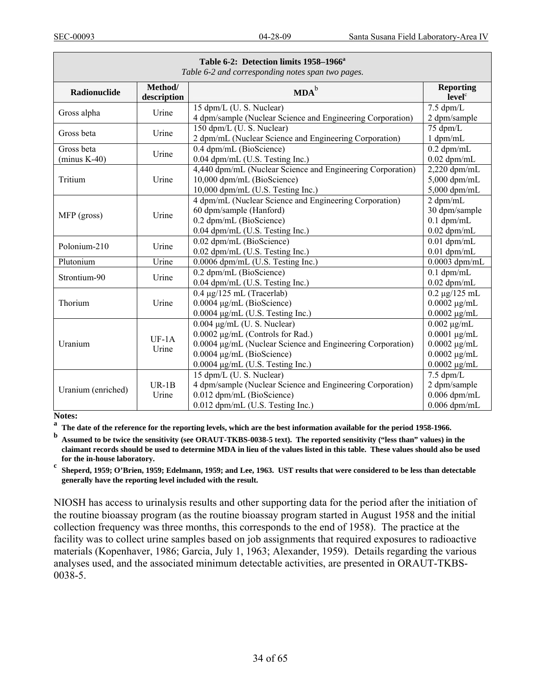| Table 6-2: Detection limits 1958–1966 <sup>a</sup><br>Table 6-2 and corresponding notes span two pages. |                        |                                                                                                                                                                                                               |                                                                                                      |  |
|---------------------------------------------------------------------------------------------------------|------------------------|---------------------------------------------------------------------------------------------------------------------------------------------------------------------------------------------------------------|------------------------------------------------------------------------------------------------------|--|
| Radionuclide                                                                                            | Method/<br>description | MDA <sup>b</sup>                                                                                                                                                                                              | <b>Reporting</b><br>level <sup>c</sup>                                                               |  |
| Gross alpha                                                                                             | Urine                  | 15 dpm/L (U. S. Nuclear)<br>4 dpm/sample (Nuclear Science and Engineering Corporation)                                                                                                                        | $7.5$ dpm/L<br>2 dpm/sample                                                                          |  |
| Gross beta                                                                                              | Urine                  | 150 dpm/L (U. S. Nuclear)<br>2 dpm/mL (Nuclear Science and Engineering Corporation)                                                                                                                           | 75 dpm/L<br>1 dpm/mL                                                                                 |  |
| Gross beta<br>$(minus K-40)$                                                                            | Urine                  | 0.4 dpm/mL (BioScience)<br>0.04 dpm/mL (U.S. Testing Inc.)                                                                                                                                                    | $0.2$ dpm/mL<br>$0.02$ dpm/mL                                                                        |  |
| Tritium                                                                                                 | Urine                  | 4,440 dpm/mL (Nuclear Science and Engineering Corporation)<br>10,000 dpm/mL (BioScience)<br>10,000 dpm/mL (U.S. Testing Inc.)                                                                                 | $2,220$ dpm/mL<br>$5,000$ dpm/mL<br>$5,000$ dpm/mL                                                   |  |
| MFP (gross)                                                                                             | Urine                  | 4 dpm/mL (Nuclear Science and Engineering Corporation)<br>60 dpm/sample (Hanford)<br>0.2 dpm/mL (BioScience)<br>0.04 dpm/mL (U.S. Testing Inc.)                                                               | 2 dpm/mL<br>30 dpm/sample<br>$0.1$ dpm/mL<br>$0.02$ dpm/mL                                           |  |
| Polonium-210                                                                                            | Urine                  | 0.02 dpm/mL (BioScience)<br>0.02 dpm/mL (U.S. Testing Inc.)                                                                                                                                                   | $0.01$ dpm/mL<br>$0.01$ dpm/mL                                                                       |  |
| Plutonium                                                                                               | Urine                  | 0.0006 dpm/mL (U.S. Testing Inc.)                                                                                                                                                                             | $0.0003$ dpm/mL                                                                                      |  |
| Strontium-90                                                                                            | Urine                  | 0.2 dpm/mL (BioScience)<br>0.04 dpm/mL (U.S. Testing Inc.)                                                                                                                                                    | $0.1$ dpm/mL<br>$0.02$ dpm/mL                                                                        |  |
| Thorium                                                                                                 | Urine                  | $0.4 \mu g/125$ mL (Tracerlab)<br>0.0004 µg/mL (BioScience)<br>$0.0004 \mu g/mL$ (U.S. Testing Inc.)                                                                                                          | $0.2 \mu g / 125 \text{ mL}$<br>$0.0002 \mu g/mL$<br>$0.0002 \mu g/mL$                               |  |
| Uranium                                                                                                 | $UF-1A$<br>Urine       | $0.004 \mu g/mL$ (U. S. Nuclear)<br>0.0002 µg/mL (Controls for Rad.)<br>0.0004 µg/mL (Nuclear Science and Engineering Corporation)<br>$0.0004 \mu g/mL$ (BioScience)<br>$0.0004 \mu g/mL$ (U.S. Testing Inc.) | $0.002 \mu g/mL$<br>$0.0001 \mu g/mL$<br>$0.0002 \mu g/mL$<br>$0.0002 \mu g/mL$<br>$0.0002 \mu g/mL$ |  |
| Uranium (enriched)                                                                                      | $UR-1B$<br>Urine       | 15 dpm/L (U. S. Nuclear)<br>4 dpm/sample (Nuclear Science and Engineering Corporation)<br>0.012 dpm/mL (BioScience)<br>0.012 dpm/mL (U.S. Testing Inc.)                                                       | $7.5$ dpm/L<br>2 dpm/sample<br>$0.006$ dpm/mL<br>$0.006$ dpm/mL                                      |  |

#### **Notes:**

**a The date of the reference for the reporting levels, which are the best information available for the period 1958-1966.** 

**b Assumed to be twice the sensitivity (see ORAUT-TKBS-0038-5 text). The reported sensitivity ("less than" values) in the claimant records should be used to determine MDA in lieu of the values listed in this table. These values should also be used** 

**for the in-house laboratory. c Sheperd, 1959; O'Brien, 1959; Edelmann, 1959; and Lee, 1963. UST results that were considered to be less than detectable generally have the reporting level included with the result.** 

NIOSH has access to urinalysis results and other supporting data for the period after the initiation of the routine bioassay program (as the routine bioassay program started in August 1958 and the initial collection frequency was three months, this corresponds to the end of 1958). The practice at the facility was to collect urine samples based on job assignments that required exposures to radioactive materials (Kopenhaver, 1986; Garcia, July 1, 1963; Alexander, 1959). Details regarding the various analyses used, and the associated minimum detectable activities, are presented in ORAUT-TKBS-0038-5.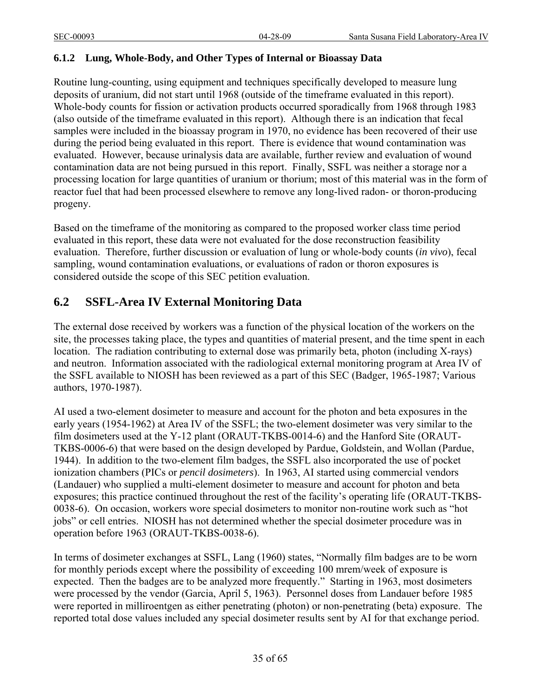## **6.1.2 Lung, Whole-Body, and Other Types of Internal or Bioassay Data**

Routine lung-counting, using equipment and techniques specifically developed to measure lung deposits of uranium, did not start until 1968 (outside of the timeframe evaluated in this report). Whole-body counts for fission or activation products occurred sporadically from 1968 through 1983 (also outside of the timeframe evaluated in this report). Although there is an indication that fecal samples were included in the bioassay program in 1970, no evidence has been recovered of their use during the period being evaluated in this report. There is evidence that wound contamination was evaluated. However, because urinalysis data are available, further review and evaluation of wound contamination data are not being pursued in this report. Finally, SSFL was neither a storage nor a processing location for large quantities of uranium or thorium; most of this material was in the form of reactor fuel that had been processed elsewhere to remove any long-lived radon- or thoron-producing progeny.

Based on the timeframe of the monitoring as compared to the proposed worker class time period evaluated in this report, these data were not evaluated for the dose reconstruction feasibility evaluation. Therefore, further discussion or evaluation of lung or whole-body counts (*in vivo*), fecal sampling, wound contamination evaluations, or evaluations of radon or thoron exposures is considered outside the scope of this SEC petition evaluation.

# **6.2 SSFL-Area IV External Monitoring Data**

The external dose received by workers was a function of the physical location of the workers on the site, the processes taking place, the types and quantities of material present, and the time spent in each location. The radiation contributing to external dose was primarily beta, photon (including X-rays) and neutron. Information associated with the radiological external monitoring program at Area IV of the SSFL available to NIOSH has been reviewed as a part of this SEC (Badger, 1965-1987; Various authors, 1970-1987).

AI used a two-element dosimeter to measure and account for the photon and beta exposures in the early years (1954-1962) at Area IV of the SSFL; the two-element dosimeter was very similar to the film dosimeters used at the Y-12 plant (ORAUT-TKBS-0014-6) and the Hanford Site (ORAUT-TKBS-0006-6) that were based on the design developed by Pardue, Goldstein, and Wollan (Pardue, 1944). In addition to the two-element film badges, the SSFL also incorporated the use of pocket ionization chambers (PICs or *pencil dosimeters*). In 1963, AI started using commercial vendors (Landauer) who supplied a multi-element dosimeter to measure and account for photon and beta exposures; this practice continued throughout the rest of the facility's operating life (ORAUT-TKBS-0038-6). On occasion, workers wore special dosimeters to monitor non-routine work such as "hot jobs" or cell entries. NIOSH has not determined whether the special dosimeter procedure was in operation before 1963 (ORAUT-TKBS-0038-6).

In terms of dosimeter exchanges at SSFL, Lang (1960) states, "Normally film badges are to be worn for monthly periods except where the possibility of exceeding 100 mrem/week of exposure is expected. Then the badges are to be analyzed more frequently." Starting in 1963, most dosimeters were processed by the vendor (Garcia, April 5, 1963). Personnel doses from Landauer before 1985 were reported in milliroentgen as either penetrating (photon) or non-penetrating (beta) exposure. The reported total dose values included any special dosimeter results sent by AI for that exchange period.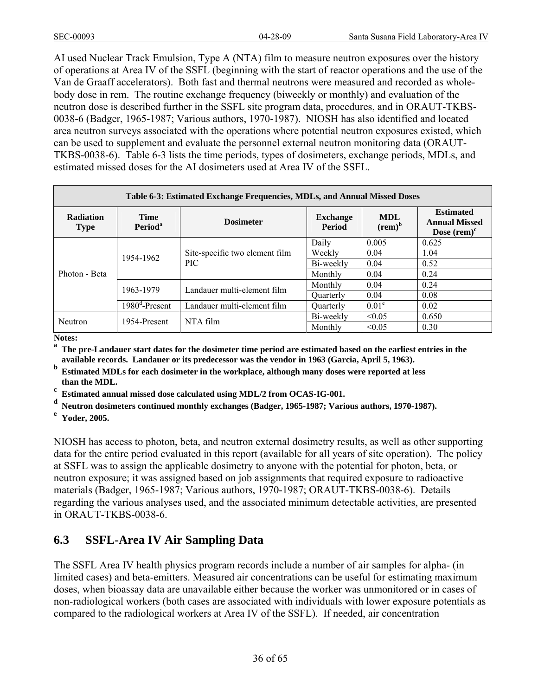| <b>SEC-00093</b> | $04 - 28 - 09$ | Santa Susana Field Laboratory-Area IV |  |
|------------------|----------------|---------------------------------------|--|

AI used Nuclear Track Emulsion, Type A (NTA) film to measure neutron exposures over the history of operations at Area IV of the SSFL (beginning with the start of reactor operations and the use of the Van de Graaff accelerators). Both fast and thermal neutrons were measured and recorded as wholebody dose in rem. The routine exchange frequency (biweekly or monthly) and evaluation of the neutron dose is described further in the SSFL site program data, procedures, and in ORAUT-TKBS-0038-6 (Badger, 1965-1987; Various authors, 1970-1987). NIOSH has also identified and located area neutron surveys associated with the operations where potential neutron exposures existed, which can be used to supplement and evaluate the personnel external neutron monitoring data (ORAUT-TKBS-0038-6). Table 6-3 lists the time periods, types of dosimeters, exchange periods, MDLs, and estimated missed doses for the AI dosimeters used at Area IV of the SSFL.

| Table 6-3: Estimated Exchange Frequencies, MDLs, and Annual Missed Doses |                                    |                                              |                                  |                                |                                                            |
|--------------------------------------------------------------------------|------------------------------------|----------------------------------------------|----------------------------------|--------------------------------|------------------------------------------------------------|
| <b>Radiation</b><br><b>Type</b>                                          | <b>Time</b><br>Period <sup>a</sup> | <b>Dosimeter</b>                             | <b>Exchange</b><br><b>Period</b> | <b>MDL</b><br>$(\text{rem})^b$ | <b>Estimated</b><br><b>Annual Missed</b><br>Dose $(rem)^c$ |
| Photon - Beta                                                            |                                    | Site-specific two element film<br><b>PIC</b> | Daily                            | 0.005                          | 0.625                                                      |
|                                                                          | 1954-1962                          |                                              | Weekly                           | 0.04                           | 1.04                                                       |
|                                                                          |                                    |                                              | Bi-weekly                        | 0.04                           | 0.52                                                       |
|                                                                          |                                    |                                              | Monthly                          | 0.04                           | 0.24                                                       |
|                                                                          | 1963-1979                          | Landauer multi-element film                  | Monthly                          | 0.04                           | 0.24                                                       |
|                                                                          |                                    |                                              | <b>Ouarterly</b>                 | 0.04                           | 0.08                                                       |
|                                                                          | $1980^{\text{d}}$ -Present         | Landauer multi-element film                  | Ouarterly                        | 0.01 <sup>e</sup>              | 0.02                                                       |
| <b>Neutron</b>                                                           | 1954-Present                       | NTA film                                     | Bi-weekly                        | < 0.05                         | 0.650                                                      |
|                                                                          |                                    |                                              | Monthly                          | < 0.05                         | 0.30                                                       |

**Notes:** 

**<sup>a</sup> The pre-Landauer start dates for the dosimeter time period are estimated based on the earliest entries in the available records. Landauer or its predecessor was the vendor in 1963 (Garcia, April 5, 1963).** 

**<sup>b</sup> Estimated MDLs for each dosimeter in the workplace, although many doses were reported at less than the MDL.** 

**c Estimated annual missed dose calculated using MDL/2 from OCAS-IG-001.** 

**d Neutron dosimeters continued monthly exchanges (Badger, 1965-1987; Various authors, 1970-1987).** 

**e Yoder, 2005.** 

NIOSH has access to photon, beta, and neutron external dosimetry results, as well as other supporting data for the entire period evaluated in this report (available for all years of site operation). The policy at SSFL was to assign the applicable dosimetry to anyone with the potential for photon, beta, or neutron exposure; it was assigned based on job assignments that required exposure to radioactive materials (Badger, 1965-1987; Various authors, 1970-1987; ORAUT-TKBS-0038-6). Details regarding the various analyses used, and the associated minimum detectable activities, are presented in ORAUT-TKBS-0038-6.

# **6.3 SSFL-Area IV Air Sampling Data**

The SSFL Area IV health physics program records include a number of air samples for alpha- (in limited cases) and beta-emitters. Measured air concentrations can be useful for estimating maximum doses, when bioassay data are unavailable either because the worker was unmonitored or in cases of non-radiological workers (both cases are associated with individuals with lower exposure potentials as compared to the radiological workers at Area IV of the SSFL). If needed, air concentration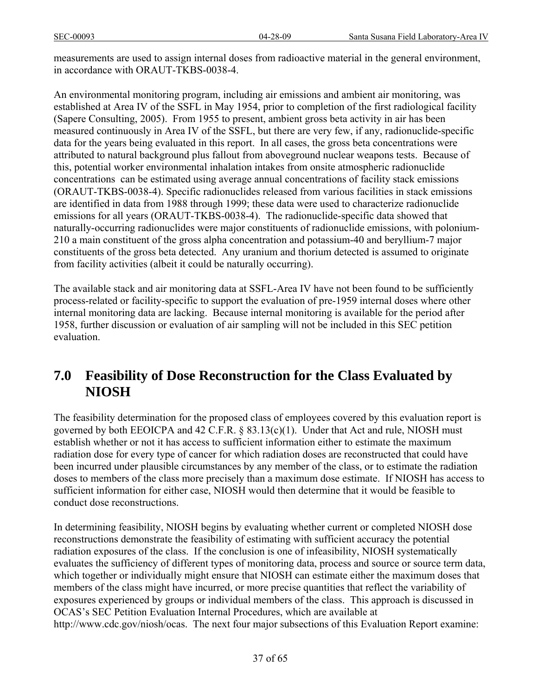measurements are used to assign internal doses from radioactive material in the general environment, in accordance with ORAUT-TKBS-0038-4.

An environmental monitoring program, including air emissions and ambient air monitoring, was established at Area IV of the SSFL in May 1954, prior to completion of the first radiological facility (Sapere Consulting, 2005). From 1955 to present, ambient gross beta activity in air has been measured continuously in Area IV of the SSFL, but there are very few, if any, radionuclide-specific data for the years being evaluated in this report. In all cases, the gross beta concentrations were attributed to natural background plus fallout from aboveground nuclear weapons tests. Because of this, potential worker environmental inhalation intakes from onsite atmospheric radionuclide concentrations can be estimated using average annual concentrations of facility stack emissions (ORAUT-TKBS-0038-4). Specific radionuclides released from various facilities in stack emissions are identified in data from 1988 through 1999; these data were used to characterize radionuclide emissions for all years (ORAUT-TKBS-0038-4). The radionuclide-specific data showed that naturally-occurring radionuclides were major constituents of radionuclide emissions, with polonium-210 a main constituent of the gross alpha concentration and potassium-40 and beryllium-7 major constituents of the gross beta detected. Any uranium and thorium detected is assumed to originate from facility activities (albeit it could be naturally occurring).

The available stack and air monitoring data at SSFL-Area IV have not been found to be sufficiently process-related or facility-specific to support the evaluation of pre-1959 internal doses where other internal monitoring data are lacking. Because internal monitoring is available for the period after 1958, further discussion or evaluation of air sampling will not be included in this SEC petition evaluation.

# **7.0 Feasibility of Dose Reconstruction for the Class Evaluated by NIOSH**

The feasibility determination for the proposed class of employees covered by this evaluation report is governed by both EEOICPA and 42 C.F.R. § 83.13(c)(1). Under that Act and rule, NIOSH must establish whether or not it has access to sufficient information either to estimate the maximum radiation dose for every type of cancer for which radiation doses are reconstructed that could have been incurred under plausible circumstances by any member of the class, or to estimate the radiation doses to members of the class more precisely than a maximum dose estimate. If NIOSH has access to sufficient information for either case, NIOSH would then determine that it would be feasible to conduct dose reconstructions.

In determining feasibility, NIOSH begins by evaluating whether current or completed NIOSH dose reconstructions demonstrate the feasibility of estimating with sufficient accuracy the potential radiation exposures of the class. If the conclusion is one of infeasibility, NIOSH systematically evaluates the sufficiency of different types of monitoring data, process and source or source term data, which together or individually might ensure that NIOSH can estimate either the maximum doses that members of the class might have incurred, or more precise quantities that reflect the variability of exposures experienced by groups or individual members of the class. This approach is discussed in OCAS's SEC Petition Evaluation Internal Procedures, which are available at http://www.cdc.gov/niosh/ocas. The next four major subsections of this Evaluation Report examine: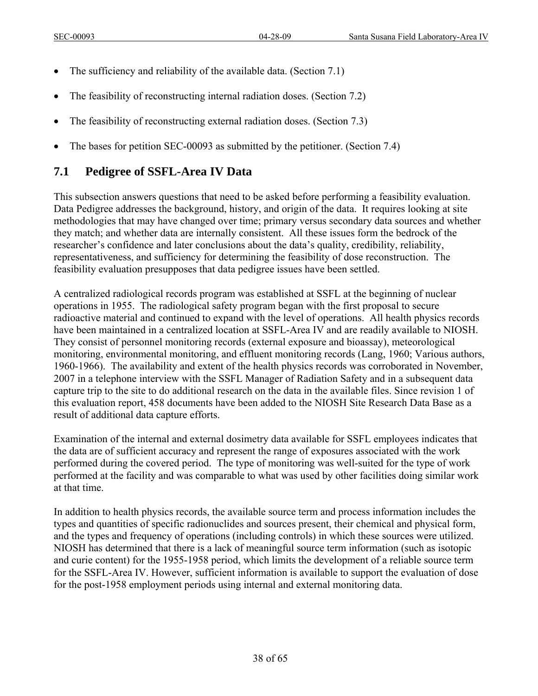- The sufficiency and reliability of the available data. (Section 7.1)
- The feasibility of reconstructing internal radiation doses. (Section 7.2)
- The feasibility of reconstructing external radiation doses. (Section 7.3)
- The bases for petition SEC-00093 as submitted by the petitioner. (Section 7.4)

## **7.1 Pedigree of SSFL-Area IV Data**

This subsection answers questions that need to be asked before performing a feasibility evaluation. Data Pedigree addresses the background, history, and origin of the data. It requires looking at site methodologies that may have changed over time; primary versus secondary data sources and whether they match; and whether data are internally consistent. All these issues form the bedrock of the researcher's confidence and later conclusions about the data's quality, credibility, reliability, representativeness, and sufficiency for determining the feasibility of dose reconstruction. The feasibility evaluation presupposes that data pedigree issues have been settled.

A centralized radiological records program was established at SSFL at the beginning of nuclear operations in 1955. The radiological safety program began with the first proposal to secure radioactive material and continued to expand with the level of operations. All health physics records have been maintained in a centralized location at SSFL-Area IV and are readily available to NIOSH. They consist of personnel monitoring records (external exposure and bioassay), meteorological monitoring, environmental monitoring, and effluent monitoring records (Lang, 1960; Various authors, 1960-1966). The availability and extent of the health physics records was corroborated in November, 2007 in a telephone interview with the SSFL Manager of Radiation Safety and in a subsequent data capture trip to the site to do additional research on the data in the available files. Since revision 1 of this evaluation report, 458 documents have been added to the NIOSH Site Research Data Base as a result of additional data capture efforts.

Examination of the internal and external dosimetry data available for SSFL employees indicates that the data are of sufficient accuracy and represent the range of exposures associated with the work performed during the covered period. The type of monitoring was well-suited for the type of work performed at the facility and was comparable to what was used by other facilities doing similar work at that time.

In addition to health physics records, the available source term and process information includes the types and quantities of specific radionuclides and sources present, their chemical and physical form, and the types and frequency of operations (including controls) in which these sources were utilized. NIOSH has determined that there is a lack of meaningful source term information (such as isotopic and curie content) for the 1955-1958 period, which limits the development of a reliable source term for the SSFL-Area IV. However, sufficient information is available to support the evaluation of dose for the post-1958 employment periods using internal and external monitoring data.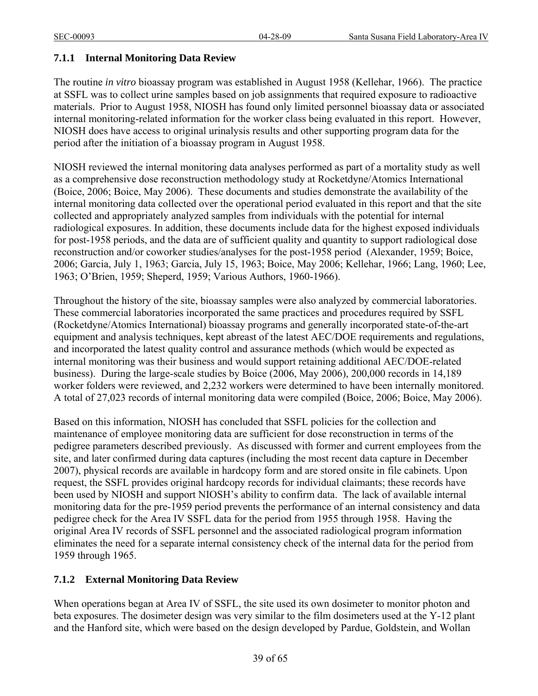## **7.1.1 Internal Monitoring Data Review**

The routine *in vitro* bioassay program was established in August 1958 (Kellehar, 1966). The practice at SSFL was to collect urine samples based on job assignments that required exposure to radioactive materials. Prior to August 1958, NIOSH has found only limited personnel bioassay data or associated internal monitoring-related information for the worker class being evaluated in this report. However, NIOSH does have access to original urinalysis results and other supporting program data for the period after the initiation of a bioassay program in August 1958.

NIOSH reviewed the internal monitoring data analyses performed as part of a mortality study as well as a comprehensive dose reconstruction methodology study at Rocketdyne/Atomics International (Boice, 2006; Boice, May 2006). These documents and studies demonstrate the availability of the internal monitoring data collected over the operational period evaluated in this report and that the site collected and appropriately analyzed samples from individuals with the potential for internal radiological exposures. In addition, these documents include data for the highest exposed individuals for post-1958 periods, and the data are of sufficient quality and quantity to support radiological dose reconstruction and/or coworker studies/analyses for the post-1958 period (Alexander, 1959; Boice, 2006; Garcia, July 1, 1963; Garcia, July 15, 1963; Boice, May 2006; Kellehar, 1966; Lang, 1960; Lee, 1963; O'Brien, 1959; Sheperd, 1959; Various Authors, 1960-1966).

Throughout the history of the site, bioassay samples were also analyzed by commercial laboratories. These commercial laboratories incorporated the same practices and procedures required by SSFL (Rocketdyne/Atomics International) bioassay programs and generally incorporated state-of-the-art equipment and analysis techniques, kept abreast of the latest AEC/DOE requirements and regulations, and incorporated the latest quality control and assurance methods (which would be expected as internal monitoring was their business and would support retaining additional AEC/DOE-related business). During the large-scale studies by Boice (2006, May 2006), 200,000 records in 14,189 worker folders were reviewed, and 2,232 workers were determined to have been internally monitored. A total of 27,023 records of internal monitoring data were compiled (Boice, 2006; Boice, May 2006).

Based on this information, NIOSH has concluded that SSFL policies for the collection and maintenance of employee monitoring data are sufficient for dose reconstruction in terms of the pedigree parameters described previously. As discussed with former and current employees from the site, and later confirmed during data captures (including the most recent data capture in December 2007), physical records are available in hardcopy form and are stored onsite in file cabinets. Upon request, the SSFL provides original hardcopy records for individual claimants; these records have been used by NIOSH and support NIOSH's ability to confirm data. The lack of available internal monitoring data for the pre-1959 period prevents the performance of an internal consistency and data pedigree check for the Area IV SSFL data for the period from 1955 through 1958. Having the original Area IV records of SSFL personnel and the associated radiological program information eliminates the need for a separate internal consistency check of the internal data for the period from 1959 through 1965.

## **7.1.2 External Monitoring Data Review**

When operations began at Area IV of SSFL, the site used its own dosimeter to monitor photon and beta exposures. The dosimeter design was very similar to the film dosimeters used at the Y-12 plant and the Hanford site, which were based on the design developed by Pardue, Goldstein, and Wollan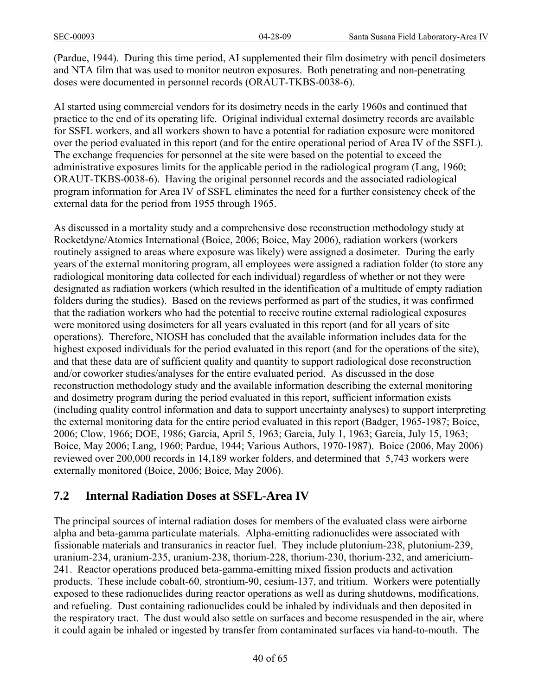(Pardue, 1944). During this time period, AI supplemented their film dosimetry with pencil dosimeters and NTA film that was used to monitor neutron exposures. Both penetrating and non-penetrating doses were documented in personnel records (ORAUT-TKBS-0038-6).

AI started using commercial vendors for its dosimetry needs in the early 1960s and continued that practice to the end of its operating life. Original individual external dosimetry records are available for SSFL workers, and all workers shown to have a potential for radiation exposure were monitored over the period evaluated in this report (and for the entire operational period of Area IV of the SSFL). The exchange frequencies for personnel at the site were based on the potential to exceed the administrative exposures limits for the applicable period in the radiological program (Lang, 1960; ORAUT-TKBS-0038-6). Having the original personnel records and the associated radiological program information for Area IV of SSFL eliminates the need for a further consistency check of the external data for the period from 1955 through 1965.

As discussed in a mortality study and a comprehensive dose reconstruction methodology study at Rocketdyne/Atomics International (Boice, 2006; Boice, May 2006), radiation workers (workers routinely assigned to areas where exposure was likely) were assigned a dosimeter. During the early years of the external monitoring program, all employees were assigned a radiation folder (to store any radiological monitoring data collected for each individual) regardless of whether or not they were designated as radiation workers (which resulted in the identification of a multitude of empty radiation folders during the studies). Based on the reviews performed as part of the studies, it was confirmed that the radiation workers who had the potential to receive routine external radiological exposures were monitored using dosimeters for all years evaluated in this report (and for all years of site operations). Therefore, NIOSH has concluded that the available information includes data for the highest exposed individuals for the period evaluated in this report (and for the operations of the site), and that these data are of sufficient quality and quantity to support radiological dose reconstruction and/or coworker studies/analyses for the entire evaluated period. As discussed in the dose reconstruction methodology study and the available information describing the external monitoring and dosimetry program during the period evaluated in this report, sufficient information exists (including quality control information and data to support uncertainty analyses) to support interpreting the external monitoring data for the entire period evaluated in this report (Badger, 1965-1987; Boice, 2006; Clow, 1966; DOE, 1986; Garcia, April 5, 1963; Garcia, July 1, 1963; Garcia, July 15, 1963; Boice, May 2006; Lang, 1960; Pardue, 1944; Various Authors, 1970-1987). Boice (2006, May 2006) reviewed over 200,000 records in 14,189 worker folders, and determined that 5,743 workers were externally monitored (Boice, 2006; Boice, May 2006).

# **7.2 Internal Radiation Doses at SSFL-Area IV**

The principal sources of internal radiation doses for members of the evaluated class were airborne alpha and beta-gamma particulate materials. Alpha-emitting radionuclides were associated with fissionable materials and transuranics in reactor fuel. They include plutonium-238, plutonium-239, uranium-234, uranium-235, uranium-238, thorium-228, thorium-230, thorium-232, and americium-241. Reactor operations produced beta-gamma-emitting mixed fission products and activation products. These include cobalt-60, strontium-90, cesium-137, and tritium. Workers were potentially exposed to these radionuclides during reactor operations as well as during shutdowns, modifications, and refueling. Dust containing radionuclides could be inhaled by individuals and then deposited in the respiratory tract. The dust would also settle on surfaces and become resuspended in the air, where it could again be inhaled or ingested by transfer from contaminated surfaces via hand-to-mouth. The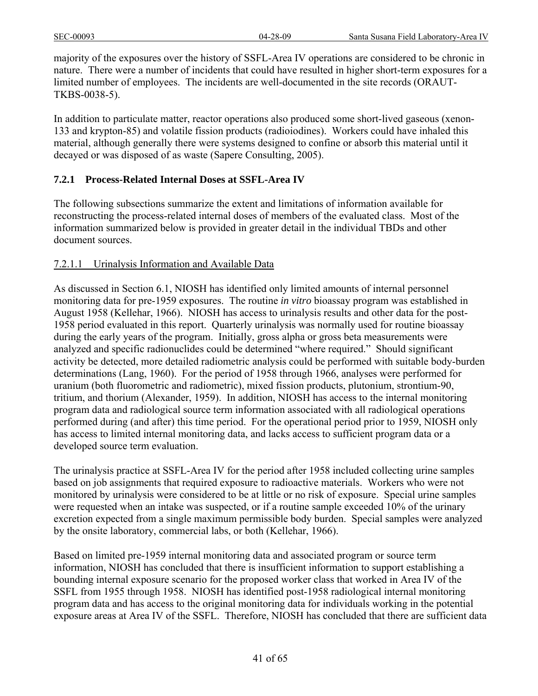| <b>SEC-00093</b> | $-28-09$<br>$04 - 2$ | Santa Susana Field Laboratory-Area IV |
|------------------|----------------------|---------------------------------------|
|                  |                      |                                       |

majority of the exposures over the history of SSFL-Area IV operations are considered to be chronic in nature. There were a number of incidents that could have resulted in higher short-term exposures for a limited number of employees. The incidents are well-documented in the site records (ORAUT-TKBS-0038-5).

In addition to particulate matter, reactor operations also produced some short-lived gaseous (xenon-133 and krypton-85) and volatile fission products (radioiodines). Workers could have inhaled this material, although generally there were systems designed to confine or absorb this material until it decayed or was disposed of as waste (Sapere Consulting, 2005).

## **7.2.1 Process-Related Internal Doses at SSFL-Area IV**

The following subsections summarize the extent and limitations of information available for reconstructing the process-related internal doses of members of the evaluated class. Most of the information summarized below is provided in greater detail in the individual TBDs and other document sources.

### 7.2.1.1 Urinalysis Information and Available Data

As discussed in Section 6.1, NIOSH has identified only limited amounts of internal personnel monitoring data for pre-1959 exposures. The routine *in vitro* bioassay program was established in August 1958 (Kellehar, 1966). NIOSH has access to urinalysis results and other data for the post-1958 period evaluated in this report. Quarterly urinalysis was normally used for routine bioassay during the early years of the program. Initially, gross alpha or gross beta measurements were analyzed and specific radionuclides could be determined "where required." Should significant activity be detected, more detailed radiometric analysis could be performed with suitable body-burden determinations (Lang, 1960). For the period of 1958 through 1966, analyses were performed for uranium (both fluorometric and radiometric), mixed fission products, plutonium, strontium-90, tritium, and thorium (Alexander, 1959). In addition, NIOSH has access to the internal monitoring program data and radiological source term information associated with all radiological operations performed during (and after) this time period. For the operational period prior to 1959, NIOSH only has access to limited internal monitoring data, and lacks access to sufficient program data or a developed source term evaluation.

The urinalysis practice at SSFL-Area IV for the period after 1958 included collecting urine samples based on job assignments that required exposure to radioactive materials. Workers who were not monitored by urinalysis were considered to be at little or no risk of exposure. Special urine samples were requested when an intake was suspected, or if a routine sample exceeded 10% of the urinary excretion expected from a single maximum permissible body burden. Special samples were analyzed by the onsite laboratory, commercial labs, or both (Kellehar, 1966).

Based on limited pre-1959 internal monitoring data and associated program or source term information, NIOSH has concluded that there is insufficient information to support establishing a bounding internal exposure scenario for the proposed worker class that worked in Area IV of the SSFL from 1955 through 1958. NIOSH has identified post-1958 radiological internal monitoring program data and has access to the original monitoring data for individuals working in the potential exposure areas at Area IV of the SSFL. Therefore, NIOSH has concluded that there are sufficient data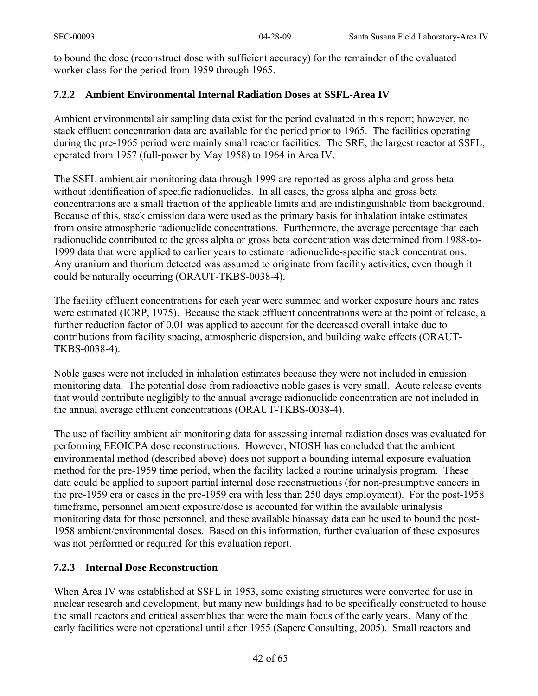to bound the dose (reconstruct dose with sufficient accuracy) for the remainder of the evaluated worker class for the period from 1959 through 1965.

## **7.2.2 Ambient Environmental Internal Radiation Doses at SSFL-Area IV**

Ambient environmental air sampling data exist for the period evaluated in this report; however, no stack effluent concentration data are available for the period prior to 1965. The facilities operating during the pre-1965 period were mainly small reactor facilities. The SRE, the largest reactor at SSFL, operated from 1957 (full-power by May 1958) to 1964 in Area IV.

The SSFL ambient air monitoring data through 1999 are reported as gross alpha and gross beta without identification of specific radionuclides. In all cases, the gross alpha and gross beta concentrations are a small fraction of the applicable limits and are indistinguishable from background. Because of this, stack emission data were used as the primary basis for inhalation intake estimates from onsite atmospheric radionuclide concentrations. Furthermore, the average percentage that each radionuclide contributed to the gross alpha or gross beta concentration was determined from 1988-to-1999 data that were applied to earlier years to estimate radionuclide-specific stack concentrations. Any uranium and thorium detected was assumed to originate from facility activities, even though it could be naturally occurring (ORAUT-TKBS-0038-4).

The facility effluent concentrations for each year were summed and worker exposure hours and rates were estimated (ICRP, 1975). Because the stack effluent concentrations were at the point of release, a further reduction factor of 0.01 was applied to account for the decreased overall intake due to contributions from facility spacing, atmospheric dispersion, and building wake effects (ORAUT-TKBS-0038-4).

Noble gases were not included in inhalation estimates because they were not included in emission monitoring data. The potential dose from radioactive noble gases is very small. Acute release events that would contribute negligibly to the annual average radionuclide concentration are not included in the annual average effluent concentrations (ORAUT-TKBS-0038-4).

The use of facility ambient air monitoring data for assessing internal radiation doses was evaluated for performing EEOICPA dose reconstructions. However, NIOSH has concluded that the ambient environmental method (described above) does not support a bounding internal exposure evaluation method for the pre-1959 time period, when the facility lacked a routine urinalysis program. These data could be applied to support partial internal dose reconstructions (for non-presumptive cancers in the pre-1959 era or cases in the pre-1959 era with less than 250 days employment). For the post-1958 timeframe, personnel ambient exposure/dose is accounted for within the available urinalysis monitoring data for those personnel, and these available bioassay data can be used to bound the post-1958 ambient/environmental doses. Based on this information, further evaluation of these exposures was not performed or required for this evaluation report.

## **7.2.3 Internal Dose Reconstruction**

When Area IV was established at SSFL in 1953, some existing structures were converted for use in nuclear research and development, but many new buildings had to be specifically constructed to house the small reactors and critical assemblies that were the main focus of the early years. Many of the early facilities were not operational until after 1955 (Sapere Consulting, 2005). Small reactors and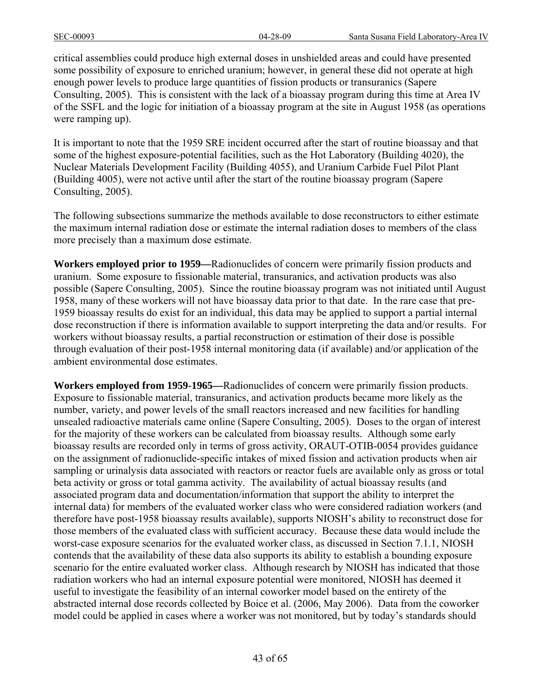| 04-28-09 |  |  |
|----------|--|--|
|          |  |  |

critical assemblies could produce high external doses in unshielded areas and could have presented some possibility of exposure to enriched uranium; however, in general these did not operate at high enough power levels to produce large quantities of fission products or transuranics (Sapere Consulting, 2005). This is consistent with the lack of a bioassay program during this time at Area IV of the SSFL and the logic for initiation of a bioassay program at the site in August 1958 (as operations were ramping up).

It is important to note that the 1959 SRE incident occurred after the start of routine bioassay and that some of the highest exposure-potential facilities, such as the Hot Laboratory (Building 4020), the Nuclear Materials Development Facility (Building 4055), and Uranium Carbide Fuel Pilot Plant (Building 4005), were not active until after the start of the routine bioassay program (Sapere Consulting, 2005).

The following subsections summarize the methods available to dose reconstructors to either estimate the maximum internal radiation dose or estimate the internal radiation doses to members of the class more precisely than a maximum dose estimate.

**Workers employed prior to 1959—**Radionuclides of concern were primarily fission products and uranium. Some exposure to fissionable material, transuranics, and activation products was also possible (Sapere Consulting, 2005). Since the routine bioassay program was not initiated until August 1958, many of these workers will not have bioassay data prior to that date. In the rare case that pre-1959 bioassay results do exist for an individual, this data may be applied to support a partial internal dose reconstruction if there is information available to support interpreting the data and/or results. For workers without bioassay results, a partial reconstruction or estimation of their dose is possible through evaluation of their post-1958 internal monitoring data (if available) and/or application of the ambient environmental dose estimates.

**Workers employed from 1959-1965—**Radionuclides of concern were primarily fission products. Exposure to fissionable material, transuranics, and activation products became more likely as the number, variety, and power levels of the small reactors increased and new facilities for handling unsealed radioactive materials came online (Sapere Consulting, 2005). Doses to the organ of interest for the majority of these workers can be calculated from bioassay results. Although some early bioassay results are recorded only in terms of gross activity, ORAUT-OTIB-0054 provides guidance on the assignment of radionuclide-specific intakes of mixed fission and activation products when air sampling or urinalysis data associated with reactors or reactor fuels are available only as gross or total beta activity or gross or total gamma activity. The availability of actual bioassay results (and associated program data and documentation/information that support the ability to interpret the internal data) for members of the evaluated worker class who were considered radiation workers (and therefore have post-1958 bioassay results available), supports NIOSH's ability to reconstruct dose for those members of the evaluated class with sufficient accuracy. Because these data would include the worst-case exposure scenarios for the evaluated worker class, as discussed in Section 7.1.1, NIOSH contends that the availability of these data also supports its ability to establish a bounding exposure scenario for the entire evaluated worker class. Although research by NIOSH has indicated that those radiation workers who had an internal exposure potential were monitored, NIOSH has deemed it useful to investigate the feasibility of an internal coworker model based on the entirety of the abstracted internal dose records collected by Boice et al. (2006, May 2006). Data from the coworker model could be applied in cases where a worker was not monitored, but by today's standards should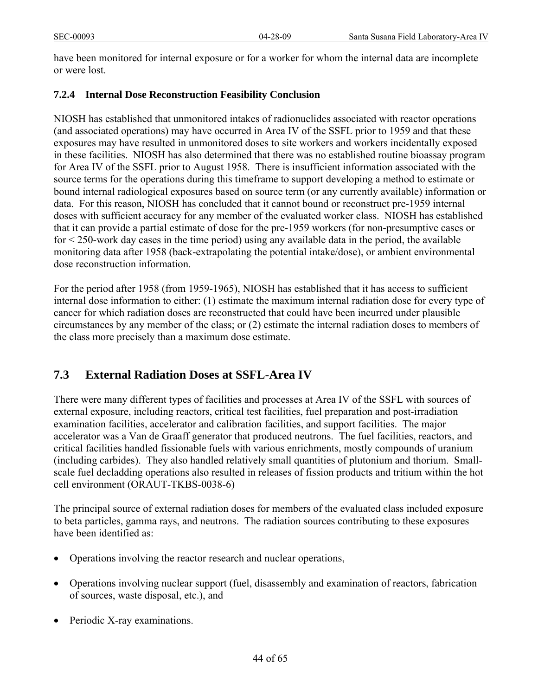have been monitored for internal exposure or for a worker for whom the internal data are incomplete or were lost.

## **7.2.4 Internal Dose Reconstruction Feasibility Conclusion**

NIOSH has established that unmonitored intakes of radionuclides associated with reactor operations (and associated operations) may have occurred in Area IV of the SSFL prior to 1959 and that these exposures may have resulted in unmonitored doses to site workers and workers incidentally exposed in these facilities. NIOSH has also determined that there was no established routine bioassay program for Area IV of the SSFL prior to August 1958. There is insufficient information associated with the source terms for the operations during this timeframe to support developing a method to estimate or bound internal radiological exposures based on source term (or any currently available) information or data. For this reason, NIOSH has concluded that it cannot bound or reconstruct pre-1959 internal doses with sufficient accuracy for any member of the evaluated worker class. NIOSH has established that it can provide a partial estimate of dose for the pre-1959 workers (for non-presumptive cases or for  $\leq$  250-work day cases in the time period) using any available data in the period, the available monitoring data after 1958 (back-extrapolating the potential intake/dose), or ambient environmental dose reconstruction information.

For the period after 1958 (from 1959-1965), NIOSH has established that it has access to sufficient internal dose information to either: (1) estimate the maximum internal radiation dose for every type of cancer for which radiation doses are reconstructed that could have been incurred under plausible circumstances by any member of the class; or (2) estimate the internal radiation doses to members of the class more precisely than a maximum dose estimate.

# **7.3 External Radiation Doses at SSFL-Area IV**

There were many different types of facilities and processes at Area IV of the SSFL with sources of external exposure, including reactors, critical test facilities, fuel preparation and post-irradiation examination facilities, accelerator and calibration facilities, and support facilities. The major accelerator was a Van de Graaff generator that produced neutrons. The fuel facilities, reactors, and critical facilities handled fissionable fuels with various enrichments, mostly compounds of uranium (including carbides). They also handled relatively small quantities of plutonium and thorium. Smallscale fuel decladding operations also resulted in releases of fission products and tritium within the hot cell environment (ORAUT-TKBS-0038-6)

The principal source of external radiation doses for members of the evaluated class included exposure to beta particles, gamma rays, and neutrons. The radiation sources contributing to these exposures have been identified as:

- Operations involving the reactor research and nuclear operations,
- Operations involving nuclear support (fuel, disassembly and examination of reactors, fabrication of sources, waste disposal, etc.), and
- Periodic X-ray examinations.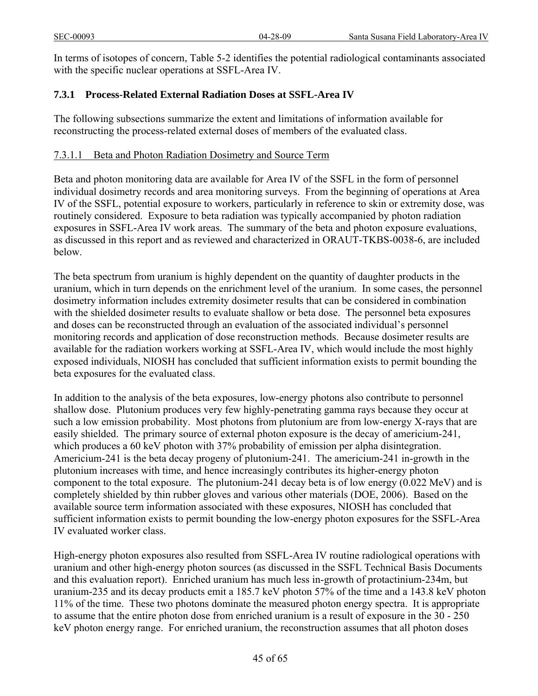In terms of isotopes of concern, Table 5-2 identifies the potential radiological contaminants associated with the specific nuclear operations at SSFL-Area IV.

## **7.3.1 Process-Related External Radiation Doses at SSFL-Area IV**

The following subsections summarize the extent and limitations of information available for reconstructing the process-related external doses of members of the evaluated class.

## 7.3.1.1 Beta and Photon Radiation Dosimetry and Source Term

Beta and photon monitoring data are available for Area IV of the SSFL in the form of personnel individual dosimetry records and area monitoring surveys. From the beginning of operations at Area IV of the SSFL, potential exposure to workers, particularly in reference to skin or extremity dose, was routinely considered. Exposure to beta radiation was typically accompanied by photon radiation exposures in SSFL-Area IV work areas. The summary of the beta and photon exposure evaluations, as discussed in this report and as reviewed and characterized in ORAUT-TKBS-0038-6, are included below.

The beta spectrum from uranium is highly dependent on the quantity of daughter products in the uranium, which in turn depends on the enrichment level of the uranium. In some cases, the personnel dosimetry information includes extremity dosimeter results that can be considered in combination with the shielded dosimeter results to evaluate shallow or beta dose. The personnel beta exposures and doses can be reconstructed through an evaluation of the associated individual's personnel monitoring records and application of dose reconstruction methods. Because dosimeter results are available for the radiation workers working at SSFL-Area IV, which would include the most highly exposed individuals, NIOSH has concluded that sufficient information exists to permit bounding the beta exposures for the evaluated class.

In addition to the analysis of the beta exposures, low-energy photons also contribute to personnel shallow dose. Plutonium produces very few highly-penetrating gamma rays because they occur at such a low emission probability. Most photons from plutonium are from low-energy X-rays that are easily shielded. The primary source of external photon exposure is the decay of americium-241, which produces a 60 keV photon with 37% probability of emission per alpha disintegration. Americium-241 is the beta decay progeny of plutonium-241. The americium-241 in-growth in the plutonium increases with time, and hence increasingly contributes its higher-energy photon component to the total exposure. The plutonium-241 decay beta is of low energy (0.022 MeV) and is completely shielded by thin rubber gloves and various other materials (DOE, 2006). Based on the available source term information associated with these exposures, NIOSH has concluded that sufficient information exists to permit bounding the low-energy photon exposures for the SSFL-Area IV evaluated worker class.

High-energy photon exposures also resulted from SSFL-Area IV routine radiological operations with uranium and other high-energy photon sources (as discussed in the SSFL Technical Basis Documents and this evaluation report). Enriched uranium has much less in-growth of protactinium-234m, but uranium-235 and its decay products emit a 185.7 keV photon 57% of the time and a 143.8 keV photon 11% of the time. These two photons dominate the measured photon energy spectra. It is appropriate to assume that the entire photon dose from enriched uranium is a result of exposure in the 30 - 250 keV photon energy range. For enriched uranium, the reconstruction assumes that all photon doses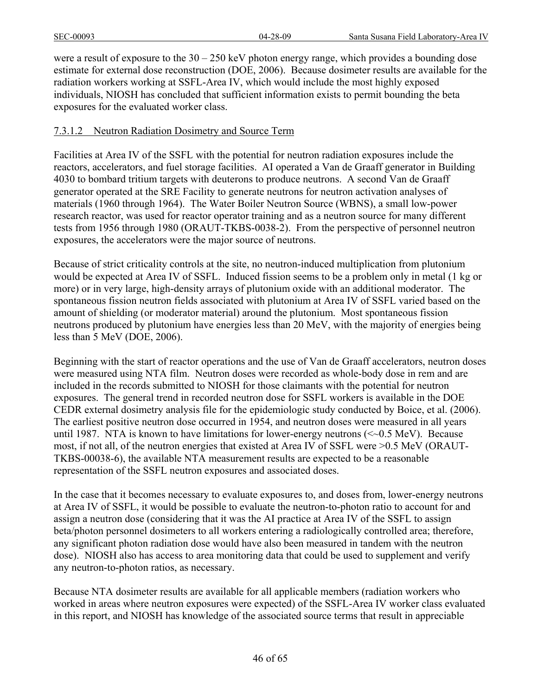| <b>SEC-00093</b> | 04-28-09 | Santa Susana Field Laboratory-Area IV |
|------------------|----------|---------------------------------------|
|                  |          |                                       |

were a result of exposure to the  $30 - 250$  keV photon energy range, which provides a bounding dose estimate for external dose reconstruction (DOE, 2006). Because dosimeter results are available for the radiation workers working at SSFL-Area IV, which would include the most highly exposed individuals, NIOSH has concluded that sufficient information exists to permit bounding the beta exposures for the evaluated worker class.

#### 7.3.1.2 Neutron Radiation Dosimetry and Source Term

Facilities at Area IV of the SSFL with the potential for neutron radiation exposures include the reactors, accelerators, and fuel storage facilities. AI operated a Van de Graaff generator in Building 4030 to bombard tritium targets with deuterons to produce neutrons. A second Van de Graaff generator operated at the SRE Facility to generate neutrons for neutron activation analyses of materials (1960 through 1964). The Water Boiler Neutron Source (WBNS), a small low-power research reactor, was used for reactor operator training and as a neutron source for many different tests from 1956 through 1980 (ORAUT-TKBS-0038-2). From the perspective of personnel neutron exposures, the accelerators were the major source of neutrons.

Because of strict criticality controls at the site, no neutron-induced multiplication from plutonium would be expected at Area IV of SSFL. Induced fission seems to be a problem only in metal (1 kg or more) or in very large, high-density arrays of plutonium oxide with an additional moderator. The spontaneous fission neutron fields associated with plutonium at Area IV of SSFL varied based on the amount of shielding (or moderator material) around the plutonium. Most spontaneous fission neutrons produced by plutonium have energies less than 20 MeV, with the majority of energies being less than 5 MeV (DOE, 2006).

Beginning with the start of reactor operations and the use of Van de Graaff accelerators, neutron doses were measured using NTA film. Neutron doses were recorded as whole-body dose in rem and are included in the records submitted to NIOSH for those claimants with the potential for neutron exposures. The general trend in recorded neutron dose for SSFL workers is available in the DOE CEDR external dosimetry analysis file for the epidemiologic study conducted by Boice, et al. (2006). The earliest positive neutron dose occurred in 1954, and neutron doses were measured in all years until 1987. NTA is known to have limitations for lower-energy neutrons  $(<0.5 \text{ MeV})$ . Because most, if not all, of the neutron energies that existed at Area IV of SSFL were >0.5 MeV (ORAUT-TKBS-00038-6), the available NTA measurement results are expected to be a reasonable representation of the SSFL neutron exposures and associated doses.

In the case that it becomes necessary to evaluate exposures to, and doses from, lower-energy neutrons at Area IV of SSFL, it would be possible to evaluate the neutron-to-photon ratio to account for and assign a neutron dose (considering that it was the AI practice at Area IV of the SSFL to assign beta/photon personnel dosimeters to all workers entering a radiologically controlled area; therefore, any significant photon radiation dose would have also been measured in tandem with the neutron dose).NIOSH also has access to area monitoring data that could be used to supplement and verify any neutron-to-photon ratios, as necessary.

Because NTA dosimeter results are available for all applicable members (radiation workers who worked in areas where neutron exposures were expected) of the SSFL-Area IV worker class evaluated in this report, and NIOSH has knowledge of the associated source terms that result in appreciable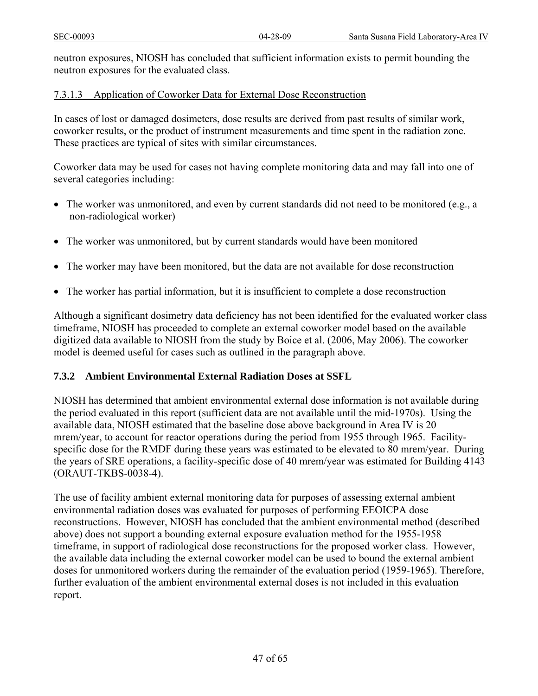neutron exposures, NIOSH has concluded that sufficient information exists to permit bounding the neutron exposures for the evaluated class.

#### 7.3.1.3 Application of Coworker Data for External Dose Reconstruction

In cases of lost or damaged dosimeters, dose results are derived from past results of similar work, coworker results, or the product of instrument measurements and time spent in the radiation zone. These practices are typical of sites with similar circumstances.

Coworker data may be used for cases not having complete monitoring data and may fall into one of several categories including:

- The worker was unmonitored, and even by current standards did not need to be monitored (e.g., a non-radiological worker)
- The worker was unmonitored, but by current standards would have been monitored
- The worker may have been monitored, but the data are not available for dose reconstruction
- The worker has partial information, but it is insufficient to complete a dose reconstruction

Although a significant dosimetry data deficiency has not been identified for the evaluated worker class timeframe, NIOSH has proceeded to complete an external coworker model based on the available digitized data available to NIOSH from the study by Boice et al. (2006, May 2006). The coworker model is deemed useful for cases such as outlined in the paragraph above.

#### **7.3.2 Ambient Environmental External Radiation Doses at SSFL**

NIOSH has determined that ambient environmental external dose information is not available during the period evaluated in this report (sufficient data are not available until the mid-1970s). Using the available data, NIOSH estimated that the baseline dose above background in Area IV is 20 mrem/year, to account for reactor operations during the period from 1955 through 1965. Facilityspecific dose for the RMDF during these years was estimated to be elevated to 80 mrem/year. During the years of SRE operations, a facility-specific dose of 40 mrem/year was estimated for Building 4143 (ORAUT-TKBS-0038-4).

The use of facility ambient external monitoring data for purposes of assessing external ambient environmental radiation doses was evaluated for purposes of performing EEOICPA dose reconstructions. However, NIOSH has concluded that the ambient environmental method (described above) does not support a bounding external exposure evaluation method for the 1955-1958 timeframe, in support of radiological dose reconstructions for the proposed worker class. However, the available data including the external coworker model can be used to bound the external ambient doses for unmonitored workers during the remainder of the evaluation period (1959-1965). Therefore, further evaluation of the ambient environmental external doses is not included in this evaluation report.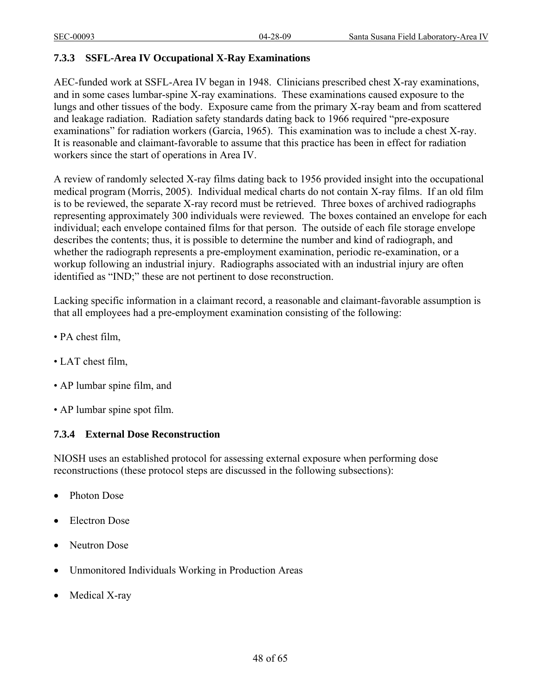### **7.3.3 SSFL-Area IV Occupational X-Ray Examinations**

AEC-funded work at SSFL-Area IV began in 1948. Clinicians prescribed chest X-ray examinations, and in some cases lumbar-spine X-ray examinations. These examinations caused exposure to the lungs and other tissues of the body. Exposure came from the primary X-ray beam and from scattered and leakage radiation. Radiation safety standards dating back to 1966 required "pre-exposure examinations" for radiation workers (Garcia, 1965). This examination was to include a chest X-ray. It is reasonable and claimant-favorable to assume that this practice has been in effect for radiation workers since the start of operations in Area IV.

A review of randomly selected X-ray films dating back to 1956 provided insight into the occupational medical program (Morris, 2005). Individual medical charts do not contain X-ray films. If an old film is to be reviewed, the separate X-ray record must be retrieved. Three boxes of archived radiographs representing approximately 300 individuals were reviewed. The boxes contained an envelope for each individual; each envelope contained films for that person. The outside of each file storage envelope describes the contents; thus, it is possible to determine the number and kind of radiograph, and whether the radiograph represents a pre-employment examination, periodic re-examination, or a workup following an industrial injury. Radiographs associated with an industrial injury are often identified as "IND;" these are not pertinent to dose reconstruction.

Lacking specific information in a claimant record, a reasonable and claimant-favorable assumption is that all employees had a pre-employment examination consisting of the following:

- PA chest film,
- LAT chest film,
- AP lumbar spine film, and
- AP lumbar spine spot film.

#### **7.3.4 External Dose Reconstruction**

NIOSH uses an established protocol for assessing external exposure when performing dose reconstructions (these protocol steps are discussed in the following subsections):

- Photon Dose
- Electron Dose
- Neutron Dose
- Unmonitored Individuals Working in Production Areas
- Medical X-ray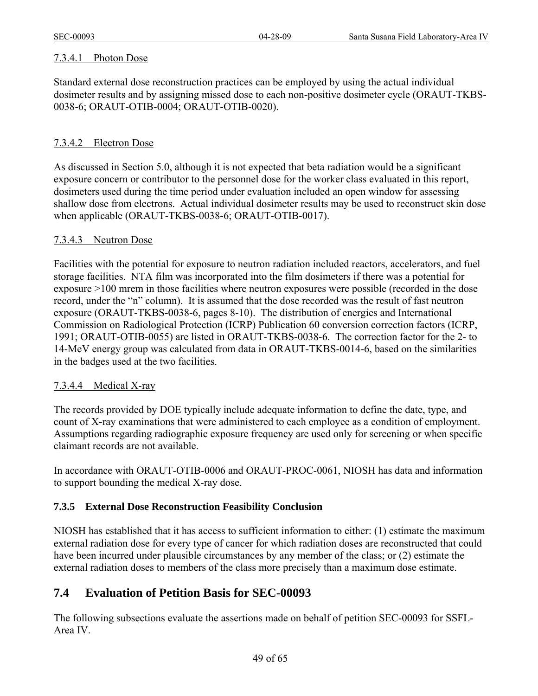### 7.3.4.1 Photon Dose

Standard external dose reconstruction practices can be employed by using the actual individual dosimeter results and by assigning missed dose to each non-positive dosimeter cycle (ORAUT-TKBS-0038-6; ORAUT-OTIB-0004; ORAUT-OTIB-0020).

### 7.3.4.2 Electron Dose

As discussed in Section 5.0, although it is not expected that beta radiation would be a significant exposure concern or contributor to the personnel dose for the worker class evaluated in this report, dosimeters used during the time period under evaluation included an open window for assessing shallow dose from electrons. Actual individual dosimeter results may be used to reconstruct skin dose when applicable (ORAUT-TKBS-0038-6; ORAUT-OTIB-0017).

#### 7.3.4.3 Neutron Dose

Facilities with the potential for exposure to neutron radiation included reactors, accelerators, and fuel storage facilities. NTA film was incorporated into the film dosimeters if there was a potential for exposure >100 mrem in those facilities where neutron exposures were possible (recorded in the dose record, under the "n" column). It is assumed that the dose recorded was the result of fast neutron exposure (ORAUT-TKBS-0038-6, pages 8-10). The distribution of energies and International Commission on Radiological Protection (ICRP) Publication 60 conversion correction factors (ICRP, 1991; ORAUT-OTIB-0055) are listed in ORAUT-TKBS-0038-6. The correction factor for the 2- to 14-MeV energy group was calculated from data in ORAUT-TKBS-0014-6, based on the similarities in the badges used at the two facilities.

#### 7.3.4.4 Medical X-ray

The records provided by DOE typically include adequate information to define the date, type, and count of X-ray examinations that were administered to each employee as a condition of employment. Assumptions regarding radiographic exposure frequency are used only for screening or when specific claimant records are not available.

In accordance with ORAUT-OTIB-0006 and ORAUT-PROC-0061, NIOSH has data and information to support bounding the medical X-ray dose.

#### **7.3.5 External Dose Reconstruction Feasibility Conclusion**

NIOSH has established that it has access to sufficient information to either: (1) estimate the maximum external radiation dose for every type of cancer for which radiation doses are reconstructed that could have been incurred under plausible circumstances by any member of the class; or (2) estimate the external radiation doses to members of the class more precisely than a maximum dose estimate.

## **7.4 Evaluation of Petition Basis for SEC-00093**

The following subsections evaluate the assertions made on behalf of petition SEC-00093 for SSFL-Area IV.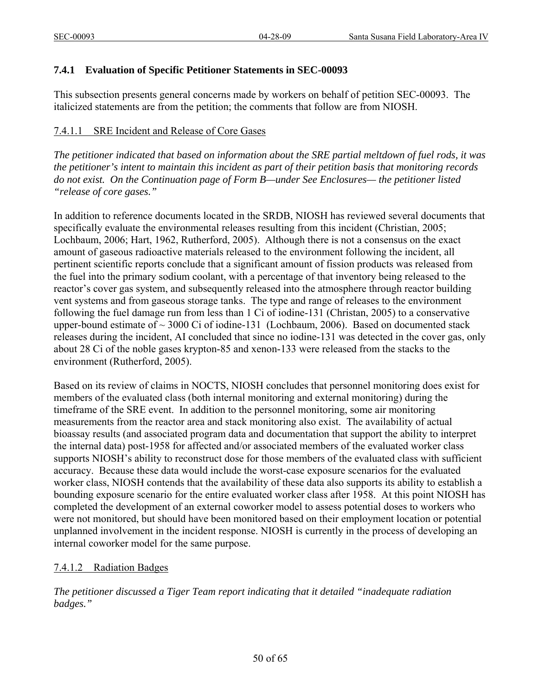## **7.4.1 Evaluation of Specific Petitioner Statements in SEC-00093**

This subsection presents general concerns made by workers on behalf of petition SEC-00093. The italicized statements are from the petition; the comments that follow are from NIOSH.

### 7.4.1.1 SRE Incident and Release of Core Gases

*The petitioner indicated that based on information about the SRE partial meltdown of fuel rods, it was the petitioner's intent to maintain this incident as part of their petition basis that monitoring records do not exist. On the Continuation page of Form B—under See Enclosures— the petitioner listed "release of core gases."* 

In addition to reference documents located in the SRDB, NIOSH has reviewed several documents that specifically evaluate the environmental releases resulting from this incident (Christian, 2005; Lochbaum, 2006; Hart, 1962, Rutherford, 2005). Although there is not a consensus on the exact amount of gaseous radioactive materials released to the environment following the incident, all pertinent scientific reports conclude that a significant amount of fission products was released from the fuel into the primary sodium coolant, with a percentage of that inventory being released to the reactor's cover gas system, and subsequently released into the atmosphere through reactor building vent systems and from gaseous storage tanks. The type and range of releases to the environment following the fuel damage run from less than 1 Ci of iodine-131 (Christan, 2005) to a conservative upper-bound estimate of  $\sim$  3000 Ci of iodine-131 (Lochbaum, 2006). Based on documented stack releases during the incident, AI concluded that since no iodine-131 was detected in the cover gas, only about 28 Ci of the noble gases krypton-85 and xenon-133 were released from the stacks to the environment (Rutherford, 2005).

Based on its review of claims in NOCTS, NIOSH concludes that personnel monitoring does exist for members of the evaluated class (both internal monitoring and external monitoring) during the timeframe of the SRE event. In addition to the personnel monitoring, some air monitoring measurements from the reactor area and stack monitoring also exist. The availability of actual bioassay results (and associated program data and documentation that support the ability to interpret the internal data) post-1958 for affected and/or associated members of the evaluated worker class supports NIOSH's ability to reconstruct dose for those members of the evaluated class with sufficient accuracy. Because these data would include the worst-case exposure scenarios for the evaluated worker class, NIOSH contends that the availability of these data also supports its ability to establish a bounding exposure scenario for the entire evaluated worker class after 1958. At this point NIOSH has completed the development of an external coworker model to assess potential doses to workers who were not monitored, but should have been monitored based on their employment location or potential unplanned involvement in the incident response. NIOSH is currently in the process of developing an internal coworker model for the same purpose.

#### 7.4.1.2 Radiation Badges

*The petitioner discussed a Tiger Team report indicating that it detailed "inadequate radiation badges."*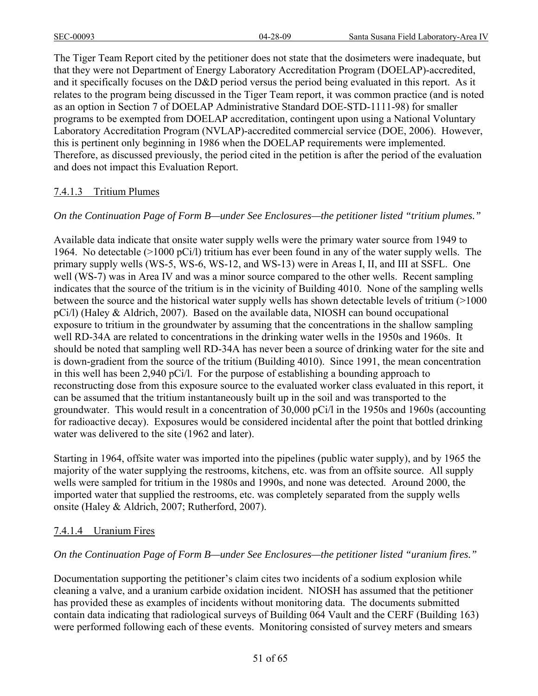| SEC-00093                                                                                                                                                                                                                                                                                                                                                                                                                                                                                                                                                                                                                                                                                                                                                                                                                                                                                                                                                                     | $04 - 28 - 09$ | Santa Susana Field Laboratory-Area IV |
|-------------------------------------------------------------------------------------------------------------------------------------------------------------------------------------------------------------------------------------------------------------------------------------------------------------------------------------------------------------------------------------------------------------------------------------------------------------------------------------------------------------------------------------------------------------------------------------------------------------------------------------------------------------------------------------------------------------------------------------------------------------------------------------------------------------------------------------------------------------------------------------------------------------------------------------------------------------------------------|----------------|---------------------------------------|
| The Tiger Team Report cited by the petitioner does not state that the dosimeters were inadequate, but<br>that they were not Department of Energy Laboratory Accreditation Program (DOELAP)-accredited,<br>and it specifically focuses on the D&D period versus the period being evaluated in this report. As it<br>relates to the program being discussed in the Tiger Team report, it was common practice (and is noted<br>as an option in Section 7 of DOELAP Administrative Standard DOE-STD-1111-98) for smaller<br>programs to be exempted from DOELAP accreditation, contingent upon using a National Voluntary<br>Laboratory Accreditation Program (NVLAP)-accredited commercial service (DOE, 2006). However,<br>this is pertinent only beginning in 1986 when the DOELAP requirements were implemented.<br>Therefore, as discussed previously, the period cited in the petition is after the period of the evaluation<br>and does not impact this Evaluation Report. |                |                                       |
|                                                                                                                                                                                                                                                                                                                                                                                                                                                                                                                                                                                                                                                                                                                                                                                                                                                                                                                                                                               |                |                                       |

### 7.4.1.3 Tritium Plumes

#### *On the Continuation Page of Form B—under See Enclosures—the petitioner listed "tritium plumes."*

Available data indicate that onsite water supply wells were the primary water source from 1949 to 1964. No detectable (>1000 pCi/l) tritium has ever been found in any of the water supply wells. The primary supply wells (WS-5, WS-6, WS-12, and WS-13) were in Areas I, II, and III at SSFL. One well (WS-7) was in Area IV and was a minor source compared to the other wells. Recent sampling indicates that the source of the tritium is in the vicinity of Building 4010. None of the sampling wells between the source and the historical water supply wells has shown detectable levels of tritium (>1000 pCi/l) (Haley & Aldrich, 2007). Based on the available data, NIOSH can bound occupational exposure to tritium in the groundwater by assuming that the concentrations in the shallow sampling well RD-34A are related to concentrations in the drinking water wells in the 1950s and 1960s. It should be noted that sampling well RD-34A has never been a source of drinking water for the site and is down-gradient from the source of the tritium (Building 4010). Since 1991, the mean concentration in this well has been 2,940 pCi/l. For the purpose of establishing a bounding approach to reconstructing dose from this exposure source to the evaluated worker class evaluated in this report, it can be assumed that the tritium instantaneously built up in the soil and was transported to the groundwater. This would result in a concentration of 30,000 pCi/l in the 1950s and 1960s (accounting for radioactive decay). Exposures would be considered incidental after the point that bottled drinking water was delivered to the site (1962 and later).

Starting in 1964, offsite water was imported into the pipelines (public water supply), and by 1965 the majority of the water supplying the restrooms, kitchens, etc. was from an offsite source. All supply wells were sampled for tritium in the 1980s and 1990s, and none was detected. Around 2000, the imported water that supplied the restrooms, etc. was completely separated from the supply wells onsite (Haley & Aldrich, 2007; Rutherford, 2007).

#### 7.4.1.4 Uranium Fires

#### *On the Continuation Page of Form B—under See Enclosures—the petitioner listed "uranium fires."*

Documentation supporting the petitioner's claim cites two incidents of a sodium explosion while cleaning a valve, and a uranium carbide oxidation incident. NIOSH has assumed that the petitioner has provided these as examples of incidents without monitoring data. The documents submitted contain data indicating that radiological surveys of Building 064 Vault and the CERF (Building 163) were performed following each of these events. Monitoring consisted of survey meters and smears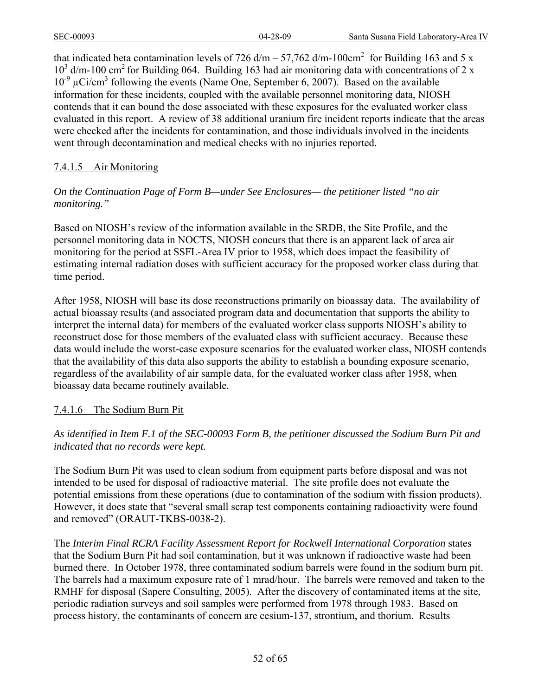| <b>SEC-00093</b><br>Santa Susana Field Laboratory-Area IV<br>$04 - 28 - 09$ |  |  |
|-----------------------------------------------------------------------------|--|--|
|                                                                             |  |  |

that indicated beta contamination levels of 726 d/m – 57,762 d/m-100cm<sup>2</sup> for Building 163 and 5 x  $10^3$  d/m-100 cm<sup>2</sup> for Building 064. Building 163 had air monitoring data with concentrations of 2 x  $10^{-9}$   $\mu$ Ci/cm<sup>3</sup> following the events (Name One, September 6, 2007). Based on the available information for these incidents, coupled with the available personnel monitoring data, NIOSH contends that it can bound the dose associated with these exposures for the evaluated worker class evaluated in this report. A review of 38 additional uranium fire incident reports indicate that the areas were checked after the incidents for contamination, and those individuals involved in the incidents went through decontamination and medical checks with no injuries reported.

### 7.4.1.5 Air Monitoring

*On the Continuation Page of Form B—under See Enclosures— the petitioner listed "no air monitoring."* 

Based on NIOSH's review of the information available in the SRDB, the Site Profile, and the personnel monitoring data in NOCTS, NIOSH concurs that there is an apparent lack of area air monitoring for the period at SSFL-Area IV prior to 1958, which does impact the feasibility of estimating internal radiation doses with sufficient accuracy for the proposed worker class during that time period.

After 1958, NIOSH will base its dose reconstructions primarily on bioassay data. The availability of actual bioassay results (and associated program data and documentation that supports the ability to interpret the internal data) for members of the evaluated worker class supports NIOSH's ability to reconstruct dose for those members of the evaluated class with sufficient accuracy. Because these data would include the worst-case exposure scenarios for the evaluated worker class, NIOSH contends that the availability of this data also supports the ability to establish a bounding exposure scenario, regardless of the availability of air sample data, for the evaluated worker class after 1958, when bioassay data became routinely available.

#### 7.4.1.6 The Sodium Burn Pit

### *As identified in Item F.1 of the SEC-00093 Form B, the petitioner discussed the Sodium Burn Pit and indicated that no records were kept.*

The Sodium Burn Pit was used to clean sodium from equipment parts before disposal and was not intended to be used for disposal of radioactive material. The site profile does not evaluate the potential emissions from these operations (due to contamination of the sodium with fission products). However, it does state that "several small scrap test components containing radioactivity were found and removed" (ORAUT-TKBS-0038-2).

The *Interim Final RCRA Facility Assessment Report for Rockwell International Corporation* states that the Sodium Burn Pit had soil contamination, but it was unknown if radioactive waste had been burned there. In October 1978, three contaminated sodium barrels were found in the sodium burn pit. The barrels had a maximum exposure rate of 1 mrad/hour. The barrels were removed and taken to the RMHF for disposal (Sapere Consulting, 2005). After the discovery of contaminated items at the site, periodic radiation surveys and soil samples were performed from 1978 through 1983. Based on process history, the contaminants of concern are cesium-137, strontium, and thorium. Results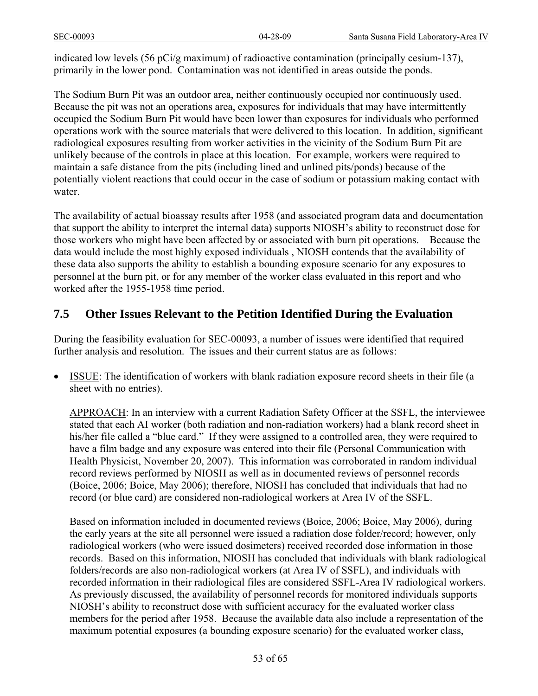indicated low levels (56 pCi/g maximum) of radioactive contamination (principally cesium-137), primarily in the lower pond. Contamination was not identified in areas outside the ponds.

The Sodium Burn Pit was an outdoor area, neither continuously occupied nor continuously used. Because the pit was not an operations area, exposures for individuals that may have intermittently occupied the Sodium Burn Pit would have been lower than exposures for individuals who performed operations work with the source materials that were delivered to this location. In addition, significant radiological exposures resulting from worker activities in the vicinity of the Sodium Burn Pit are unlikely because of the controls in place at this location. For example, workers were required to maintain a safe distance from the pits (including lined and unlined pits/ponds) because of the potentially violent reactions that could occur in the case of sodium or potassium making contact with water.

The availability of actual bioassay results after 1958 (and associated program data and documentation that support the ability to interpret the internal data) supports NIOSH's ability to reconstruct dose for those workers who might have been affected by or associated with burn pit operations. Because the data would include the most highly exposed individuals , NIOSH contends that the availability of these data also supports the ability to establish a bounding exposure scenario for any exposures to personnel at the burn pit, or for any member of the worker class evaluated in this report and who worked after the 1955-1958 time period.

# **7.5 Other Issues Relevant to the Petition Identified During the Evaluation**

During the feasibility evaluation for SEC-00093, a number of issues were identified that required further analysis and resolution. The issues and their current status are as follows:

• ISSUE: The identification of workers with blank radiation exposure record sheets in their file (a sheet with no entries).

APPROACH: In an interview with a current Radiation Safety Officer at the SSFL, the interviewee stated that each AI worker (both radiation and non-radiation workers) had a blank record sheet in his/her file called a "blue card." If they were assigned to a controlled area, they were required to have a film badge and any exposure was entered into their file (Personal Communication with Health Physicist, November 20, 2007). This information was corroborated in random individual record reviews performed by NIOSH as well as in documented reviews of personnel records (Boice, 2006; Boice, May 2006); therefore, NIOSH has concluded that individuals that had no record (or blue card) are considered non-radiological workers at Area IV of the SSFL.

Based on information included in documented reviews (Boice, 2006; Boice, May 2006), during the early years at the site all personnel were issued a radiation dose folder/record; however, only radiological workers (who were issued dosimeters) received recorded dose information in those records. Based on this information, NIOSH has concluded that individuals with blank radiological folders/records are also non-radiological workers (at Area IV of SSFL), and individuals with recorded information in their radiological files are considered SSFL-Area IV radiological workers. As previously discussed, the availability of personnel records for monitored individuals supports NIOSH's ability to reconstruct dose with sufficient accuracy for the evaluated worker class members for the period after 1958. Because the available data also include a representation of the maximum potential exposures (a bounding exposure scenario) for the evaluated worker class,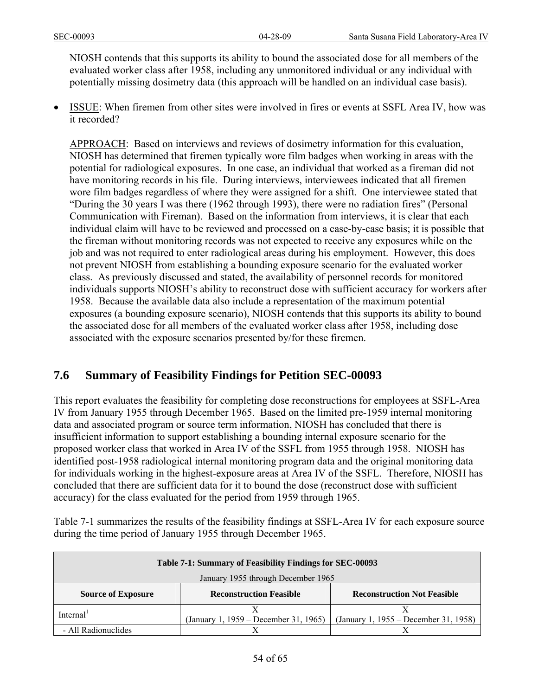NIOSH contends that this supports its ability to bound the associated dose for all members of the evaluated worker class after 1958, including any unmonitored individual or any individual with potentially missing dosimetry data (this approach will be handled on an individual case basis).

• ISSUE: When firemen from other sites were involved in fires or events at SSFL Area IV, how was it recorded?

APPROACH: Based on interviews and reviews of dosimetry information for this evaluation, NIOSH has determined that firemen typically wore film badges when working in areas with the potential for radiological exposures. In one case, an individual that worked as a fireman did not have monitoring records in his file. During interviews, interviewees indicated that all firemen wore film badges regardless of where they were assigned for a shift. One interviewee stated that "During the 30 years I was there (1962 through 1993), there were no radiation fires" (Personal Communication with Fireman). Based on the information from interviews, it is clear that each individual claim will have to be reviewed and processed on a case-by-case basis; it is possible that the fireman without monitoring records was not expected to receive any exposures while on the job and was not required to enter radiological areas during his employment. However, this does not prevent NIOSH from establishing a bounding exposure scenario for the evaluated worker class. As previously discussed and stated, the availability of personnel records for monitored individuals supports NIOSH's ability to reconstruct dose with sufficient accuracy for workers after 1958. Because the available data also include a representation of the maximum potential exposures (a bounding exposure scenario), NIOSH contends that this supports its ability to bound the associated dose for all members of the evaluated worker class after 1958, including dose associated with the exposure scenarios presented by/for these firemen.

# **7.6 Summary of Feasibility Findings for Petition SEC-00093**

This report evaluates the feasibility for completing dose reconstructions for employees at SSFL-Area IV from January 1955 through December 1965. Based on the limited pre-1959 internal monitoring data and associated program or source term information, NIOSH has concluded that there is insufficient information to support establishing a bounding internal exposure scenario for the proposed worker class that worked in Area IV of the SSFL from 1955 through 1958. NIOSH has identified post-1958 radiological internal monitoring program data and the original monitoring data for individuals working in the highest-exposure areas at Area IV of the SSFL. Therefore, NIOSH has concluded that there are sufficient data for it to bound the dose (reconstruct dose with sufficient accuracy) for the class evaluated for the period from 1959 through 1965.

Table 7-1 summarizes the results of the feasibility findings at SSFL-Area IV for each exposure source during the time period of January 1955 through December 1965.

| Table 7-1: Summary of Feasibility Findings for SEC-00093 |                                       |                                       |  |  |
|----------------------------------------------------------|---------------------------------------|---------------------------------------|--|--|
| January 1955 through December 1965                       |                                       |                                       |  |  |
| <b>Source of Exposure</b>                                | <b>Reconstruction Feasible</b>        | <b>Reconstruction Not Feasible</b>    |  |  |
| Internal <sup><math>1</math></sup>                       | (January 1, 1959 – December 31, 1965) | (January 1, 1955 – December 31, 1958) |  |  |
| - All Radionuclides                                      |                                       |                                       |  |  |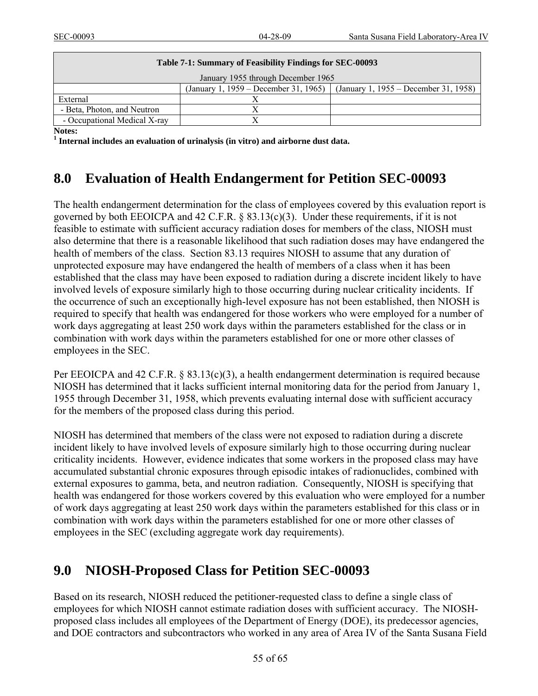| Table 7-1: Summary of Feasibility Findings for SEC-00093 |                                       |                                       |  |  |
|----------------------------------------------------------|---------------------------------------|---------------------------------------|--|--|
| January 1955 through December 1965                       |                                       |                                       |  |  |
|                                                          | (January 1, 1959 – December 31, 1965) | (January 1, 1955 – December 31, 1958) |  |  |
| External                                                 |                                       |                                       |  |  |
| - Beta, Photon, and Neutron                              |                                       |                                       |  |  |
| - Occupational Medical X-ray                             |                                       |                                       |  |  |

**Notes:** 

**1 Internal includes an evaluation of urinalysis (in vitro) and airborne dust data.** 

# **8.0 Evaluation of Health Endangerment for Petition SEC-00093**

The health endangerment determination for the class of employees covered by this evaluation report is governed by both EEOICPA and 42 C.F.R.  $\S$  83.13(c)(3). Under these requirements, if it is not feasible to estimate with sufficient accuracy radiation doses for members of the class, NIOSH must also determine that there is a reasonable likelihood that such radiation doses may have endangered the health of members of the class. Section 83.13 requires NIOSH to assume that any duration of unprotected exposure may have endangered the health of members of a class when it has been established that the class may have been exposed to radiation during a discrete incident likely to have involved levels of exposure similarly high to those occurring during nuclear criticality incidents. If the occurrence of such an exceptionally high-level exposure has not been established, then NIOSH is required to specify that health was endangered for those workers who were employed for a number of work days aggregating at least 250 work days within the parameters established for the class or in combination with work days within the parameters established for one or more other classes of employees in the SEC.

Per EEOICPA and 42 C.F.R. § 83.13(c)(3), a health endangerment determination is required because NIOSH has determined that it lacks sufficient internal monitoring data for the period from January 1, 1955 through December 31, 1958, which prevents evaluating internal dose with sufficient accuracy for the members of the proposed class during this period.

NIOSH has determined that members of the class were not exposed to radiation during a discrete incident likely to have involved levels of exposure similarly high to those occurring during nuclear criticality incidents. However, evidence indicates that some workers in the proposed class may have accumulated substantial chronic exposures through episodic intakes of radionuclides, combined with external exposures to gamma, beta, and neutron radiation. Consequently, NIOSH is specifying that health was endangered for those workers covered by this evaluation who were employed for a number of work days aggregating at least 250 work days within the parameters established for this class or in combination with work days within the parameters established for one or more other classes of employees in the SEC (excluding aggregate work day requirements).

# **9.0 NIOSH-Proposed Class for Petition SEC-00093**

Based on its research, NIOSH reduced the petitioner-requested class to define a single class of employees for which NIOSH cannot estimate radiation doses with sufficient accuracy. The NIOSHproposed class includes all employees of the Department of Energy (DOE), its predecessor agencies, and DOE contractors and subcontractors who worked in any area of Area IV of the Santa Susana Field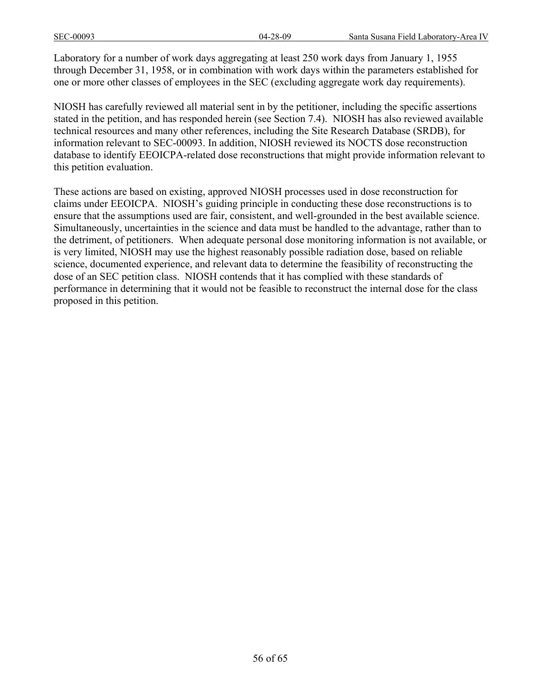Laboratory for a number of work days aggregating at least 250 work days from January 1, 1955 through December 31, 1958, or in combination with work days within the parameters established for one or more other classes of employees in the SEC (excluding aggregate work day requirements).

NIOSH has carefully reviewed all material sent in by the petitioner, including the specific assertions stated in the petition, and has responded herein (see Section 7.4). NIOSH has also reviewed available technical resources and many other references, including the Site Research Database (SRDB), for information relevant to SEC-00093. In addition, NIOSH reviewed its NOCTS dose reconstruction database to identify EEOICPA-related dose reconstructions that might provide information relevant to this petition evaluation.

These actions are based on existing, approved NIOSH processes used in dose reconstruction for claims under EEOICPA. NIOSH's guiding principle in conducting these dose reconstructions is to ensure that the assumptions used are fair, consistent, and well-grounded in the best available science. Simultaneously, uncertainties in the science and data must be handled to the advantage, rather than to the detriment, of petitioners. When adequate personal dose monitoring information is not available, or is very limited, NIOSH may use the highest reasonably possible radiation dose, based on reliable science, documented experience, and relevant data to determine the feasibility of reconstructing the dose of an SEC petition class. NIOSH contends that it has complied with these standards of performance in determining that it would not be feasible to reconstruct the internal dose for the class proposed in this petition.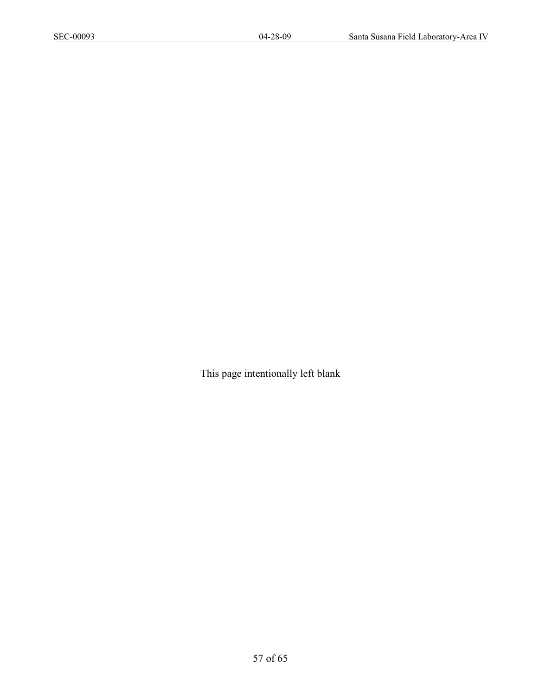This page intentionally left blank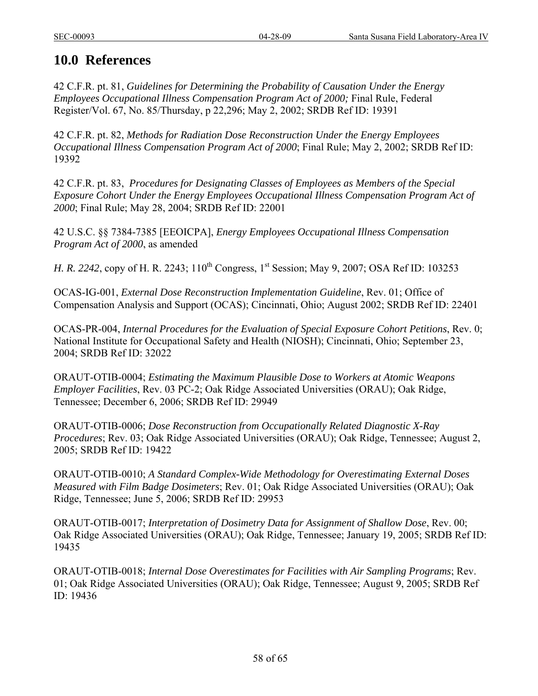# **10.0 References**

42 C.F.R. pt. 81, *Guidelines for Determining the Probability of Causation Under the Energy Employees Occupational Illness Compensation Program Act of 2000;* Final Rule, Federal Register/Vol. 67, No. 85/Thursday, p 22,296; May 2, 2002; SRDB Ref ID: 19391

42 C.F.R. pt. 82, *Methods for Radiation Dose Reconstruction Under the Energy Employees Occupational Illness Compensation Program Act of 2000*; Final Rule; May 2, 2002; SRDB Ref ID: 19392

42 C.F.R. pt. 83, *Procedures for Designating Classes of Employees as Members of the Special Exposure Cohort Under the Energy Employees Occupational Illness Compensation Program Act of 2000*; Final Rule; May 28, 2004; SRDB Ref ID: 22001

42 U.S.C. §§ 7384-7385 [EEOICPA], *Energy Employees Occupational Illness Compensation Program Act of 2000*, as amended

*H. R. 2242*, copy of H. R. 2243; 110<sup>th</sup> Congress, 1<sup>st</sup> Session; May 9, 2007; OSA Ref ID: 103253

OCAS-IG-001, *External Dose Reconstruction Implementation Guideline*, Rev. 01; Office of Compensation Analysis and Support (OCAS); Cincinnati, Ohio; August 2002; SRDB Ref ID: 22401

OCAS-PR-004, *Internal Procedures for the Evaluation of Special Exposure Cohort Petitions*, Rev. 0; National Institute for Occupational Safety and Health (NIOSH); Cincinnati, Ohio; September 23, 2004; SRDB Ref ID: 32022

ORAUT-OTIB-0004; *Estimating the Maximum Plausible Dose to Workers at Atomic Weapons Employer Facilities*, Rev. 03 PC-2; Oak Ridge Associated Universities (ORAU); Oak Ridge, Tennessee; December 6, 2006; SRDB Ref ID: 29949

ORAUT-OTIB-0006; *Dose Reconstruction from Occupationally Related Diagnostic X-Ray Procedures*; Rev. 03; Oak Ridge Associated Universities (ORAU); Oak Ridge, Tennessee; August 2, 2005; SRDB Ref ID: 19422

ORAUT-OTIB-0010; *A Standard Complex-Wide Methodology for Overestimating External Doses Measured with Film Badge Dosimeters*; Rev. 01; Oak Ridge Associated Universities (ORAU); Oak Ridge, Tennessee; June 5, 2006; SRDB Ref ID: 29953

ORAUT-OTIB-0017; *Interpretation of Dosimetry Data for Assignment of Shallow Dose*, Rev. 00; Oak Ridge Associated Universities (ORAU); Oak Ridge, Tennessee; January 19, 2005; SRDB Ref ID: 19435

ORAUT-OTIB-0018; *Internal Dose Overestimates for Facilities with Air Sampling Programs*; Rev. 01; Oak Ridge Associated Universities (ORAU); Oak Ridge, Tennessee; August 9, 2005; SRDB Ref ID: 19436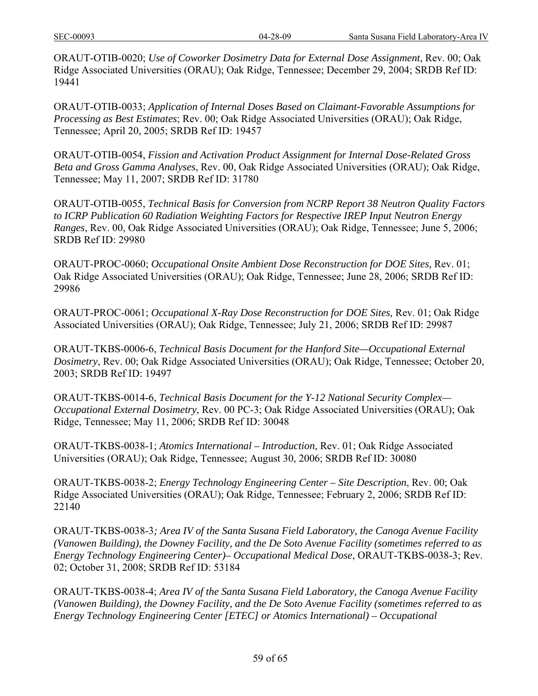ORAUT-OTIB-0020; *Use of Coworker Dosimetry Data for External Dose Assignment*, Rev. 00; Oak Ridge Associated Universities (ORAU); Oak Ridge, Tennessee; December 29, 2004; SRDB Ref ID: 19441

ORAUT-OTIB-0033; *Application of Internal Doses Based on Claimant-Favorable Assumptions for Processing as Best Estimates*; Rev. 00; Oak Ridge Associated Universities (ORAU); Oak Ridge, Tennessee; April 20, 2005; SRDB Ref ID: 19457

ORAUT-OTIB-0054, *Fission and Activation Product Assignment for Internal Dose-Related Gross Beta and Gross Gamma Analyses*, Rev. 00, Oak Ridge Associated Universities (ORAU); Oak Ridge, Tennessee; May 11, 2007; SRDB Ref ID: 31780

ORAUT-OTIB-0055, *Technical Basis for Conversion from NCRP Report 38 Neutron Quality Factors to ICRP Publication 60 Radiation Weighting Factors for Respective IREP Input Neutron Energy Ranges*, Rev. 00, Oak Ridge Associated Universities (ORAU); Oak Ridge, Tennessee; June 5, 2006; SRDB Ref ID: 29980

ORAUT-PROC-0060; *Occupational Onsite Ambient Dose Reconstruction for DOE Sites,* Rev. 01; Oak Ridge Associated Universities (ORAU); Oak Ridge, Tennessee; June 28, 2006; SRDB Ref ID: 29986

ORAUT-PROC-0061; *Occupational X-Ray Dose Reconstruction for DOE Sites,* Rev. 01; Oak Ridge Associated Universities (ORAU); Oak Ridge, Tennessee; July 21, 2006; SRDB Ref ID: 29987

ORAUT-TKBS-0006-6, *Technical Basis Document for the Hanford Site—Occupational External Dosimetry*, Rev. 00; Oak Ridge Associated Universities (ORAU); Oak Ridge, Tennessee; October 20, 2003; SRDB Ref ID: 19497

ORAUT-TKBS-0014-6, *Technical Basis Document for the Y-12 National Security Complex— Occupational External Dosimetry*, Rev. 00 PC-3; Oak Ridge Associated Universities (ORAU); Oak Ridge, Tennessee; May 11, 2006; SRDB Ref ID: 30048

ORAUT-TKBS-0038-1; *Atomics International – Introduction*, Rev. 01; Oak Ridge Associated Universities (ORAU); Oak Ridge, Tennessee; August 30, 2006; SRDB Ref ID: 30080

ORAUT-TKBS-0038-2; *Energy Technology Engineering Center – Site Description*, Rev. 00; Oak Ridge Associated Universities (ORAU); Oak Ridge, Tennessee; February 2, 2006; SRDB Ref ID: 22140

ORAUT-TKBS-0038-3*; Area IV of the Santa Susana Field Laboratory, the Canoga Avenue Facility (Vanowen Building), the Downey Facility, and the De Soto Avenue Facility (sometimes referred to as Energy Technology Engineering Center)– Occupational Medical Dose*, ORAUT-TKBS-0038-3; Rev. 02; October 31, 2008; SRDB Ref ID: 53184

ORAUT-TKBS-0038-4; *Area IV of the Santa Susana Field Laboratory, the Canoga Avenue Facility (Vanowen Building), the Downey Facility, and the De Soto Avenue Facility (sometimes referred to as Energy Technology Engineering Center [ETEC] or Atomics International) – Occupational*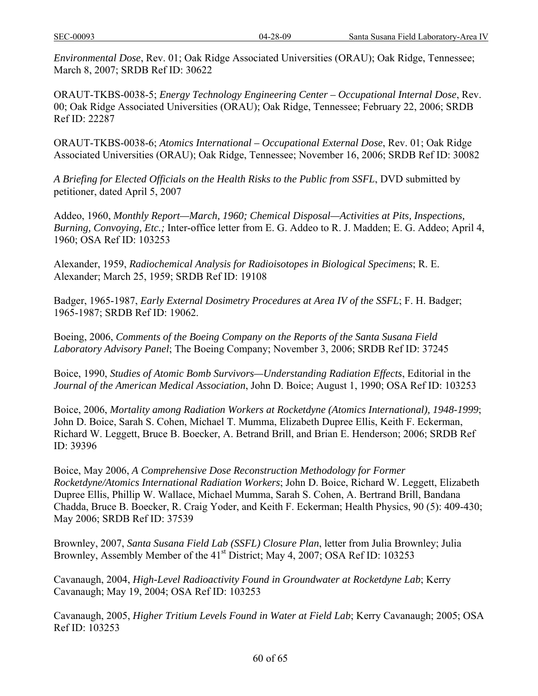*Environmental Dose*, Rev. 01; Oak Ridge Associated Universities (ORAU); Oak Ridge, Tennessee; March 8, 2007; SRDB Ref ID: 30622

ORAUT-TKBS-0038-5; *Energy Technology Engineering Center – Occupational Internal Dose*, Rev. 00; Oak Ridge Associated Universities (ORAU); Oak Ridge, Tennessee; February 22, 2006; SRDB Ref ID: 22287

ORAUT-TKBS-0038-6; *Atomics International – Occupational External Dose*, Rev. 01; Oak Ridge Associated Universities (ORAU); Oak Ridge, Tennessee; November 16, 2006; SRDB Ref ID: 30082

*A Briefing for Elected Officials on the Health Risks to the Public from SSFL*, DVD submitted by petitioner, dated April 5, 2007

Addeo, 1960, *Monthly Report—March, 1960; Chemical Disposal—Activities at Pits, Inspections, Burning, Convoying, Etc.;* Inter-office letter from E. G. Addeo to R. J. Madden; E. G. Addeo; April 4, 1960; OSA Ref ID: 103253

Alexander, 1959, *Radiochemical Analysis for Radioisotopes in Biological Specimens*; R. E. Alexander; March 25, 1959; SRDB Ref ID: 19108

Badger, 1965-1987, *Early External Dosimetry Procedures at Area IV of the SSFL*; F. H. Badger; 1965-1987; SRDB Ref ID: 19062.

Boeing, 2006, *Comments of the Boeing Company on the Reports of the Santa Susana Field Laboratory Advisory Panel*; The Boeing Company; November 3, 2006; SRDB Ref ID: 37245

Boice, 1990, *Studies of Atomic Bomb Survivors—Understanding Radiation Effects*, Editorial in the *Journal of the American Medical Association*, John D. Boice; August 1, 1990; OSA Ref ID: 103253

Boice, 2006, *Mortality among Radiation Workers at Rocketdyne (Atomics International), 1948-1999*; John D. Boice, Sarah S. Cohen, Michael T. Mumma, Elizabeth Dupree Ellis, Keith F. Eckerman, Richard W. Leggett, Bruce B. Boecker, A. Betrand Brill, and Brian E. Henderson; 2006; SRDB Ref ID: 39396

Boice, May 2006, *A Comprehensive Dose Reconstruction Methodology for Former Rocketdyne/Atomics International Radiation Workers*; John D. Boice, Richard W. Leggett, Elizabeth Dupree Ellis, Phillip W. Wallace, Michael Mumma, Sarah S. Cohen, A. Bertrand Brill, Bandana Chadda, Bruce B. Boecker, R. Craig Yoder, and Keith F. Eckerman; Health Physics, 90 (5): 409-430; May 2006; SRDB Ref ID: 37539

Brownley, 2007, *Santa Susana Field Lab (SSFL) Closure Plan*, letter from Julia Brownley; Julia Brownley, Assembly Member of the 41<sup>st</sup> District; May 4, 2007; OSA Ref ID: 103253

Cavanaugh, 2004, *High-Level Radioactivity Found in Groundwater at Rocketdyne Lab*; Kerry Cavanaugh; May 19, 2004; OSA Ref ID: 103253

Cavanaugh, 2005, *Higher Tritium Levels Found in Water at Field Lab*; Kerry Cavanaugh; 2005; OSA Ref ID: 103253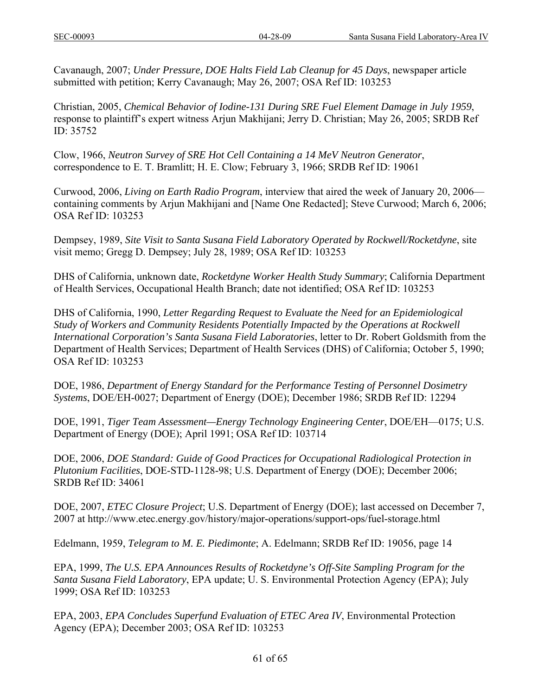Cavanaugh, 2007; *Under Pressure, DOE Halts Field Lab Cleanup for 45 Days*, newspaper article submitted with petition; Kerry Cavanaugh; May 26, 2007; OSA Ref ID: 103253

Christian, 2005, *Chemical Behavior of Iodine-131 During SRE Fuel Element Damage in July 1959*, response to plaintiff's expert witness Arjun Makhijani; Jerry D. Christian; May 26, 2005; SRDB Ref ID: 35752

Clow, 1966, *Neutron Survey of SRE Hot Cell Containing a 14 MeV Neutron Generator*, correspondence to E. T. Bramlitt; H. E. Clow; February 3, 1966; SRDB Ref ID: 19061

Curwood, 2006, *Living on Earth Radio Program*, interview that aired the week of January 20, 2006 containing comments by Arjun Makhijani and [Name One Redacted]; Steve Curwood; March 6, 2006; OSA Ref ID: 103253

Dempsey, 1989, *Site Visit to Santa Susana Field Laboratory Operated by Rockwell/Rocketdyne*, site visit memo; Gregg D. Dempsey; July 28, 1989; OSA Ref ID: 103253

DHS of California, unknown date, *Rocketdyne Worker Health Study Summary*; California Department of Health Services, Occupational Health Branch; date not identified; OSA Ref ID: 103253

DHS of California, 1990, *Letter Regarding Request to Evaluate the Need for an Epidemiological Study of Workers and Community Residents Potentially Impacted by the Operations at Rockwell International Corporation's Santa Susana Field Laboratories*, letter to Dr. Robert Goldsmith from the Department of Health Services; Department of Health Services (DHS) of California; October 5, 1990; OSA Ref ID: 103253

DOE, 1986, *Department of Energy Standard for the Performance Testing of Personnel Dosimetry Systems*, DOE/EH-0027; Department of Energy (DOE); December 1986; SRDB Ref ID: 12294

DOE, 1991, *Tiger Team Assessment—Energy Technology Engineering Center*, DOE/EH—0175; U.S. Department of Energy (DOE); April 1991; OSA Ref ID: 103714

DOE, 2006, *DOE Standard: Guide of Good Practices for Occupational Radiological Protection in Plutonium Facilities*, DOE-STD-1128-98; U.S. Department of Energy (DOE); December 2006; SRDB Ref ID: 34061

DOE, 2007, *ETEC Closure Project*; U.S. Department of Energy (DOE); last accessed on December 7, 2007 at http://www.etec.energy.gov/history/major-operations/support-ops/fuel-storage.html

Edelmann, 1959, *Telegram to M. E. Piedimonte*; A. Edelmann; SRDB Ref ID: 19056, page 14

EPA, 1999, *The U.S. EPA Announces Results of Rocketdyne's Off-Site Sampling Program for the Santa Susana Field Laboratory*, EPA update; U. S. Environmental Protection Agency (EPA); July 1999; OSA Ref ID: 103253

EPA, 2003, *EPA Concludes Superfund Evaluation of ETEC Area IV*, Environmental Protection Agency (EPA); December 2003; OSA Ref ID: 103253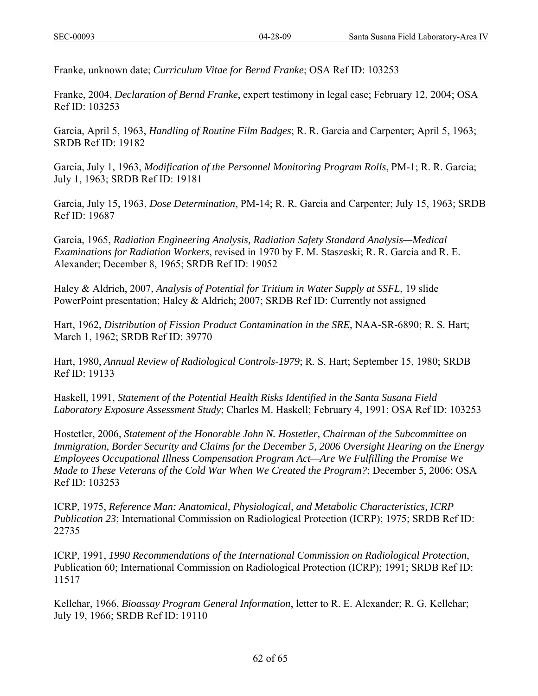Franke, unknown date; *Curriculum Vitae for Bernd Franke*; OSA Ref ID: 103253

Franke, 2004, *Declaration of Bernd Franke*, expert testimony in legal case; February 12, 2004; OSA Ref ID: 103253

Garcia, April 5, 1963, *Handling of Routine Film Badges*; R. R. Garcia and Carpenter; April 5, 1963; SRDB Ref ID: 19182

Garcia, July 1, 1963, *Modification of the Personnel Monitoring Program Rolls*, PM-1; R. R. Garcia; July 1, 1963; SRDB Ref ID: 19181

Garcia, July 15, 1963, *Dose Determination*, PM-14; R. R. Garcia and Carpenter; July 15, 1963; SRDB Ref ID: 19687

Garcia, 1965, *Radiation Engineering Analysis, Radiation Safety Standard Analysis—Medical Examinations for Radiation Workers*, revised in 1970 by F. M. Staszeski; R. R. Garcia and R. E. Alexander; December 8, 1965; SRDB Ref ID: 19052

Haley & Aldrich, 2007, *Analysis of Potential for Tritium in Water Supply at SSFL*, 19 slide PowerPoint presentation; Haley & Aldrich; 2007; SRDB Ref ID: Currently not assigned

Hart, 1962, *Distribution of Fission Product Contamination in the SRE*, NAA-SR-6890; R. S. Hart; March 1, 1962; SRDB Ref ID: 39770

Hart, 1980, *Annual Review of Radiological Controls-1979*; R. S. Hart; September 15, 1980; SRDB Ref ID: 19133

Haskell, 1991, *Statement of the Potential Health Risks Identified in the Santa Susana Field Laboratory Exposure Assessment Study*; Charles M. Haskell; February 4, 1991; OSA Ref ID: 103253

Hostetler, 2006, *Statement of the Honorable John N. Hostetler, Chairman of the Subcommittee on Immigration, Border Security and Claims for the December 5, 2006 Oversight Hearing on the Energy Employees Occupational Illness Compensation Program Act—Are We Fulfilling the Promise We Made to These Veterans of the Cold War When We Created the Program?*; December 5, 2006; OSA Ref ID: 103253

ICRP, 1975, *Reference Man: Anatomical, Physiological, and Metabolic Characteristics, ICRP Publication 23*; International Commission on Radiological Protection (ICRP); 1975; SRDB Ref ID: 22735

ICRP, 1991, *1990 Recommendations of the International Commission on Radiological Protection*, Publication 60; International Commission on Radiological Protection (ICRP); 1991; SRDB Ref ID: 11517

Kellehar, 1966, *Bioassay Program General Information*, letter to R. E. Alexander; R. G. Kellehar; July 19, 1966; SRDB Ref ID: 19110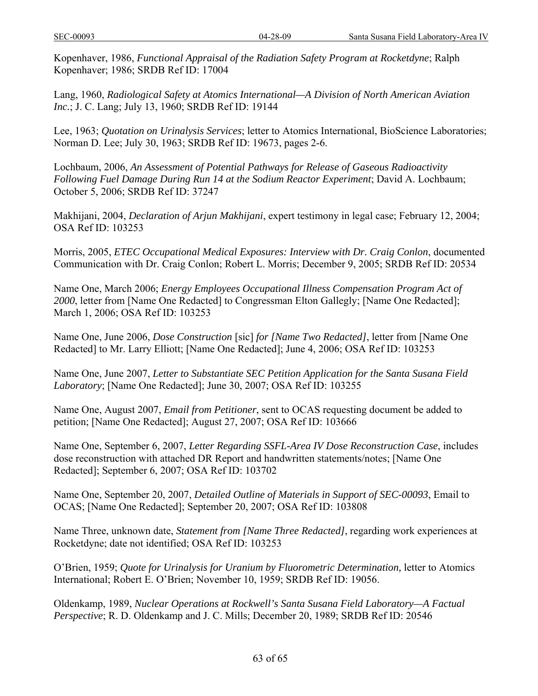Kopenhaver, 1986, *Functional Appraisal of the Radiation Safety Program at Rocketdyne*; Ralph Kopenhaver; 1986; SRDB Ref ID: 17004

Lang, 1960, *Radiological Safety at Atomics International—A Division of North American Aviation Inc.*; J. C. Lang; July 13, 1960; SRDB Ref ID: 19144

Lee, 1963; *Quotation on Urinalysis Services*; letter to Atomics International, BioScience Laboratories; Norman D. Lee; July 30, 1963; SRDB Ref ID: 19673, pages 2-6.

Lochbaum, 2006, *An Assessment of Potential Pathways for Release of Gaseous Radioactivity Following Fuel Damage During Run 14 at the Sodium Reactor Experiment*; David A. Lochbaum; October 5, 2006; SRDB Ref ID: 37247

Makhijani, 2004, *Declaration of Arjun Makhijani*, expert testimony in legal case; February 12, 2004; OSA Ref ID: 103253

Morris, 2005, *ETEC Occupational Medical Exposures: Interview with Dr. Craig Conlon*, documented Communication with Dr. Craig Conlon; Robert L. Morris; December 9, 2005; SRDB Ref ID: 20534

Name One, March 2006; *Energy Employees Occupational Illness Compensation Program Act of 2000*, letter from [Name One Redacted] to Congressman Elton Gallegly; [Name One Redacted]; March 1, 2006; OSA Ref ID: 103253

Name One, June 2006, *Dose Construction* [sic] *for [Name Two Redacted]*, letter from [Name One Redacted] to Mr. Larry Elliott; [Name One Redacted]; June 4, 2006; OSA Ref ID: 103253

Name One, June 2007, *Letter to Substantiate SEC Petition Application for the Santa Susana Field Laboratory*; [Name One Redacted]; June 30, 2007; OSA Ref ID: 103255

Name One, August 2007, *Email from Petitioner*, sent to OCAS requesting document be added to petition; [Name One Redacted]; August 27, 2007; OSA Ref ID: 103666

Name One, September 6, 2007, *Letter Regarding SSFL-Area IV Dose Reconstruction Case*, includes dose reconstruction with attached DR Report and handwritten statements/notes; [Name One Redacted]; September 6, 2007; OSA Ref ID: 103702

Name One, September 20, 2007, *Detailed Outline of Materials in Support of SEC-00093*, Email to OCAS; [Name One Redacted]; September 20, 2007; OSA Ref ID: 103808

Name Three, unknown date, *Statement from [Name Three Redacted]*, regarding work experiences at Rocketdyne; date not identified; OSA Ref ID: 103253

O'Brien, 1959; *Quote for Urinalysis for Uranium by Fluorometric Determination,* letter to Atomics International; Robert E. O'Brien; November 10, 1959; SRDB Ref ID: 19056.

Oldenkamp, 1989, *Nuclear Operations at Rockwell's Santa Susana Field Laboratory—A Factual Perspective*; R. D. Oldenkamp and J. C. Mills; December 20, 1989; SRDB Ref ID: 20546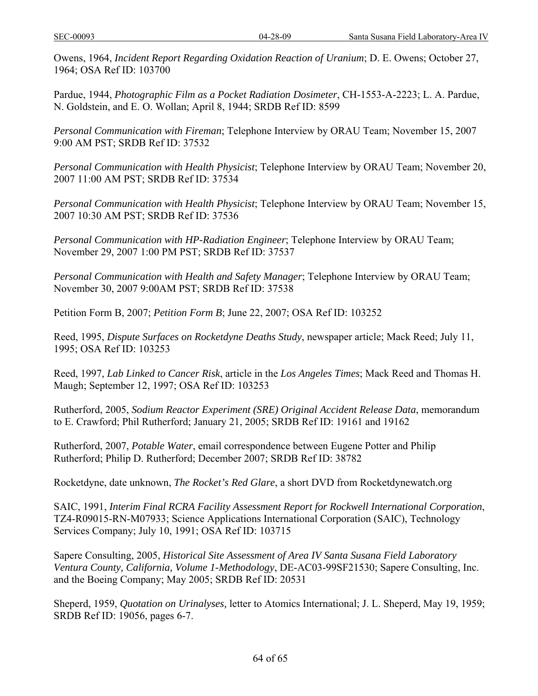Owens, 1964, *Incident Report Regarding Oxidation Reaction of Uranium*; D. E. Owens; October 27, 1964; OSA Ref ID: 103700

Pardue, 1944, *Photographic Film as a Pocket Radiation Dosimeter*, CH-1553-A-2223; L. A. Pardue, N. Goldstein, and E. O. Wollan; April 8, 1944; SRDB Ref ID: 8599

*Personal Communication with Fireman*; Telephone Interview by ORAU Team; November 15, 2007 9:00 AM PST; SRDB Ref ID: 37532

*Personal Communication with Health Physicist*; Telephone Interview by ORAU Team; November 20, 2007 11:00 AM PST; SRDB Ref ID: 37534

*Personal Communication with Health Physicist*; Telephone Interview by ORAU Team; November 15, 2007 10:30 AM PST; SRDB Ref ID: 37536

*Personal Communication with HP-Radiation Engineer*; Telephone Interview by ORAU Team; November 29, 2007 1:00 PM PST; SRDB Ref ID: 37537

*Personal Communication with Health and Safety Manager*; Telephone Interview by ORAU Team; November 30, 2007 9:00AM PST; SRDB Ref ID: 37538

Petition Form B, 2007; *Petition Form B*; June 22, 2007; OSA Ref ID: 103252

Reed, 1995, *Dispute Surfaces on Rocketdyne Deaths Study*, newspaper article; Mack Reed; July 11, 1995; OSA Ref ID: 103253

Reed, 1997, *Lab Linked to Cancer Risk*, article in the *Los Angeles Times*; Mack Reed and Thomas H. Maugh; September 12, 1997; OSA Ref ID: 103253

Rutherford, 2005, *Sodium Reactor Experiment (SRE) Original Accident Release Data*, memorandum to E. Crawford; Phil Rutherford; January 21, 2005; SRDB Ref ID: 19161 and 19162

Rutherford, 2007, *Potable Water*, email correspondence between Eugene Potter and Philip Rutherford; Philip D. Rutherford; December 2007; SRDB Ref ID: 38782

Rocketdyne, date unknown, *The Rocket's Red Glare*, a short DVD from Rocketdynewatch.org

SAIC, 1991, *Interim Final RCRA Facility Assessment Report for Rockwell International Corporation*, TZ4-R09015-RN-M07933; Science Applications International Corporation (SAIC), Technology Services Company; July 10, 1991; OSA Ref ID: 103715

Sapere Consulting, 2005, *Historical Site Assessment of Area IV Santa Susana Field Laboratory Ventura County, California, Volume 1-Methodology*, DE-AC03-99SF21530; Sapere Consulting, Inc. and the Boeing Company; May 2005; SRDB Ref ID: 20531

Sheperd, 1959, *Quotation on Urinalyses,* letter to Atomics International; J. L. Sheperd, May 19, 1959; SRDB Ref ID: 19056, pages 6-7.